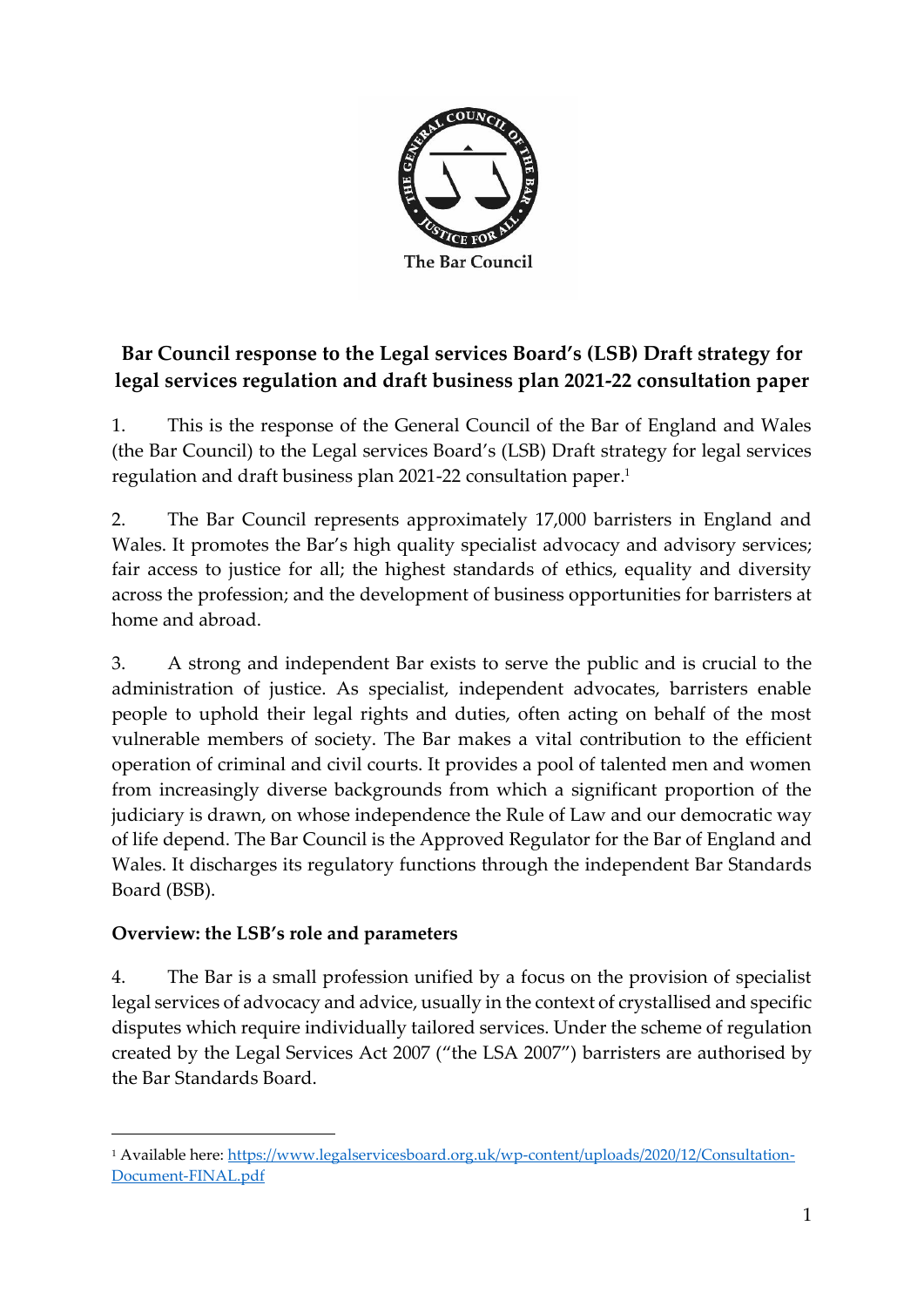

# **Bar Council response to the Legal services Board's (LSB) Draft strategy for legal services regulation and draft business plan 2021-22 consultation paper**

1. This is the response of the General Council of the Bar of England and Wales (the Bar Council) to the Legal services Board's (LSB) Draft strategy for legal services regulation and draft business plan 2021-22 consultation paper. 1

2. The Bar Council represents approximately 17,000 barristers in England and Wales. It promotes the Bar's high quality specialist advocacy and advisory services; fair access to justice for all; the highest standards of ethics, equality and diversity across the profession; and the development of business opportunities for barristers at home and abroad.

3. A strong and independent Bar exists to serve the public and is crucial to the administration of justice. As specialist, independent advocates, barristers enable people to uphold their legal rights and duties, often acting on behalf of the most vulnerable members of society. The Bar makes a vital contribution to the efficient operation of criminal and civil courts. It provides a pool of talented men and women from increasingly diverse backgrounds from which a significant proportion of the judiciary is drawn, on whose independence the Rule of Law and our democratic way of life depend. The Bar Council is the Approved Regulator for the Bar of England and Wales. It discharges its regulatory functions through the independent Bar Standards Board (BSB).

## **Overview: the LSB's role and parameters**

4. The Bar is a small profession unified by a focus on the provision of specialist legal services of advocacy and advice, usually in the context of crystallised and specific disputes which require individually tailored services. Under the scheme of regulation created by the Legal Services Act 2007 ("the LSA 2007") barristers are authorised by the Bar Standards Board.

<sup>1</sup> Available here: [https://www.legalservicesboard.org.uk/wp-content/uploads/2020/12/Consultation-](about:blank)[Document-FINAL.pdf](about:blank)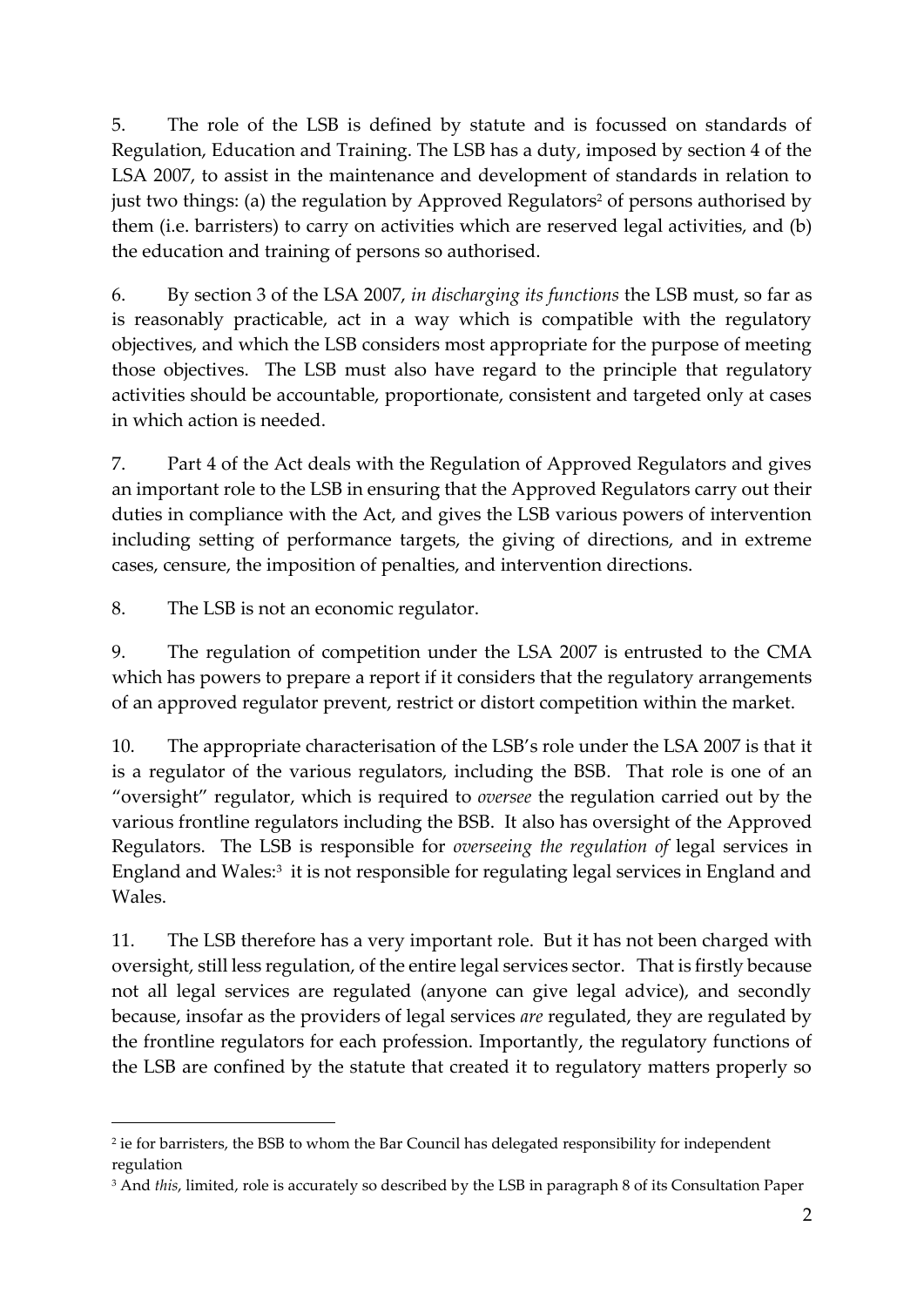5. The role of the LSB is defined by statute and is focussed on standards of Regulation, Education and Training. The LSB has a duty, imposed by section 4 of the LSA 2007, to assist in the maintenance and development of standards in relation to just two things: (a) the regulation by Approved Regulators<sup>2</sup> of persons authorised by them (i.e. barristers) to carry on activities which are reserved legal activities, and (b) the education and training of persons so authorised.

6. By section 3 of the LSA 2007, *in discharging its functions* the LSB must, so far as is reasonably practicable, act in a way which is compatible with the regulatory objectives, and which the LSB considers most appropriate for the purpose of meeting those objectives. The LSB must also have regard to the principle that regulatory activities should be accountable, proportionate, consistent and targeted only at cases in which action is needed.

7. Part 4 of the Act deals with the Regulation of Approved Regulators and gives an important role to the LSB in ensuring that the Approved Regulators carry out their duties in compliance with the Act, and gives the LSB various powers of intervention including setting of performance targets, the giving of directions, and in extreme cases, censure, the imposition of penalties, and intervention directions.

8. The LSB is not an economic regulator.

9. The regulation of competition under the LSA 2007 is entrusted to the CMA which has powers to prepare a report if it considers that the regulatory arrangements of an approved regulator prevent, restrict or distort competition within the market.

10. The appropriate characterisation of the LSB's role under the LSA 2007 is that it is a regulator of the various regulators, including the BSB. That role is one of an "oversight" regulator, which is required to *oversee* the regulation carried out by the various frontline regulators including the BSB. It also has oversight of the Approved Regulators. The LSB is responsible for *overseeing the regulation of* legal services in England and Wales:<sup>3</sup> it is not responsible for regulating legal services in England and Wales.

11. The LSB therefore has a very important role. But it has not been charged with oversight, still less regulation, of the entire legal services sector. That is firstly because not all legal services are regulated (anyone can give legal advice), and secondly because, insofar as the providers of legal services *are* regulated, they are regulated by the frontline regulators for each profession. Importantly, the regulatory functions of the LSB are confined by the statute that created it to regulatory matters properly so

<sup>2</sup> ie for barristers, the BSB to whom the Bar Council has delegated responsibility for independent regulation

<sup>3</sup> And *this*, limited, role is accurately so described by the LSB in paragraph 8 of its Consultation Paper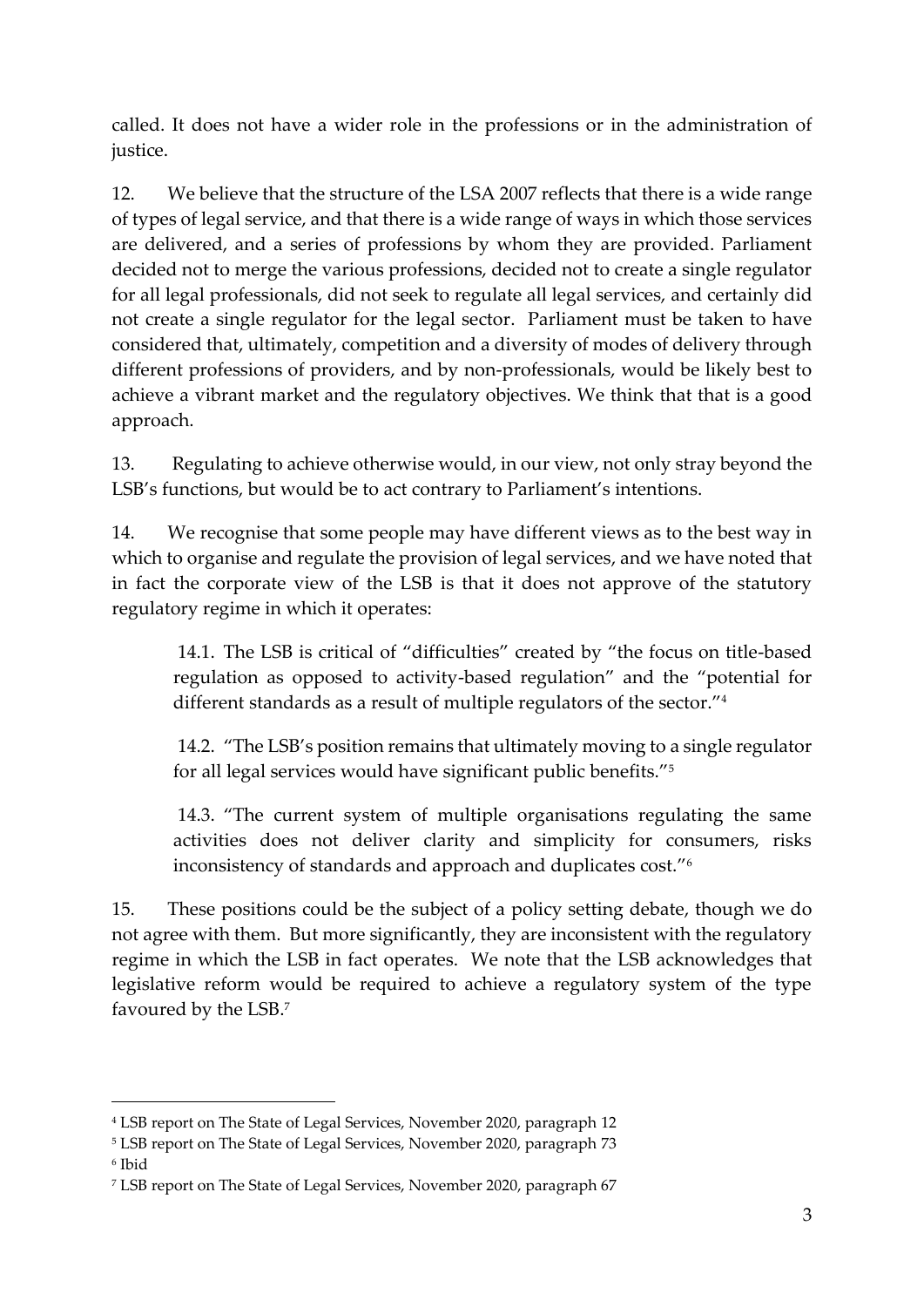called. It does not have a wider role in the professions or in the administration of justice.

12. We believe that the structure of the LSA 2007 reflects that there is a wide range of types of legal service, and that there is a wide range of ways in which those services are delivered, and a series of professions by whom they are provided. Parliament decided not to merge the various professions, decided not to create a single regulator for all legal professionals, did not seek to regulate all legal services, and certainly did not create a single regulator for the legal sector. Parliament must be taken to have considered that, ultimately, competition and a diversity of modes of delivery through different professions of providers, and by non-professionals, would be likely best to achieve a vibrant market and the regulatory objectives. We think that that is a good approach.

13. Regulating to achieve otherwise would, in our view, not only stray beyond the LSB's functions, but would be to act contrary to Parliament's intentions.

14. We recognise that some people may have different views as to the best way in which to organise and regulate the provision of legal services, and we have noted that in fact the corporate view of the LSB is that it does not approve of the statutory regulatory regime in which it operates:

14.1. The LSB is critical of "difficulties" created by "the focus on title-based regulation as opposed to activity-based regulation" and the "potential for different standards as a result of multiple regulators of the sector."<sup>4</sup>

14.2. "The LSB's position remains that ultimately moving to a single regulator for all legal services would have significant public benefits." 5

14.3. "The current system of multiple organisations regulating the same activities does not deliver clarity and simplicity for consumers, risks inconsistency of standards and approach and duplicates cost."<sup>6</sup>

15. These positions could be the subject of a policy setting debate, though we do not agree with them. But more significantly, they are inconsistent with the regulatory regime in which the LSB in fact operates. We note that the LSB acknowledges that legislative reform would be required to achieve a regulatory system of the type favoured by the LSB. 7

<sup>4</sup> LSB report on The State of Legal Services, November 2020, paragraph 12

<sup>5</sup> LSB report on The State of Legal Services, November 2020, paragraph 73 6 Ibid

<sup>7</sup> LSB report on The State of Legal Services, November 2020, paragraph 67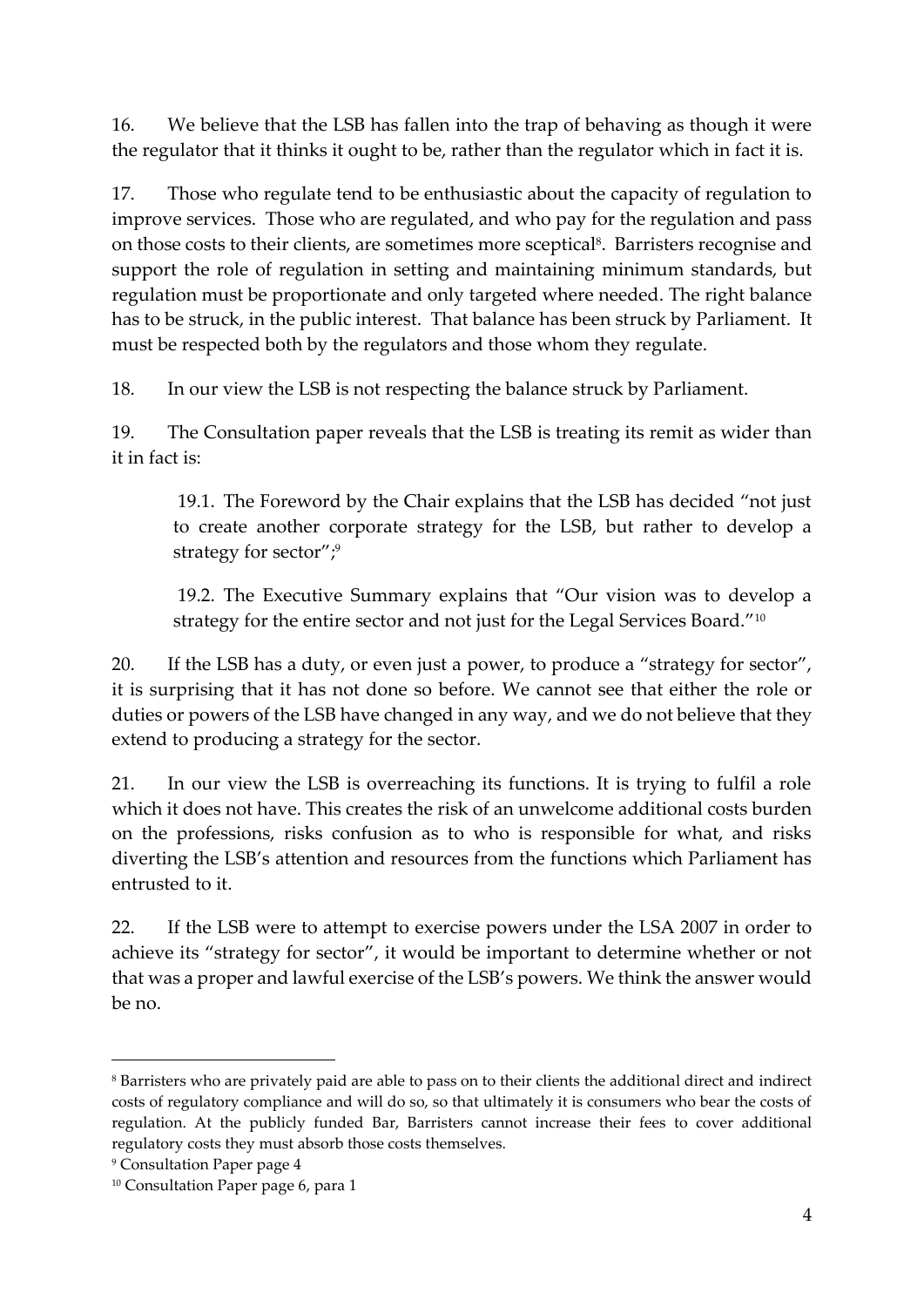16. We believe that the LSB has fallen into the trap of behaving as though it were the regulator that it thinks it ought to be, rather than the regulator which in fact it is.

17. Those who regulate tend to be enthusiastic about the capacity of regulation to improve services. Those who are regulated, and who pay for the regulation and pass on those costs to their clients, are sometimes more sceptical<sup>8</sup>. Barristers recognise and support the role of regulation in setting and maintaining minimum standards, but regulation must be proportionate and only targeted where needed. The right balance has to be struck, in the public interest. That balance has been struck by Parliament. It must be respected both by the regulators and those whom they regulate.

18. In our view the LSB is not respecting the balance struck by Parliament.

19. The Consultation paper reveals that the LSB is treating its remit as wider than it in fact is:

19.1. The Foreword by the Chair explains that the LSB has decided "not just to create another corporate strategy for the LSB, but rather to develop a strategy for sector"; 9

19.2. The Executive Summary explains that "Our vision was to develop a strategy for the entire sector and not just for the Legal Services Board."<sup>10</sup>

20. If the LSB has a duty, or even just a power, to produce a "strategy for sector", it is surprising that it has not done so before. We cannot see that either the role or duties or powers of the LSB have changed in any way, and we do not believe that they extend to producing a strategy for the sector.

21. In our view the LSB is overreaching its functions. It is trying to fulfil a role which it does not have. This creates the risk of an unwelcome additional costs burden on the professions, risks confusion as to who is responsible for what, and risks diverting the LSB's attention and resources from the functions which Parliament has entrusted to it.

22. If the LSB were to attempt to exercise powers under the LSA 2007 in order to achieve its "strategy for sector", it would be important to determine whether or not that was a proper and lawful exercise of the LSB's powers. We think the answer would be no.

<sup>8</sup> Barristers who are privately paid are able to pass on to their clients the additional direct and indirect costs of regulatory compliance and will do so, so that ultimately it is consumers who bear the costs of regulation. At the publicly funded Bar, Barristers cannot increase their fees to cover additional regulatory costs they must absorb those costs themselves.

<sup>9</sup> Consultation Paper page 4

<sup>&</sup>lt;sup>10</sup> Consultation Paper page 6, para 1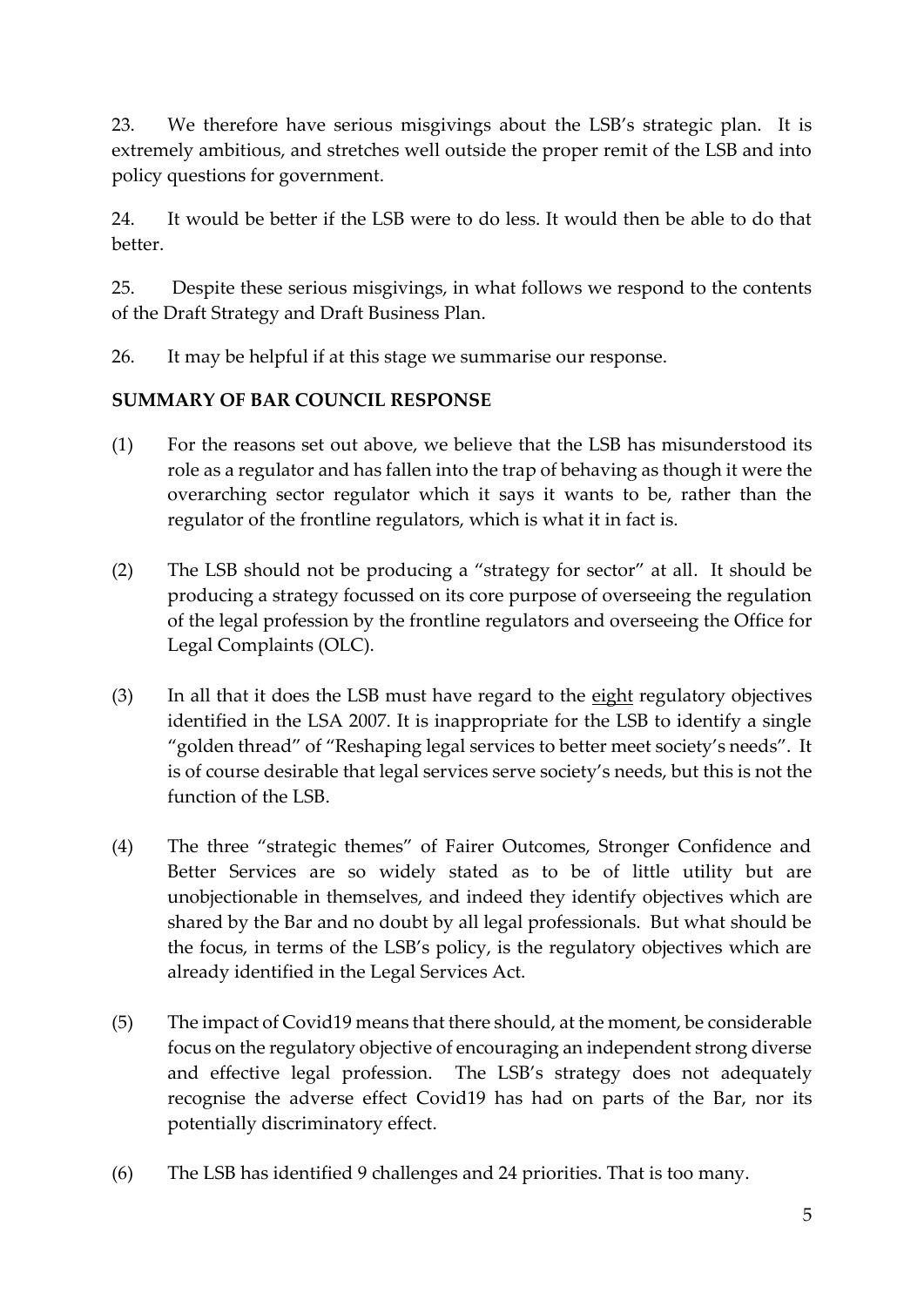23. We therefore have serious misgivings about the LSB's strategic plan. It is extremely ambitious, and stretches well outside the proper remit of the LSB and into policy questions for government.

24. It would be better if the LSB were to do less. It would then be able to do that better.

25. Despite these serious misgivings, in what follows we respond to the contents of the Draft Strategy and Draft Business Plan.

26. It may be helpful if at this stage we summarise our response.

### **SUMMARY OF BAR COUNCIL RESPONSE**

- (1) For the reasons set out above, we believe that the LSB has misunderstood its role as a regulator and has fallen into the trap of behaving as though it were the overarching sector regulator which it says it wants to be, rather than the regulator of the frontline regulators, which is what it in fact is.
- (2) The LSB should not be producing a "strategy for sector" at all. It should be producing a strategy focussed on its core purpose of overseeing the regulation of the legal profession by the frontline regulators and overseeing the Office for Legal Complaints (OLC).
- (3) In all that it does the LSB must have regard to the eight regulatory objectives identified in the LSA 2007. It is inappropriate for the LSB to identify a single "golden thread" of "Reshaping legal services to better meet society's needs". It is of course desirable that legal services serve society's needs, but this is not the function of the LSB.
- (4) The three "strategic themes" of Fairer Outcomes, Stronger Confidence and Better Services are so widely stated as to be of little utility but are unobjectionable in themselves, and indeed they identify objectives which are shared by the Bar and no doubt by all legal professionals. But what should be the focus, in terms of the LSB's policy, is the regulatory objectives which are already identified in the Legal Services Act.
- (5) The impact of Covid19 means that there should, at the moment, be considerable focus on the regulatory objective of encouraging an independent strong diverse and effective legal profession. The LSB's strategy does not adequately recognise the adverse effect Covid19 has had on parts of the Bar, nor its potentially discriminatory effect.
- (6) The LSB has identified 9 challenges and 24 priorities. That is too many.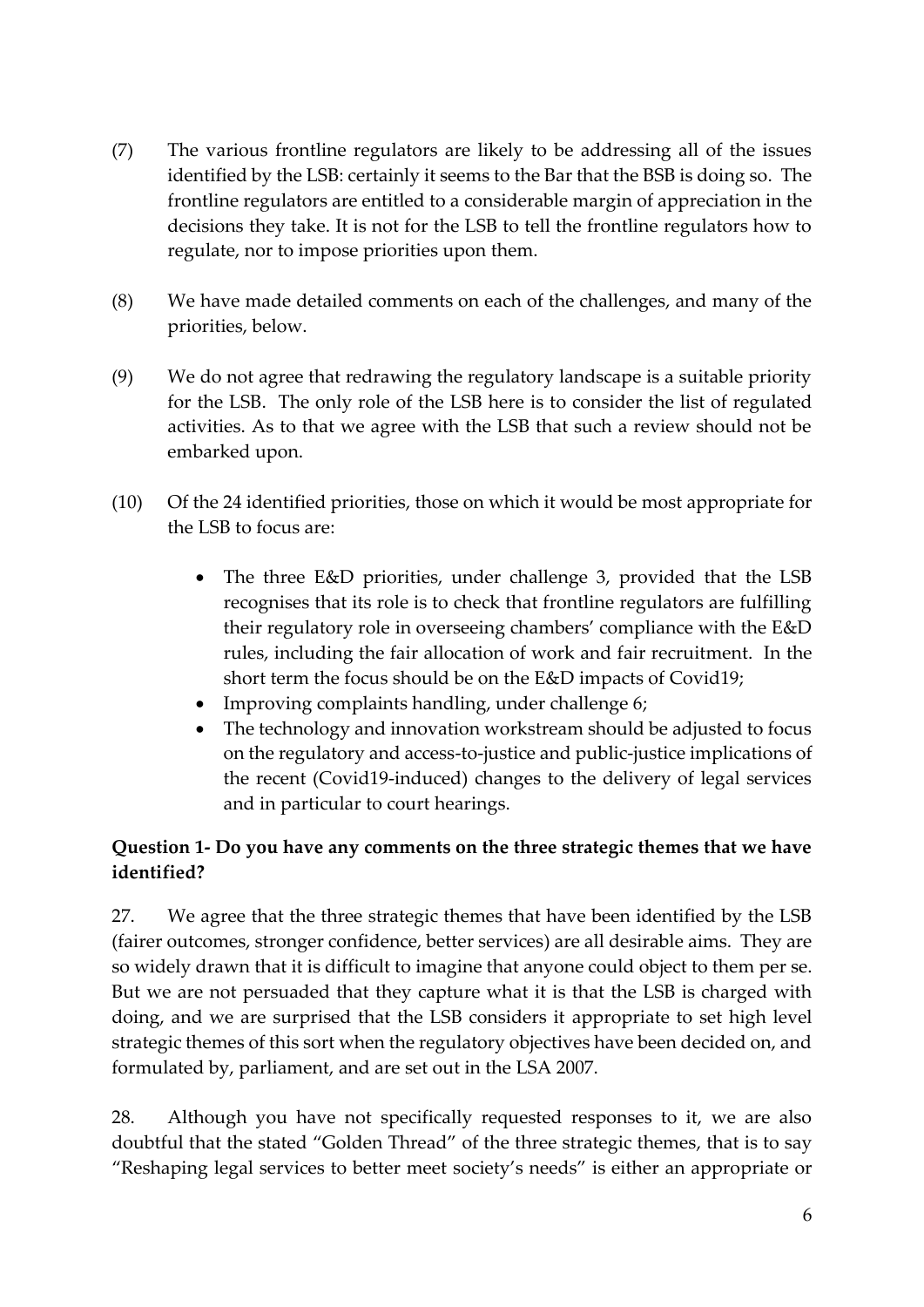- (7) The various frontline regulators are likely to be addressing all of the issues identified by the LSB: certainly it seems to the Bar that the BSB is doing so. The frontline regulators are entitled to a considerable margin of appreciation in the decisions they take. It is not for the LSB to tell the frontline regulators how to regulate, nor to impose priorities upon them.
- (8) We have made detailed comments on each of the challenges, and many of the priorities, below.
- (9) We do not agree that redrawing the regulatory landscape is a suitable priority for the LSB. The only role of the LSB here is to consider the list of regulated activities. As to that we agree with the LSB that such a review should not be embarked upon.
- (10) Of the 24 identified priorities, those on which it would be most appropriate for the LSB to focus are:
	- The three E&D priorities, under challenge 3, provided that the LSB recognises that its role is to check that frontline regulators are fulfilling their regulatory role in overseeing chambers' compliance with the E&D rules, including the fair allocation of work and fair recruitment. In the short term the focus should be on the E&D impacts of Covid19;
	- Improving complaints handling, under challenge 6;
	- The technology and innovation workstream should be adjusted to focus on the regulatory and access-to-justice and public-justice implications of the recent (Covid19-induced) changes to the delivery of legal services and in particular to court hearings.

## **Question 1- Do you have any comments on the three strategic themes that we have identified?**

27. We agree that the three strategic themes that have been identified by the LSB (fairer outcomes, stronger confidence, better services) are all desirable aims. They are so widely drawn that it is difficult to imagine that anyone could object to them per se. But we are not persuaded that they capture what it is that the LSB is charged with doing, and we are surprised that the LSB considers it appropriate to set high level strategic themes of this sort when the regulatory objectives have been decided on, and formulated by, parliament, and are set out in the LSA 2007.

28. Although you have not specifically requested responses to it, we are also doubtful that the stated "Golden Thread" of the three strategic themes, that is to say "Reshaping legal services to better meet society's needs" is either an appropriate or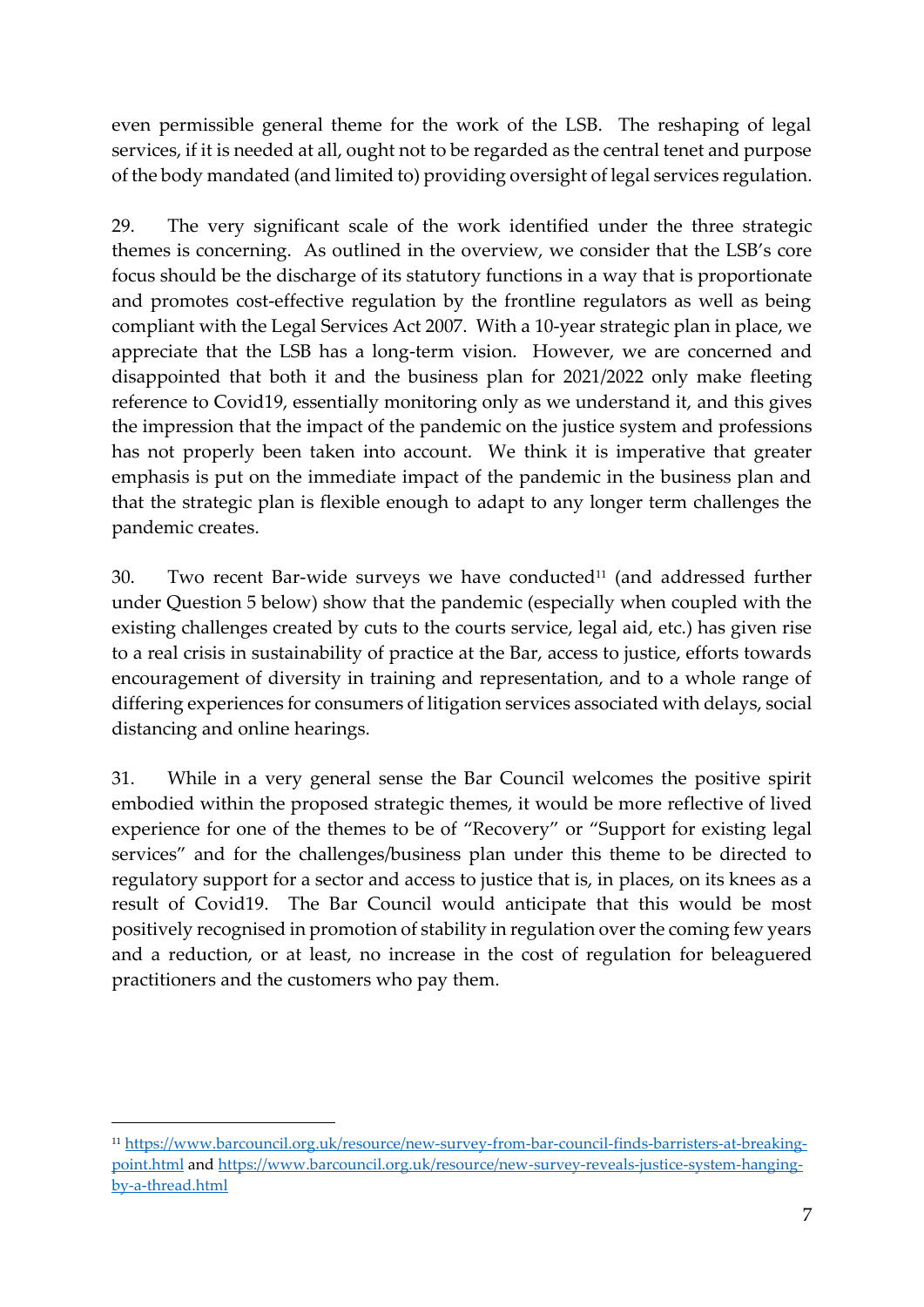even permissible general theme for the work of the LSB. The reshaping of legal services, if it is needed at all, ought not to be regarded as the central tenet and purpose of the body mandated (and limited to) providing oversight of legal services regulation.

29. The very significant scale of the work identified under the three strategic themes is concerning. As outlined in the overview, we consider that the LSB's core focus should be the discharge of its statutory functions in a way that is proportionate and promotes cost-effective regulation by the frontline regulators as well as being compliant with the Legal Services Act 2007. With a 10-year strategic plan in place, we appreciate that the LSB has a long-term vision. However, we are concerned and disappointed that both it and the business plan for 2021/2022 only make fleeting reference to Covid19, essentially monitoring only as we understand it, and this gives the impression that the impact of the pandemic on the justice system and professions has not properly been taken into account. We think it is imperative that greater emphasis is put on the immediate impact of the pandemic in the business plan and that the strategic plan is flexible enough to adapt to any longer term challenges the pandemic creates.

30. Two recent Bar-wide surveys we have conducted<sup>11</sup> (and addressed further under Question 5 below) show that the pandemic (especially when coupled with the existing challenges created by cuts to the courts service, legal aid, etc.) has given rise to a real crisis in sustainability of practice at the Bar, access to justice, efforts towards encouragement of diversity in training and representation, and to a whole range of differing experiences for consumers of litigation services associated with delays, social distancing and online hearings.

31. While in a very general sense the Bar Council welcomes the positive spirit embodied within the proposed strategic themes, it would be more reflective of lived experience for one of the themes to be of "Recovery" or "Support for existing legal services" and for the challenges/business plan under this theme to be directed to regulatory support for a sector and access to justice that is, in places, on its knees as a result of Covid19. The Bar Council would anticipate that this would be most positively recognised in promotion of stability in regulation over the coming few years and a reduction, or at least, no increase in the cost of regulation for beleaguered practitioners and the customers who pay them.

<sup>11</sup> [https://www.barcouncil.org.uk/resource/new-survey-from-bar-council-finds-barristers-at-breaking](about:blank)[point.html](about:blank) an[d https://www.barcouncil.org.uk/resource/new-survey-reveals-justice-system-hanging](about:blank)[by-a-thread.html](about:blank)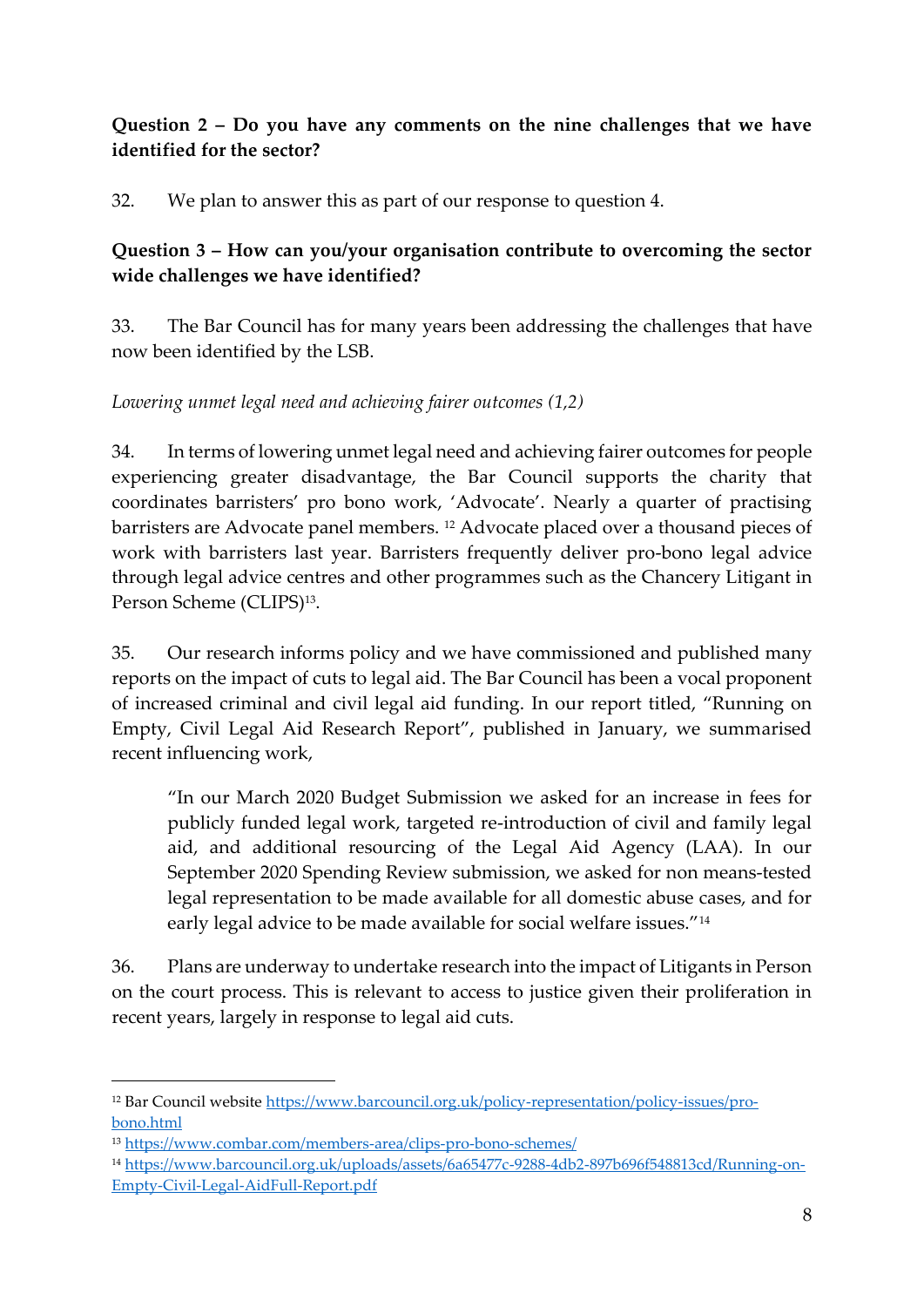## **Question 2 – Do you have any comments on the nine challenges that we have identified for the sector?**

32. We plan to answer this as part of our response to question 4.

### **Question 3 – How can you/your organisation contribute to overcoming the sector wide challenges we have identified?**

33. The Bar Council has for many years been addressing the challenges that have now been identified by the LSB.

*Lowering unmet legal need and achieving fairer outcomes (1,2)*

34. In terms of lowering unmet legal need and achieving fairer outcomes for people experiencing greater disadvantage, the Bar Council supports the charity that coordinates barristers' pro bono work, 'Advocate'. Nearly a quarter of practising barristers are Advocate panel members. <sup>12</sup> Advocate placed over a thousand pieces of work with barristers last year. Barristers frequently deliver pro-bono legal advice through legal advice centres and other programmes such as the Chancery Litigant in Person Scheme (CLIPS)<sup>13</sup>.

35. Our research informs policy and we have commissioned and published many reports on the impact of cuts to legal aid. The Bar Council has been a vocal proponent of increased criminal and civil legal aid funding. In our report titled, "Running on Empty, Civil Legal Aid Research Report", published in January, we summarised recent influencing work,

"In our March 2020 Budget Submission we asked for an increase in fees for publicly funded legal work, targeted re-introduction of civil and family legal aid, and additional resourcing of the Legal Aid Agency (LAA). In our September 2020 Spending Review submission, we asked for non means-tested legal representation to be made available for all domestic abuse cases, and for early legal advice to be made available for social welfare issues."<sup>14</sup>

36. Plans are underway to undertake research into the impact of Litigants in Person on the court process. This is relevant to access to justice given their proliferation in recent years, largely in response to legal aid cuts.

<sup>12</sup> Bar Council website [https://www.barcouncil.org.uk/policy-representation/policy-issues/pro](about:blank)[bono.html](about:blank)

<sup>13</sup> [https://www.combar.com/members-area/clips-pro-bono-schemes/](about:blank)

<sup>14</sup> [https://www.barcouncil.org.uk/uploads/assets/6a65477c-9288-4db2-897b696f548813cd/Running-on-](about:blank)[Empty-Civil-Legal-AidFull-Report.pdf](about:blank)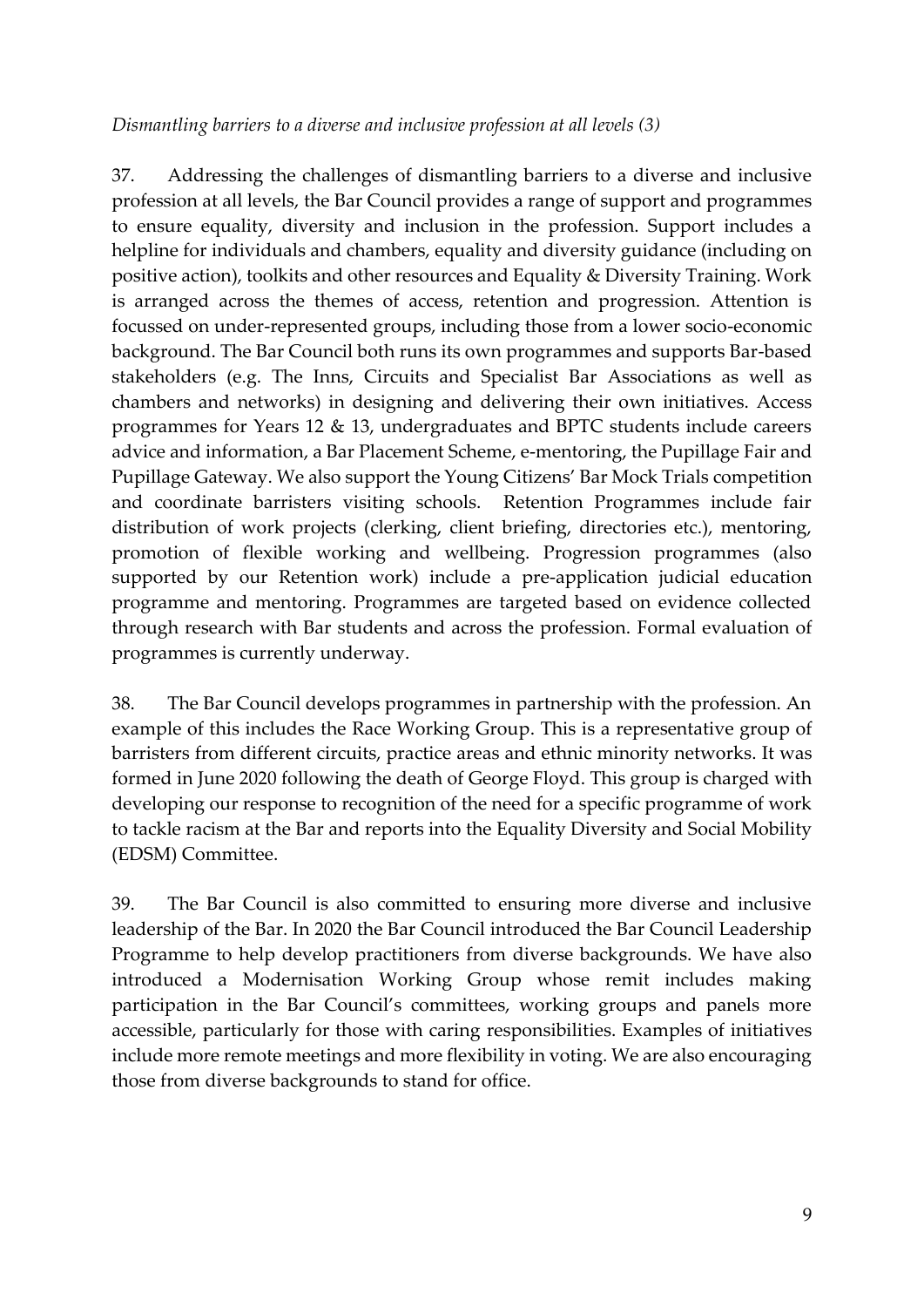#### *Dismantling barriers to a diverse and inclusive profession at all levels (3)*

37. Addressing the challenges of dismantling barriers to a diverse and inclusive profession at all levels, the Bar Council provides a range of support and programmes to ensure equality, diversity and inclusion in the profession. Support includes a helpline for individuals and chambers, equality and diversity guidance (including on positive action), toolkits and other resources and Equality & Diversity Training. Work is arranged across the themes of access, retention and progression. Attention is focussed on under-represented groups, including those from a lower socio-economic background. The Bar Council both runs its own programmes and supports Bar-based stakeholders (e.g. The Inns, Circuits and Specialist Bar Associations as well as chambers and networks) in designing and delivering their own initiatives. Access programmes for Years 12 & 13, undergraduates and BPTC students include careers advice and information, a Bar Placement Scheme, e-mentoring, the Pupillage Fair and Pupillage Gateway. We also support the Young Citizens' Bar Mock Trials competition and coordinate barristers visiting schools. Retention Programmes include fair distribution of work projects (clerking, client briefing, directories etc.), mentoring, promotion of flexible working and wellbeing. Progression programmes (also supported by our Retention work) include a pre-application judicial education programme and mentoring. Programmes are targeted based on evidence collected through research with Bar students and across the profession. Formal evaluation of programmes is currently underway.

38. The Bar Council develops programmes in partnership with the profession. An example of this includes the Race Working Group. This is a representative group of barristers from different circuits, practice areas and ethnic minority networks. It was formed in June 2020 following the death of George Floyd. This group is charged with developing our response to recognition of the need for a specific programme of work to tackle racism at the Bar and reports into the Equality Diversity and Social Mobility (EDSM) Committee.

39. The Bar Council is also committed to ensuring more diverse and inclusive leadership of the Bar. In 2020 the Bar Council introduced the Bar Council Leadership Programme to help develop practitioners from diverse backgrounds. We have also introduced a Modernisation Working Group whose remit includes making participation in the Bar Council's committees, working groups and panels more accessible, particularly for those with caring responsibilities. Examples of initiatives include more remote meetings and more flexibility in voting. We are also encouraging those from diverse backgrounds to stand for office.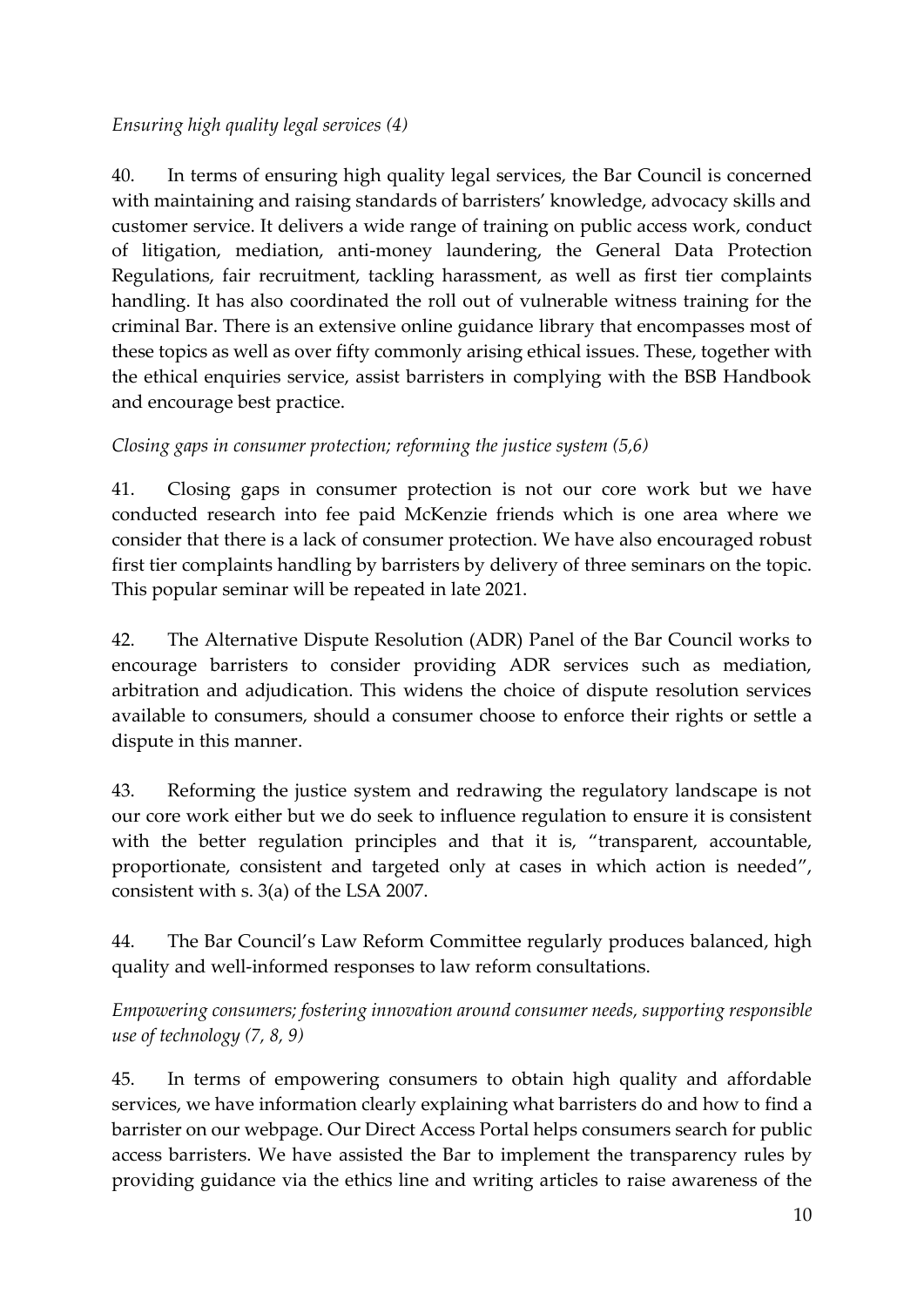### *Ensuring high quality legal services (4)*

40. In terms of ensuring high quality legal services, the Bar Council is concerned with maintaining and raising standards of barristers' knowledge, advocacy skills and customer service. It delivers a wide range of training on public access work, conduct of litigation, mediation, anti-money laundering, the General Data Protection Regulations, fair recruitment, tackling harassment, as well as first tier complaints handling. It has also coordinated the roll out of vulnerable witness training for the criminal Bar. There is an extensive online guidance library that encompasses most of these topics as well as over fifty commonly arising ethical issues. These, together with the ethical enquiries service, assist barristers in complying with the BSB Handbook and encourage best practice.

### *Closing gaps in consumer protection; reforming the justice system (5,6)*

41. Closing gaps in consumer protection is not our core work but we have conducted research into fee paid McKenzie friends which is one area where we consider that there is a lack of consumer protection. We have also encouraged robust first tier complaints handling by barristers by delivery of three seminars on the topic. This popular seminar will be repeated in late 2021.

42. The Alternative Dispute Resolution (ADR) Panel of the Bar Council works to encourage barristers to consider providing ADR services such as mediation, arbitration and adjudication. This widens the choice of dispute resolution services available to consumers, should a consumer choose to enforce their rights or settle a dispute in this manner.

43. Reforming the justice system and redrawing the regulatory landscape is not our core work either but we do seek to influence regulation to ensure it is consistent with the better regulation principles and that it is, "transparent, accountable, proportionate, consistent and targeted only at cases in which action is needed", consistent with s. 3(a) of the LSA 2007.

44. The Bar Council's Law Reform Committee regularly produces balanced, high quality and well-informed responses to law reform consultations.

*Empowering consumers; fostering innovation around consumer needs, supporting responsible use of technology (7, 8, 9)*

45. In terms of empowering consumers to obtain high quality and affordable services, we have information clearly explaining what barristers do and how to find a barrister on our webpage. Our Direct Access Portal helps consumers search for public access barristers. We have assisted the Bar to implement the transparency rules by providing guidance via the ethics line and writing articles to raise awareness of the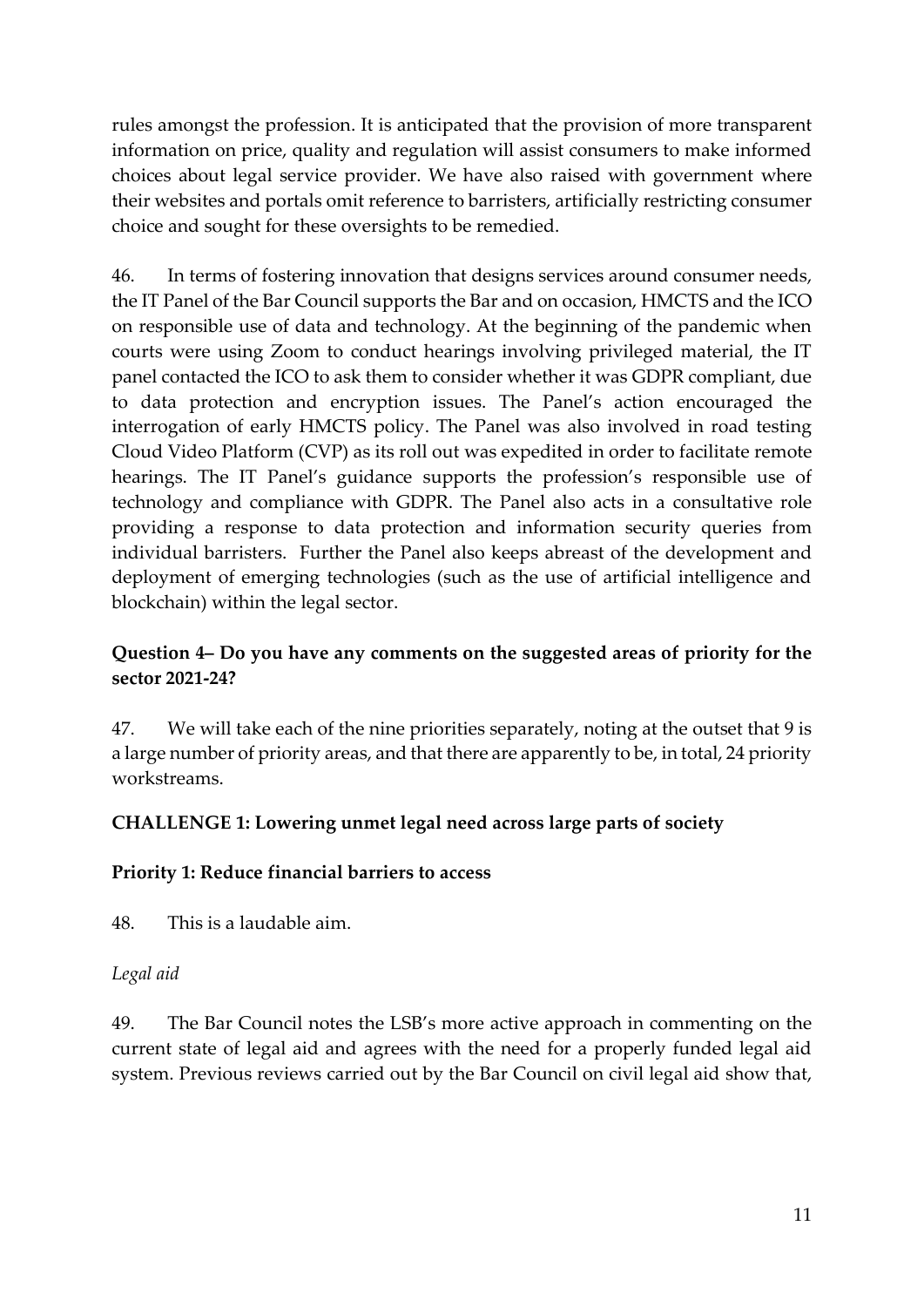rules amongst the profession. It is anticipated that the provision of more transparent information on price, quality and regulation will assist consumers to make informed choices about legal service provider. We have also raised with government where their websites and portals omit reference to barristers, artificially restricting consumer choice and sought for these oversights to be remedied.

46. In terms of fostering innovation that designs services around consumer needs, the IT Panel of the Bar Council supports the Bar and on occasion, HMCTS and the ICO on responsible use of data and technology. At the beginning of the pandemic when courts were using Zoom to conduct hearings involving privileged material, the IT panel contacted the ICO to ask them to consider whether it was GDPR compliant, due to data protection and encryption issues. The Panel's action encouraged the interrogation of early HMCTS policy. The Panel was also involved in road testing Cloud Video Platform (CVP) as its roll out was expedited in order to facilitate remote hearings. The IT Panel's guidance supports the profession's responsible use of technology and compliance with GDPR. The Panel also acts in a consultative role providing a response to data protection and information security queries from individual barristers. Further the Panel also keeps abreast of the development and deployment of emerging technologies (such as the use of artificial intelligence and blockchain) within the legal sector.

## **Question 4– Do you have any comments on the suggested areas of priority for the sector 2021-24?**

47. We will take each of the nine priorities separately, noting at the outset that 9 is a large number of priority areas, and that there are apparently to be, in total, 24 priority workstreams.

## **CHALLENGE 1: Lowering unmet legal need across large parts of society**

## **Priority 1: Reduce financial barriers to access**

48. This is a laudable aim.

## *Legal aid*

49. The Bar Council notes the LSB's more active approach in commenting on the current state of legal aid and agrees with the need for a properly funded legal aid system. Previous reviews carried out by the Bar Council on civil legal aid show that,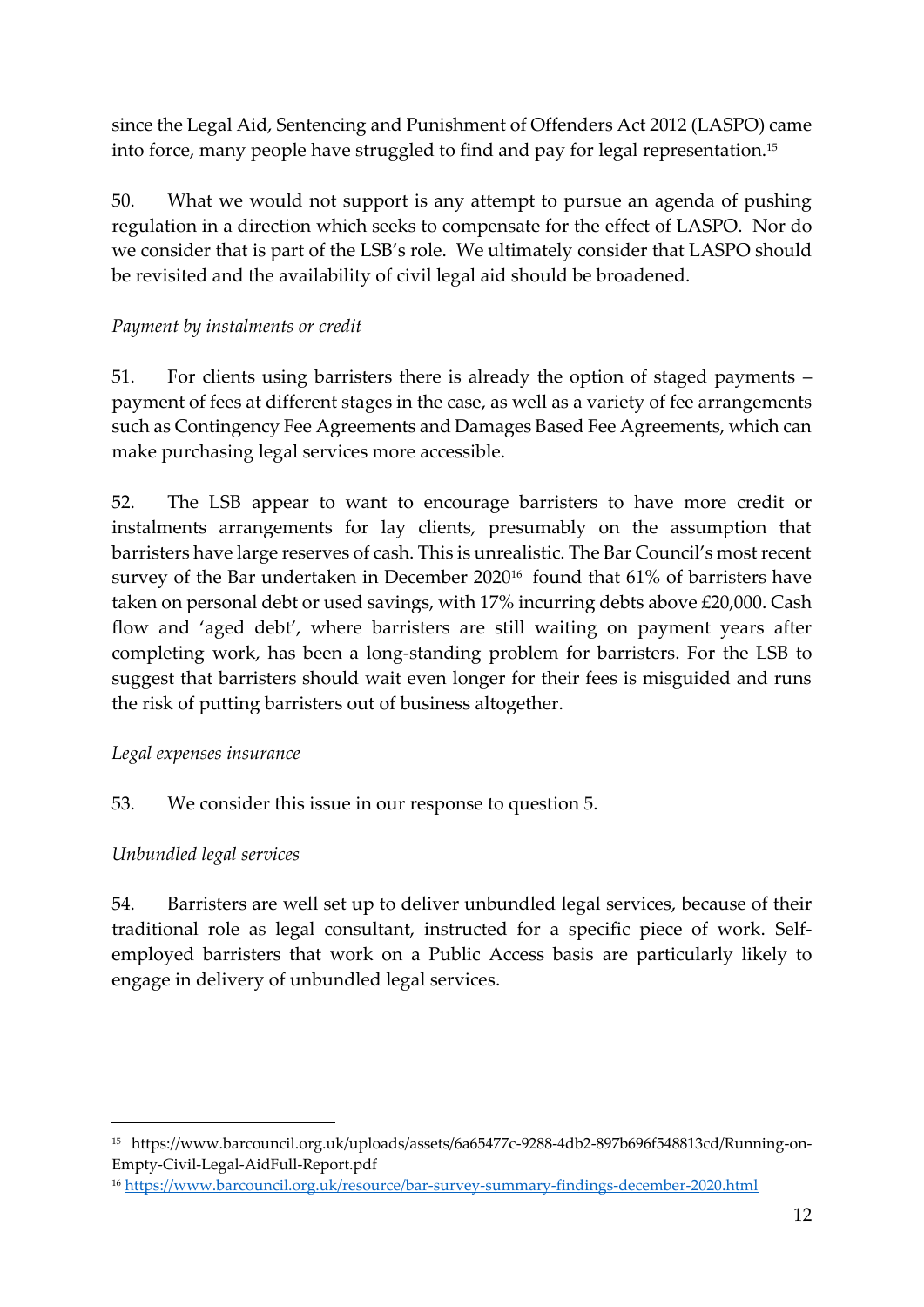since the Legal Aid, Sentencing and Punishment of Offenders Act 2012 (LASPO) came into force, many people have struggled to find and pay for legal representation.<sup>15</sup>

50. What we would not support is any attempt to pursue an agenda of pushing regulation in a direction which seeks to compensate for the effect of LASPO. Nor do we consider that is part of the LSB's role. We ultimately consider that LASPO should be revisited and the availability of civil legal aid should be broadened.

## *Payment by instalments or credit*

51. For clients using barristers there is already the option of staged payments – payment of fees at different stages in the case, as well as a variety of fee arrangements such as Contingency Fee Agreements and Damages Based Fee Agreements, which can make purchasing legal services more accessible.

52. The LSB appear to want to encourage barristers to have more credit or instalments arrangements for lay clients, presumably on the assumption that barristers have large reserves of cash. This is unrealistic. The Bar Council's most recent survey of the Bar undertaken in December 2020<sup>16</sup> found that 61% of barristers have taken on personal debt or used savings, with 17% incurring debts above £20,000. Cash flow and 'aged debt', where barristers are still waiting on payment years after completing work, has been a long-standing problem for barristers. For the LSB to suggest that barristers should wait even longer for their fees is misguided and runs the risk of putting barristers out of business altogether.

## *Legal expenses insurance*

## 53. We consider this issue in our response to question 5.

## *Unbundled legal services*

54. Barristers are well set up to deliver unbundled legal services, because of their traditional role as legal consultant, instructed for a specific piece of work. Selfemployed barristers that work on a Public Access basis are particularly likely to engage in delivery of unbundled legal services.

<sup>15</sup> https://www.barcouncil.org.uk/uploads/assets/6a65477c-9288-4db2-897b696f548813cd/Running-on-Empty-Civil-Legal-AidFull-Report.pdf

<sup>16</sup> [https://www.barcouncil.org.uk/resource/bar-survey-summary-findings-december-2020.html](about:blank)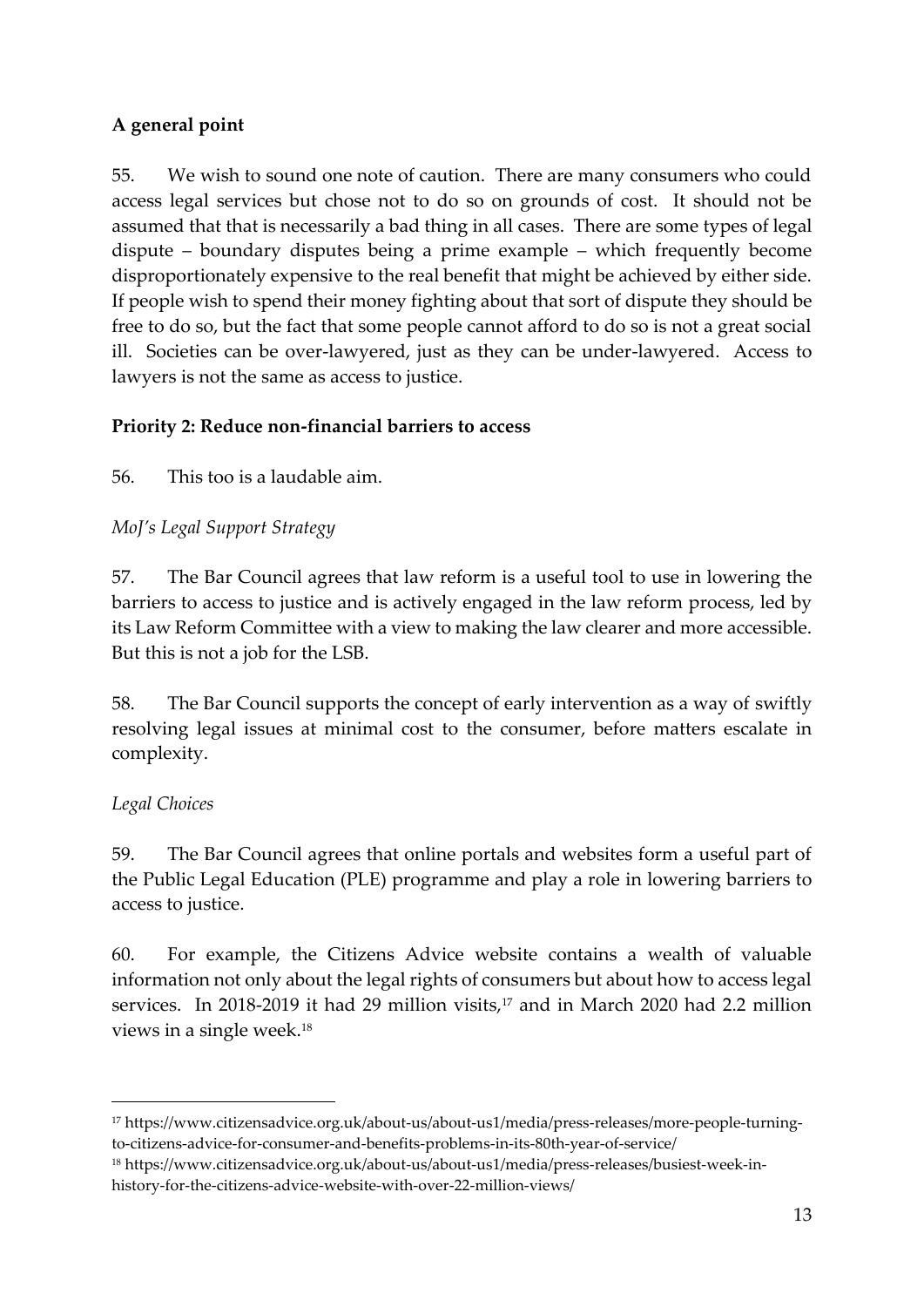## **A general point**

55. We wish to sound one note of caution. There are many consumers who could access legal services but chose not to do so on grounds of cost. It should not be assumed that that is necessarily a bad thing in all cases. There are some types of legal dispute – boundary disputes being a prime example – which frequently become disproportionately expensive to the real benefit that might be achieved by either side. If people wish to spend their money fighting about that sort of dispute they should be free to do so, but the fact that some people cannot afford to do so is not a great social ill. Societies can be over-lawyered, just as they can be under-lawyered. Access to lawyers is not the same as access to justice.

## **Priority 2: Reduce non-financial barriers to access**

56. This too is a laudable aim.

## *MoJ's Legal Support Strategy*

57. The Bar Council agrees that law reform is a useful tool to use in lowering the barriers to access to justice and is actively engaged in the law reform process, led by its Law Reform Committee with a view to making the law clearer and more accessible. But this is not a job for the LSB.

58. The Bar Council supports the concept of early intervention as a way of swiftly resolving legal issues at minimal cost to the consumer, before matters escalate in complexity.

## *Legal Choices*

59. The Bar Council agrees that online portals and websites form a useful part of the Public Legal Education (PLE) programme and play a role in lowering barriers to access to justice.

60. For example, the Citizens Advice website contains a wealth of valuable information not only about the legal rights of consumers but about how to access legal services. In 2018-2019 it had 29 million visits,<sup>17</sup> and in March 2020 had 2.2 million views in a single week. 18

<sup>17</sup> https://www.citizensadvice.org.uk/about-us/about-us1/media/press-releases/more-people-turningto-citizens-advice-for-consumer-and-benefits-problems-in-its-80th-year-of-service/

<sup>18</sup> https://www.citizensadvice.org.uk/about-us/about-us1/media/press-releases/busiest-week-inhistory-for-the-citizens-advice-website-with-over-22-million-views/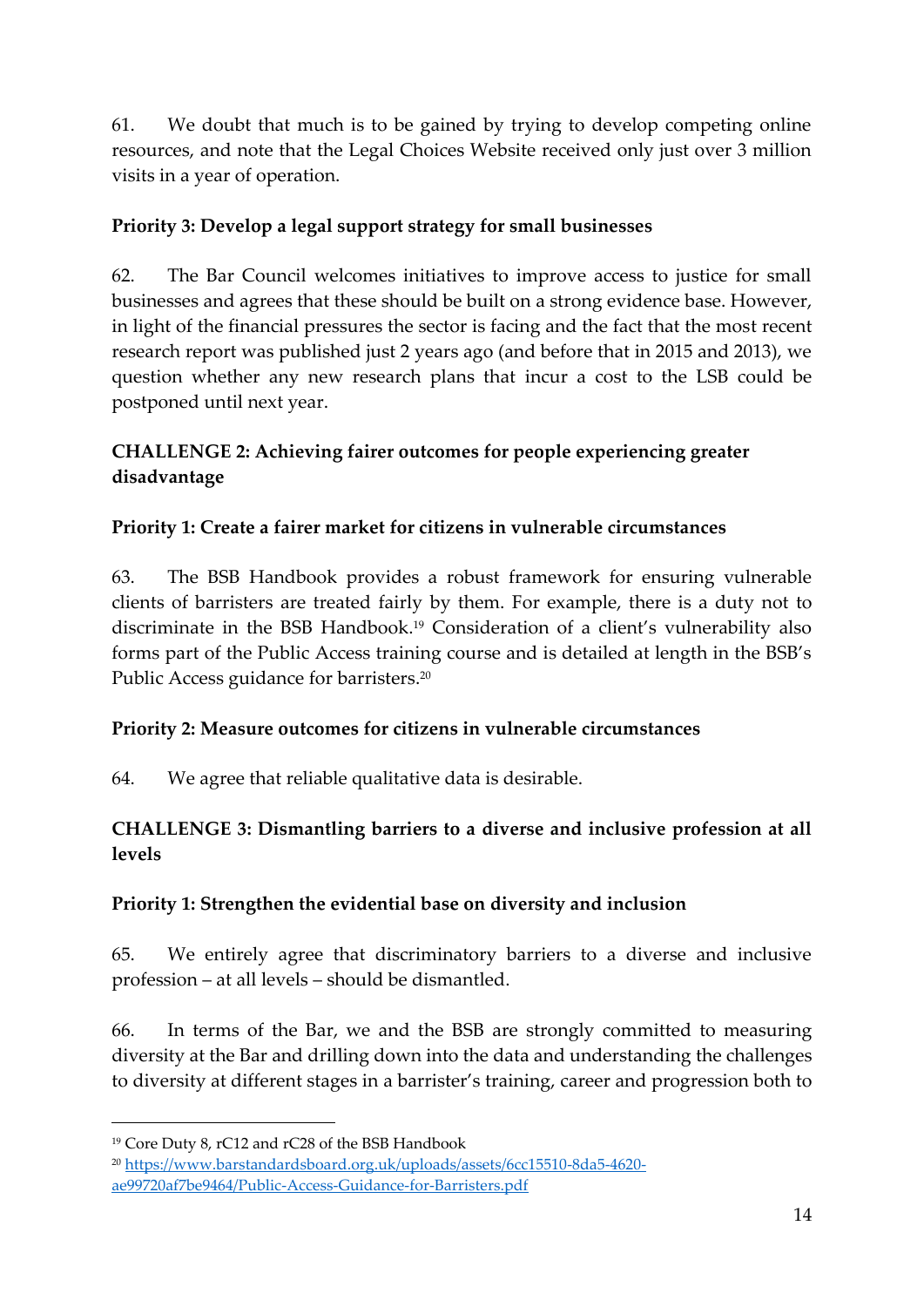61. We doubt that much is to be gained by trying to develop competing online resources, and note that the Legal Choices Website received only just over 3 million visits in a year of operation.

## **Priority 3: Develop a legal support strategy for small businesses**

62. The Bar Council welcomes initiatives to improve access to justice for small businesses and agrees that these should be built on a strong evidence base. However, in light of the financial pressures the sector is facing and the fact that the most recent research report was published just 2 years ago (and before that in 2015 and 2013), we question whether any new research plans that incur a cost to the LSB could be postponed until next year.

## **CHALLENGE 2: Achieving fairer outcomes for people experiencing greater disadvantage**

### **Priority 1: Create a fairer market for citizens in vulnerable circumstances**

63. The BSB Handbook provides a robust framework for ensuring vulnerable clients of barristers are treated fairly by them. For example, there is a duty not to discriminate in the BSB Handbook.<sup>19</sup> Consideration of a client's vulnerability also forms part of the Public Access training course and is detailed at length in the BSB's Public Access guidance for barristers. 20

## **Priority 2: Measure outcomes for citizens in vulnerable circumstances**

64. We agree that reliable qualitative data is desirable.

## **CHALLENGE 3: Dismantling barriers to a diverse and inclusive profession at all levels**

## **Priority 1: Strengthen the evidential base on diversity and inclusion**

65. We entirely agree that discriminatory barriers to a diverse and inclusive profession – at all levels – should be dismantled.

66. In terms of the Bar, we and the BSB are strongly committed to measuring diversity at the Bar and drilling down into the data and understanding the challenges to diversity at different stages in a barrister's training, career and progression both to

<sup>19</sup> Core Duty 8, rC12 and rC28 of the BSB Handbook

<sup>20</sup> [https://www.barstandardsboard.org.uk/uploads/assets/6cc15510-8da5-4620](about:blank) [ae99720af7be9464/Public-Access-Guidance-for-Barristers.pdf](about:blank)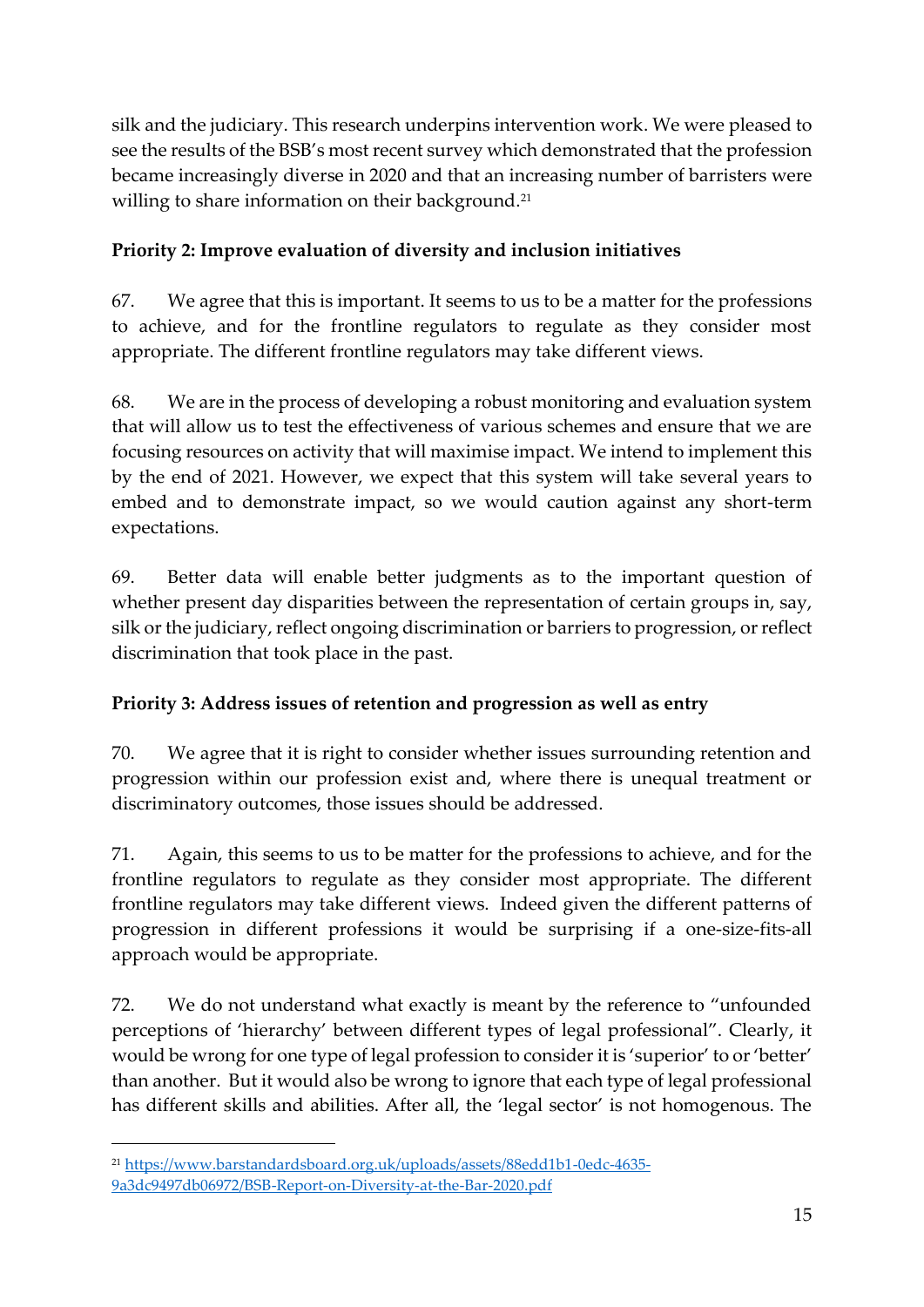silk and the judiciary. This research underpins intervention work. We were pleased to see the results of the BSB's most recent survey which demonstrated that the profession became increasingly diverse in 2020 and that an increasing number of barristers were willing to share information on their background.<sup>21</sup>

# **Priority 2: Improve evaluation of diversity and inclusion initiatives**

67. We agree that this is important. It seems to us to be a matter for the professions to achieve, and for the frontline regulators to regulate as they consider most appropriate. The different frontline regulators may take different views.

68. We are in the process of developing a robust monitoring and evaluation system that will allow us to test the effectiveness of various schemes and ensure that we are focusing resources on activity that will maximise impact. We intend to implement this by the end of 2021. However, we expect that this system will take several years to embed and to demonstrate impact, so we would caution against any short-term expectations.

69. Better data will enable better judgments as to the important question of whether present day disparities between the representation of certain groups in, say, silk or the judiciary, reflect ongoing discrimination or barriers to progression, or reflect discrimination that took place in the past.

# **Priority 3: Address issues of retention and progression as well as entry**

70. We agree that it is right to consider whether issues surrounding retention and progression within our profession exist and, where there is unequal treatment or discriminatory outcomes, those issues should be addressed.

71. Again, this seems to us to be matter for the professions to achieve, and for the frontline regulators to regulate as they consider most appropriate. The different frontline regulators may take different views. Indeed given the different patterns of progression in different professions it would be surprising if a one-size-fits-all approach would be appropriate.

72. We do not understand what exactly is meant by the reference to "unfounded perceptions of 'hierarchy' between different types of legal professional". Clearly, it would be wrong for one type of legal profession to consider it is 'superior' to or 'better' than another. But it would also be wrong to ignore that each type of legal professional has different skills and abilities. After all, the 'legal sector' is not homogenous. The

<sup>21</sup> [https://www.barstandardsboard.org.uk/uploads/assets/88edd1b1-0edc-4635-](about:blank) [9a3dc9497db06972/BSB-Report-on-Diversity-at-the-Bar-2020.pdf](about:blank)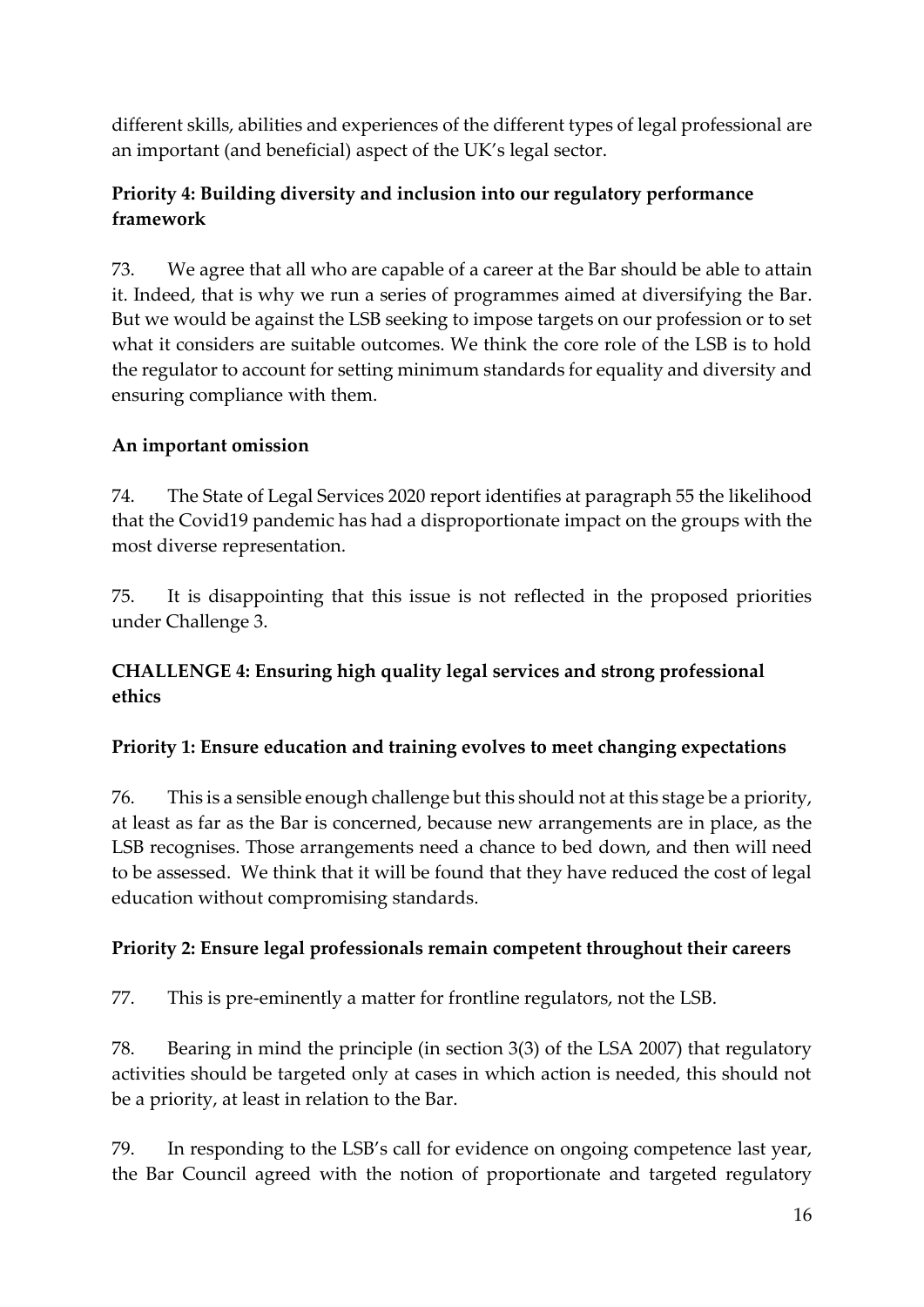different skills, abilities and experiences of the different types of legal professional are an important (and beneficial) aspect of the UK's legal sector.

## **Priority 4: Building diversity and inclusion into our regulatory performance framework**

73. We agree that all who are capable of a career at the Bar should be able to attain it. Indeed, that is why we run a series of programmes aimed at diversifying the Bar. But we would be against the LSB seeking to impose targets on our profession or to set what it considers are suitable outcomes. We think the core role of the LSB is to hold the regulator to account for setting minimum standards for equality and diversity and ensuring compliance with them.

## **An important omission**

74. The State of Legal Services 2020 report identifies at paragraph 55 the likelihood that the Covid19 pandemic has had a disproportionate impact on the groups with the most diverse representation.

75. It is disappointing that this issue is not reflected in the proposed priorities under Challenge 3.

## **CHALLENGE 4: Ensuring high quality legal services and strong professional ethics**

## **Priority 1: Ensure education and training evolves to meet changing expectations**

76. This is a sensible enough challenge but this should not at this stage be a priority, at least as far as the Bar is concerned, because new arrangements are in place, as the LSB recognises. Those arrangements need a chance to bed down, and then will need to be assessed. We think that it will be found that they have reduced the cost of legal education without compromising standards.

## **Priority 2: Ensure legal professionals remain competent throughout their careers**

77. This is pre-eminently a matter for frontline regulators, not the LSB.

78. Bearing in mind the principle (in section 3(3) of the LSA 2007) that regulatory activities should be targeted only at cases in which action is needed, this should not be a priority, at least in relation to the Bar.

79. In responding to the LSB's call for evidence on ongoing competence last year, the Bar Council agreed with the notion of proportionate and targeted regulatory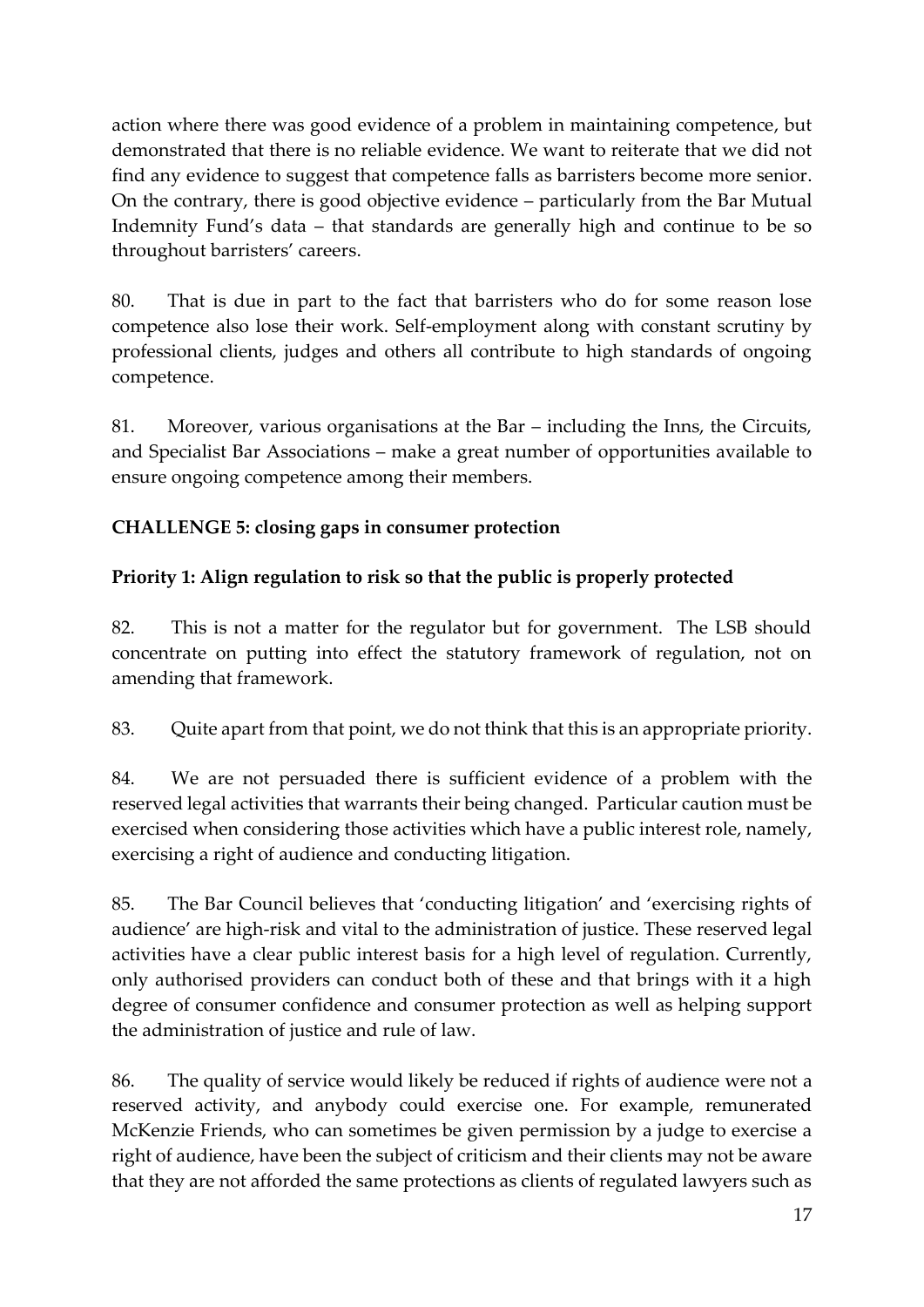action where there was good evidence of a problem in maintaining competence, but demonstrated that there is no reliable evidence. We want to reiterate that we did not find any evidence to suggest that competence falls as barristers become more senior. On the contrary, there is good objective evidence – particularly from the Bar Mutual Indemnity Fund's data – that standards are generally high and continue to be so throughout barristers' careers.

80. That is due in part to the fact that barristers who do for some reason lose competence also lose their work. Self-employment along with constant scrutiny by professional clients, judges and others all contribute to high standards of ongoing competence.

81. Moreover, various organisations at the Bar – including the Inns, the Circuits, and Specialist Bar Associations – make a great number of opportunities available to ensure ongoing competence among their members.

## **CHALLENGE 5: closing gaps in consumer protection**

# **Priority 1: Align regulation to risk so that the public is properly protected**

82. This is not a matter for the regulator but for government. The LSB should concentrate on putting into effect the statutory framework of regulation, not on amending that framework.

83. Quite apart from that point, we do not think that this is an appropriate priority.

84. We are not persuaded there is sufficient evidence of a problem with the reserved legal activities that warrants their being changed. Particular caution must be exercised when considering those activities which have a public interest role, namely, exercising a right of audience and conducting litigation.

85. The Bar Council believes that 'conducting litigation' and 'exercising rights of audience' are high-risk and vital to the administration of justice. These reserved legal activities have a clear public interest basis for a high level of regulation. Currently, only authorised providers can conduct both of these and that brings with it a high degree of consumer confidence and consumer protection as well as helping support the administration of justice and rule of law.

86. The quality of service would likely be reduced if rights of audience were not a reserved activity, and anybody could exercise one. For example, remunerated McKenzie Friends, who can sometimes be given permission by a judge to exercise a right of audience, have been the subject of criticism and their clients may not be aware that they are not afforded the same protections as clients of regulated lawyers such as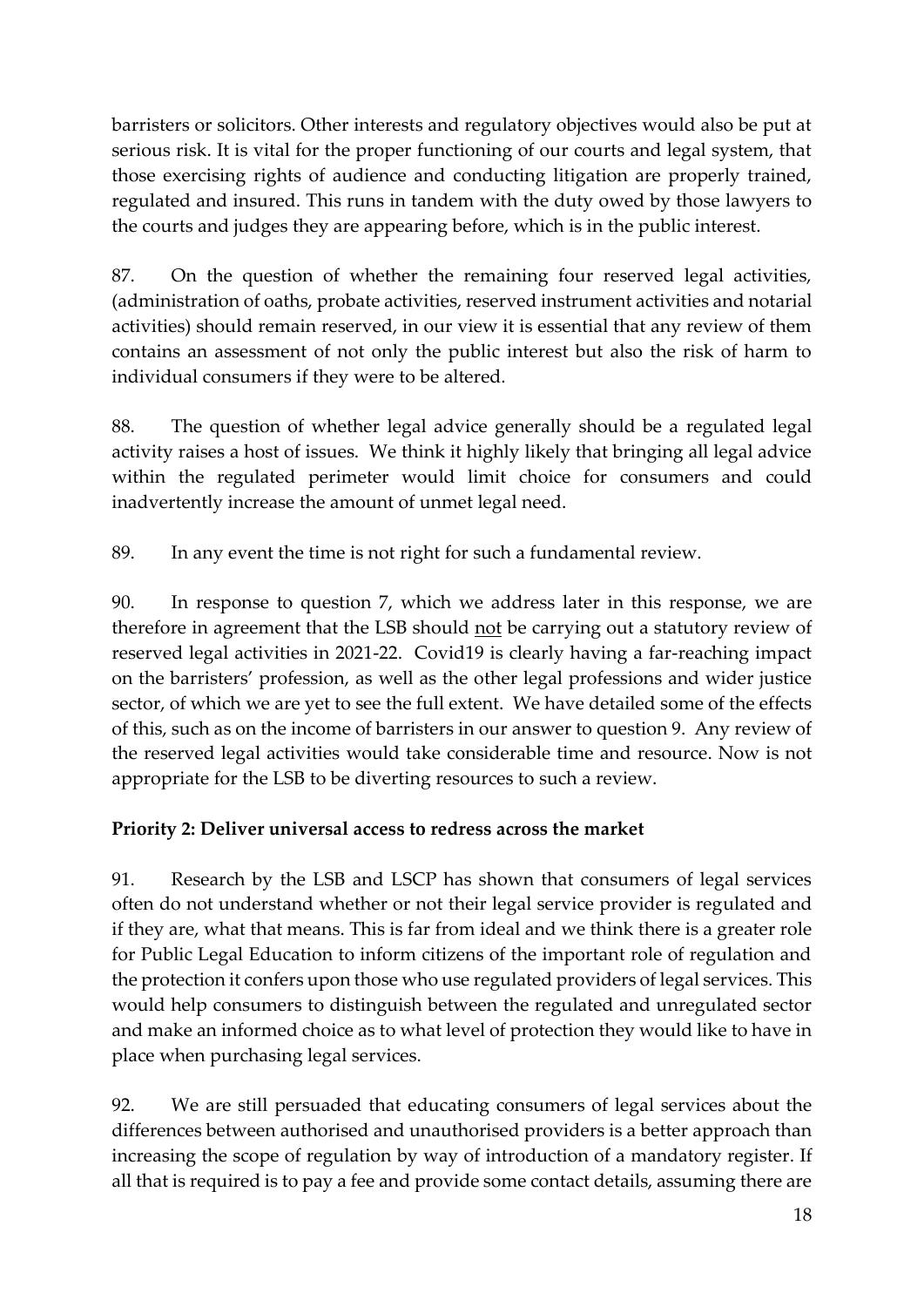barristers or solicitors. Other interests and regulatory objectives would also be put at serious risk. It is vital for the proper functioning of our courts and legal system, that those exercising rights of audience and conducting litigation are properly trained, regulated and insured. This runs in tandem with the duty owed by those lawyers to the courts and judges they are appearing before, which is in the public interest.

87. On the question of whether the remaining four reserved legal activities, (administration of oaths, probate activities, reserved instrument activities and notarial activities) should remain reserved, in our view it is essential that any review of them contains an assessment of not only the public interest but also the risk of harm to individual consumers if they were to be altered.

88. The question of whether legal advice generally should be a regulated legal activity raises a host of issues. We think it highly likely that bringing all legal advice within the regulated perimeter would limit choice for consumers and could inadvertently increase the amount of unmet legal need.

89. In any event the time is not right for such a fundamental review.

90. In response to question 7, which we address later in this response, we are therefore in agreement that the LSB should not be carrying out a statutory review of reserved legal activities in 2021-22. Covid19 is clearly having a far-reaching impact on the barristers' profession, as well as the other legal professions and wider justice sector, of which we are yet to see the full extent. We have detailed some of the effects of this, such as on the income of barristers in our answer to question 9. Any review of the reserved legal activities would take considerable time and resource. Now is not appropriate for the LSB to be diverting resources to such a review.

## **Priority 2: Deliver universal access to redress across the market**

91. Research by the LSB and LSCP has shown that consumers of legal services often do not understand whether or not their legal service provider is regulated and if they are, what that means. This is far from ideal and we think there is a greater role for Public Legal Education to inform citizens of the important role of regulation and the protection it confers upon those who use regulated providers of legal services. This would help consumers to distinguish between the regulated and unregulated sector and make an informed choice as to what level of protection they would like to have in place when purchasing legal services.

92. We are still persuaded that educating consumers of legal services about the differences between authorised and unauthorised providers is a better approach than increasing the scope of regulation by way of introduction of a mandatory register. If all that is required is to pay a fee and provide some contact details, assuming there are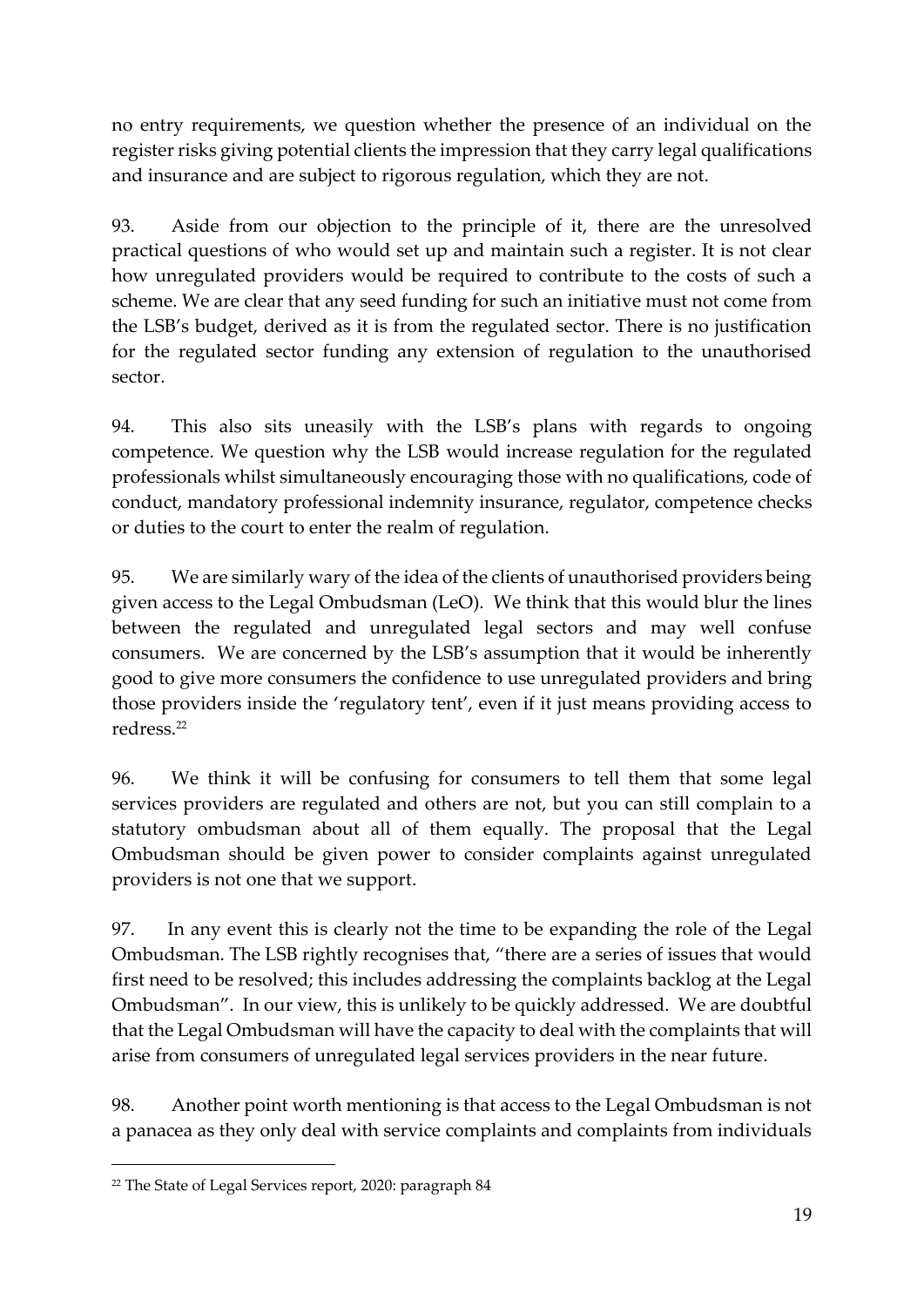no entry requirements, we question whether the presence of an individual on the register risks giving potential clients the impression that they carry legal qualifications and insurance and are subject to rigorous regulation, which they are not.

93. Aside from our objection to the principle of it, there are the unresolved practical questions of who would set up and maintain such a register. It is not clear how unregulated providers would be required to contribute to the costs of such a scheme. We are clear that any seed funding for such an initiative must not come from the LSB's budget, derived as it is from the regulated sector. There is no justification for the regulated sector funding any extension of regulation to the unauthorised sector.

94. This also sits uneasily with the LSB's plans with regards to ongoing competence. We question why the LSB would increase regulation for the regulated professionals whilst simultaneously encouraging those with no qualifications, code of conduct, mandatory professional indemnity insurance, regulator, competence checks or duties to the court to enter the realm of regulation.

95. We are similarly wary of the idea of the clients of unauthorised providers being given access to the Legal Ombudsman (LeO). We think that this would blur the lines between the regulated and unregulated legal sectors and may well confuse consumers. We are concerned by the LSB's assumption that it would be inherently good to give more consumers the confidence to use unregulated providers and bring those providers inside the 'regulatory tent', even if it just means providing access to redress.<sup>22</sup>

96. We think it will be confusing for consumers to tell them that some legal services providers are regulated and others are not, but you can still complain to a statutory ombudsman about all of them equally. The proposal that the Legal Ombudsman should be given power to consider complaints against unregulated providers is not one that we support.

97. In any event this is clearly not the time to be expanding the role of the Legal Ombudsman. The LSB rightly recognises that, "there are a series of issues that would first need to be resolved; this includes addressing the complaints backlog at the Legal Ombudsman". In our view, this is unlikely to be quickly addressed. We are doubtful that the Legal Ombudsman will have the capacity to deal with the complaints that will arise from consumers of unregulated legal services providers in the near future.

98. Another point worth mentioning is that access to the Legal Ombudsman is not a panacea as they only deal with service complaints and complaints from individuals

<sup>22</sup> The State of Legal Services report, 2020: paragraph 84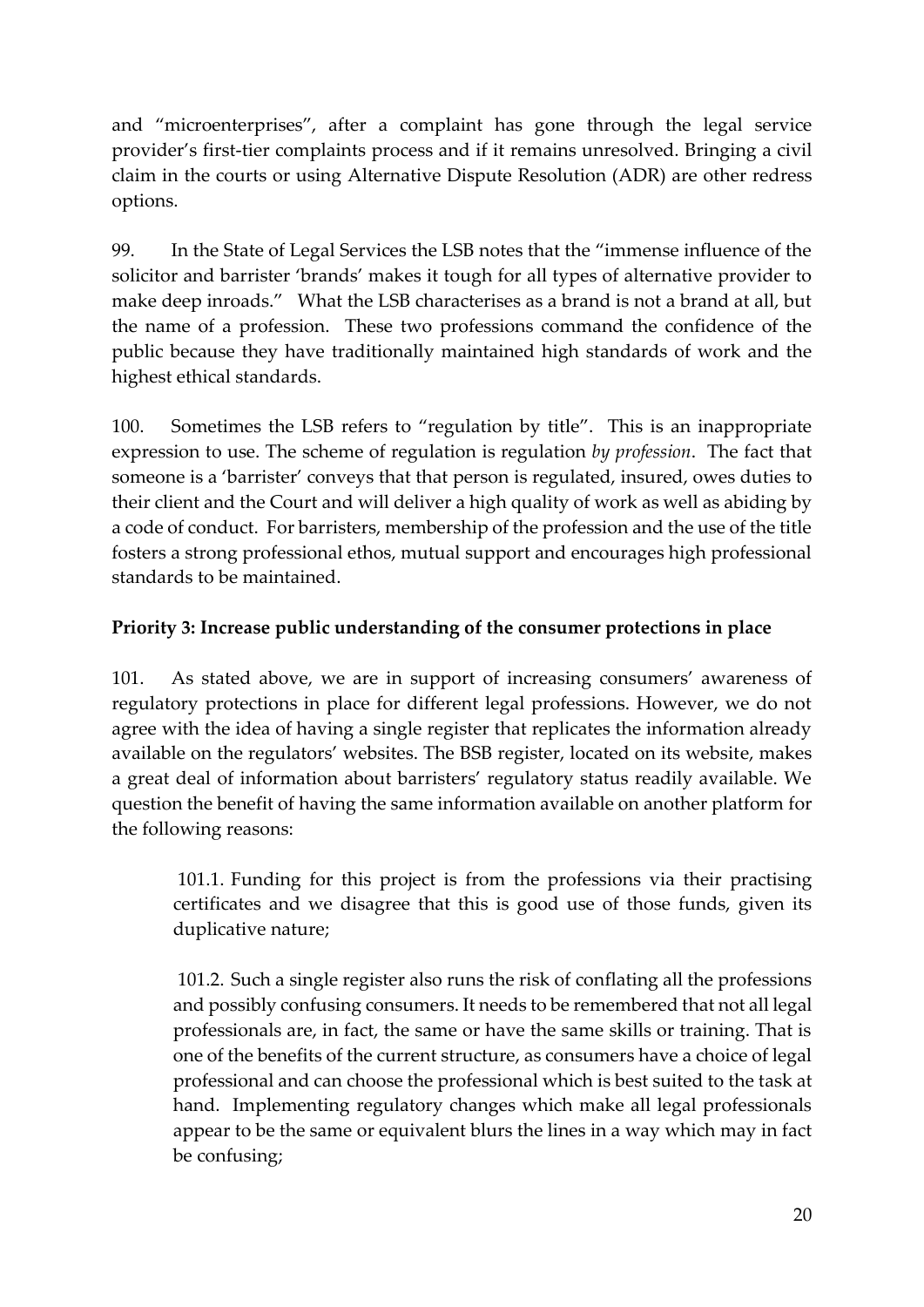and "microenterprises", after a complaint has gone through the legal service provider's first-tier complaints process and if it remains unresolved. Bringing a civil claim in the courts or using Alternative Dispute Resolution (ADR) are other redress options.

99. In the State of Legal Services the LSB notes that the "immense influence of the solicitor and barrister 'brands' makes it tough for all types of alternative provider to make deep inroads." What the LSB characterises as a brand is not a brand at all, but the name of a profession. These two professions command the confidence of the public because they have traditionally maintained high standards of work and the highest ethical standards.

100. Sometimes the LSB refers to "regulation by title". This is an inappropriate expression to use. The scheme of regulation is regulation *by profession*. The fact that someone is a 'barrister' conveys that that person is regulated, insured, owes duties to their client and the Court and will deliver a high quality of work as well as abiding by a code of conduct. For barristers, membership of the profession and the use of the title fosters a strong professional ethos, mutual support and encourages high professional standards to be maintained.

## **Priority 3: Increase public understanding of the consumer protections in place**

101. As stated above, we are in support of increasing consumers' awareness of regulatory protections in place for different legal professions. However, we do not agree with the idea of having a single register that replicates the information already available on the regulators' websites. The BSB register, located on its website, makes a great deal of information about barristers' regulatory status readily available. We question the benefit of having the same information available on another platform for the following reasons:

101.1. Funding for this project is from the professions via their practising certificates and we disagree that this is good use of those funds, given its duplicative nature;

101.2. Such a single register also runs the risk of conflating all the professions and possibly confusing consumers. It needs to be remembered that not all legal professionals are, in fact, the same or have the same skills or training. That is one of the benefits of the current structure, as consumers have a choice of legal professional and can choose the professional which is best suited to the task at hand. Implementing regulatory changes which make all legal professionals appear to be the same or equivalent blurs the lines in a way which may in fact be confusing;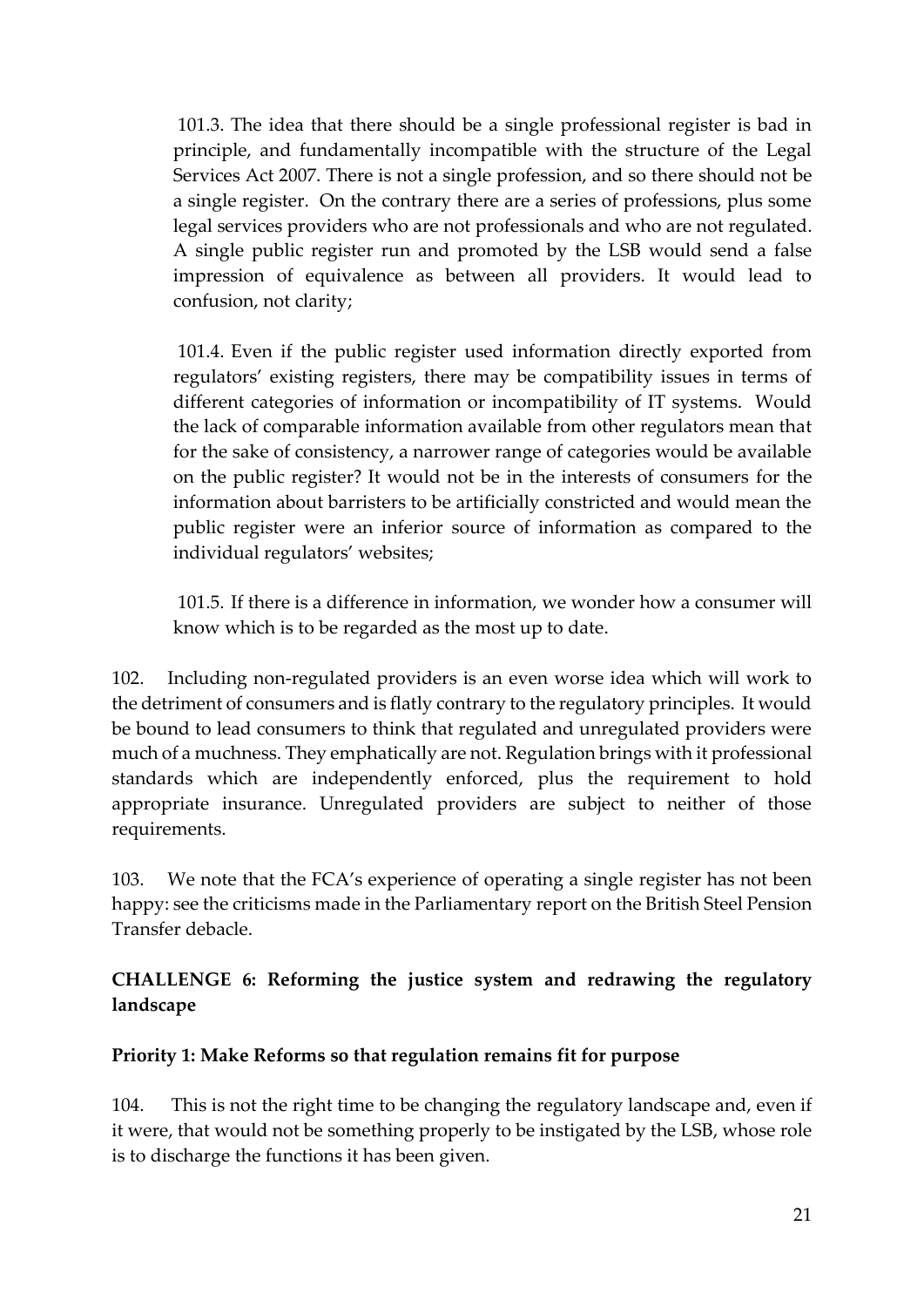101.3. The idea that there should be a single professional register is bad in principle, and fundamentally incompatible with the structure of the Legal Services Act 2007. There is not a single profession, and so there should not be a single register. On the contrary there are a series of professions, plus some legal services providers who are not professionals and who are not regulated. A single public register run and promoted by the LSB would send a false impression of equivalence as between all providers. It would lead to confusion, not clarity;

101.4. Even if the public register used information directly exported from regulators' existing registers, there may be compatibility issues in terms of different categories of information or incompatibility of IT systems. Would the lack of comparable information available from other regulators mean that for the sake of consistency, a narrower range of categories would be available on the public register? It would not be in the interests of consumers for the information about barristers to be artificially constricted and would mean the public register were an inferior source of information as compared to the individual regulators' websites;

101.5. If there is a difference in information, we wonder how a consumer will know which is to be regarded as the most up to date.

102. Including non-regulated providers is an even worse idea which will work to the detriment of consumers and is flatly contrary to the regulatory principles. It would be bound to lead consumers to think that regulated and unregulated providers were much of a muchness. They emphatically are not. Regulation brings with it professional standards which are independently enforced, plus the requirement to hold appropriate insurance. Unregulated providers are subject to neither of those requirements.

103. We note that the FCA's experience of operating a single register has not been happy: see the criticisms made in the Parliamentary report on the British Steel Pension Transfer debacle.

**CHALLENGE 6: Reforming the justice system and redrawing the regulatory landscape**

#### **Priority 1: Make Reforms so that regulation remains fit for purpose**

104. This is not the right time to be changing the regulatory landscape and, even if it were, that would not be something properly to be instigated by the LSB, whose role is to discharge the functions it has been given.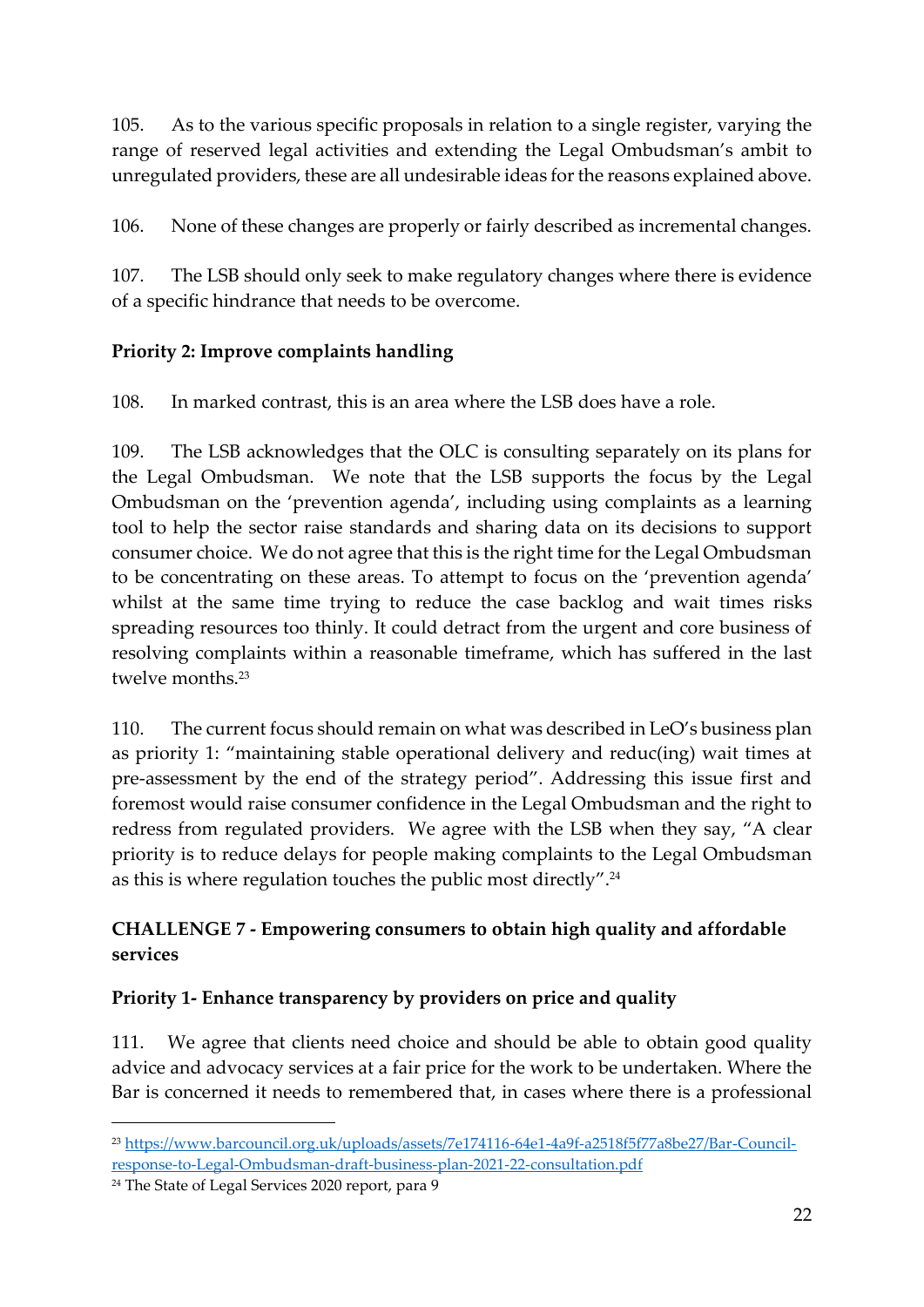105. As to the various specific proposals in relation to a single register, varying the range of reserved legal activities and extending the Legal Ombudsman's ambit to unregulated providers, these are all undesirable ideas for the reasons explained above.

106. None of these changes are properly or fairly described as incremental changes.

107. The LSB should only seek to make regulatory changes where there is evidence of a specific hindrance that needs to be overcome.

# **Priority 2: Improve complaints handling**

108. In marked contrast, this is an area where the LSB does have a role.

109. The LSB acknowledges that the OLC is consulting separately on its plans for the Legal Ombudsman. We note that the LSB supports the focus by the Legal Ombudsman on the 'prevention agenda', including using complaints as a learning tool to help the sector raise standards and sharing data on its decisions to support consumer choice. We do not agree that this is the right time for the Legal Ombudsman to be concentrating on these areas. To attempt to focus on the 'prevention agenda' whilst at the same time trying to reduce the case backlog and wait times risks spreading resources too thinly. It could detract from the urgent and core business of resolving complaints within a reasonable timeframe, which has suffered in the last twelve months.<sup>23</sup>

110. The current focus should remain on what was described in LeO's business plan as priority 1: "maintaining stable operational delivery and reduc(ing) wait times at pre-assessment by the end of the strategy period". Addressing this issue first and foremost would raise consumer confidence in the Legal Ombudsman and the right to redress from regulated providers. We agree with the LSB when they say, "A clear priority is to reduce delays for people making complaints to the Legal Ombudsman as this is where regulation touches the public most directly". $^{24}$ 

# **CHALLENGE 7 - Empowering consumers to obtain high quality and affordable services**

# **Priority 1- Enhance transparency by providers on price and quality**

111. We agree that clients need choice and should be able to obtain good quality advice and advocacy services at a fair price for the work to be undertaken. Where the Bar is concerned it needs to remembered that, in cases where there is a professional

<sup>23</sup> [https://www.barcouncil.org.uk/uploads/assets/7e174116-64e1-4a9f-a2518f5f77a8be27/Bar-Council](about:blank)[response-to-Legal-Ombudsman-draft-business-plan-2021-22-consultation.pdf](about:blank)

<sup>24</sup> The State of Legal Services 2020 report, para 9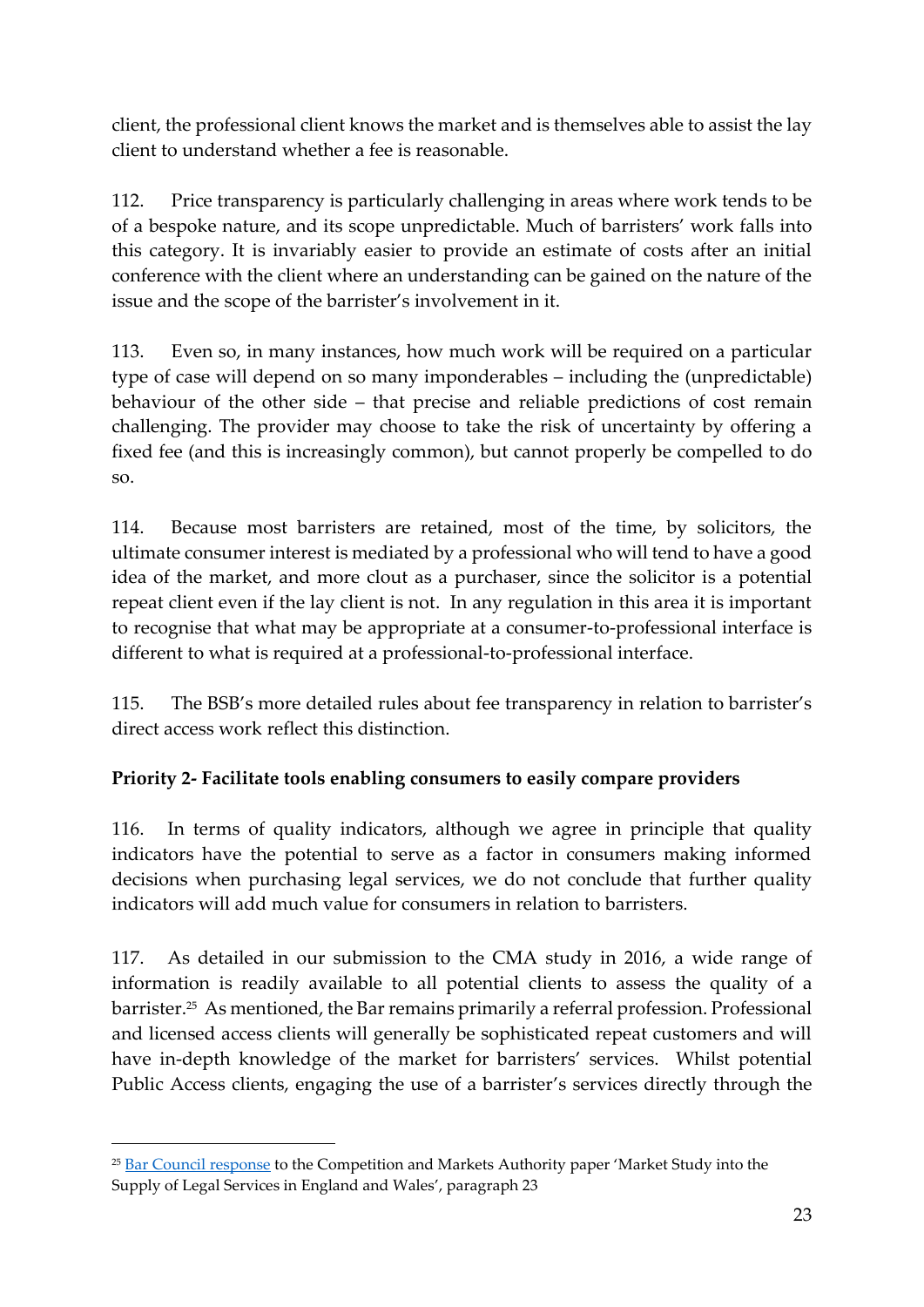client, the professional client knows the market and is themselves able to assist the lay client to understand whether a fee is reasonable.

112. Price transparency is particularly challenging in areas where work tends to be of a bespoke nature, and its scope unpredictable. Much of barristers' work falls into this category. It is invariably easier to provide an estimate of costs after an initial conference with the client where an understanding can be gained on the nature of the issue and the scope of the barrister's involvement in it.

113. Even so, in many instances, how much work will be required on a particular type of case will depend on so many imponderables – including the (unpredictable) behaviour of the other side – that precise and reliable predictions of cost remain challenging. The provider may choose to take the risk of uncertainty by offering a fixed fee (and this is increasingly common), but cannot properly be compelled to do so.

114. Because most barristers are retained, most of the time, by solicitors, the ultimate consumer interest is mediated by a professional who will tend to have a good idea of the market, and more clout as a purchaser, since the solicitor is a potential repeat client even if the lay client is not. In any regulation in this area it is important to recognise that what may be appropriate at a consumer-to-professional interface is different to what is required at a professional-to-professional interface.

115. The BSB's more detailed rules about fee transparency in relation to barrister's direct access work reflect this distinction.

# **Priority 2- Facilitate tools enabling consumers to easily compare providers**

116. In terms of quality indicators, although we agree in principle that quality indicators have the potential to serve as a factor in consumers making informed decisions when purchasing legal services, we do not conclude that further quality indicators will add much value for consumers in relation to barristers.

117. As detailed in our submission to the CMA study in 2016, a wide range of information is readily available to all potential clients to assess the quality of a barrister.<sup>25</sup> As mentioned, the Bar remains primarily a referral profession. Professional and licensed access clients will generally be sophisticated repeat customers and will have in-depth knowledge of the market for barristers' services. Whilst potential Public Access clients, engaging the use of a barrister's services directly through the

<sup>&</sup>lt;sup>25</sup> [Bar Council response](about:blank) to the Competition and Markets Authority paper 'Market Study into the Supply of Legal Services in England and Wales', paragraph 23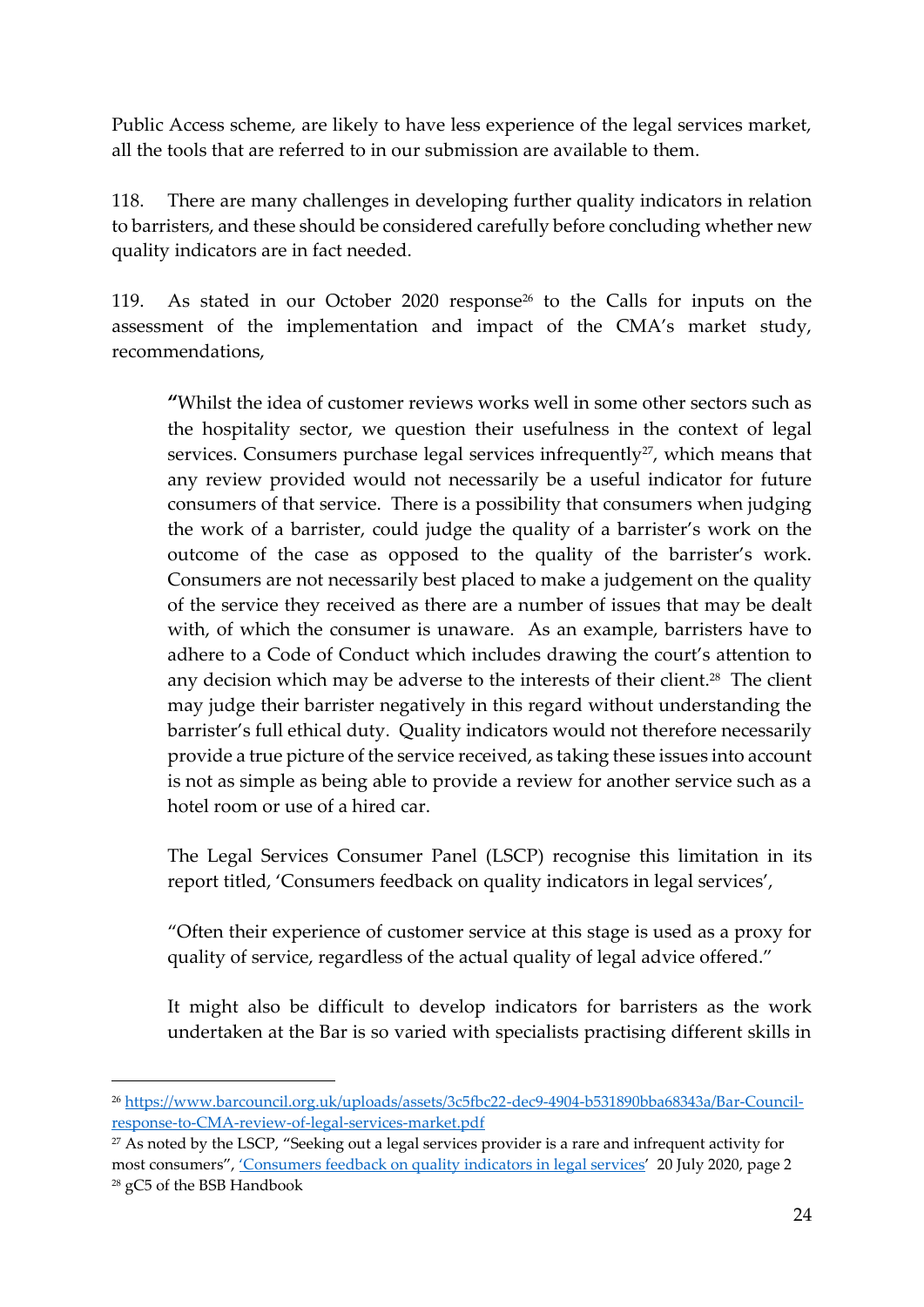Public Access scheme, are likely to have less experience of the legal services market, all the tools that are referred to in our submission are available to them.

118. There are many challenges in developing further quality indicators in relation to barristers, and these should be considered carefully before concluding whether new quality indicators are in fact needed.

119. As stated in our October 2020 response<sup>26</sup> to the Calls for inputs on the assessment of the implementation and impact of the CMA's market study, recommendations,

**"**Whilst the idea of customer reviews works well in some other sectors such as the hospitality sector, we question their usefulness in the context of legal services. Consumers purchase legal services infrequently<sup>27</sup>, which means that any review provided would not necessarily be a useful indicator for future consumers of that service. There is a possibility that consumers when judging the work of a barrister, could judge the quality of a barrister's work on the outcome of the case as opposed to the quality of the barrister's work. Consumers are not necessarily best placed to make a judgement on the quality of the service they received as there are a number of issues that may be dealt with, of which the consumer is unaware. As an example, barristers have to adhere to a Code of Conduct which includes drawing the court's attention to any decision which may be adverse to the interests of their client.<sup>28</sup> The client may judge their barrister negatively in this regard without understanding the barrister's full ethical duty. Quality indicators would not therefore necessarily provide a true picture of the service received, as taking these issues into account is not as simple as being able to provide a review for another service such as a hotel room or use of a hired car.

The Legal Services Consumer Panel (LSCP) recognise this limitation in its report titled, 'Consumers feedback on quality indicators in legal services',

"Often their experience of customer service at this stage is used as a proxy for quality of service, regardless of the actual quality of legal advice offered."

It might also be difficult to develop indicators for barristers as the work undertaken at the Bar is so varied with specialists practising different skills in

<sup>26</sup> [https://www.barcouncil.org.uk/uploads/assets/3c5fbc22-dec9-4904-b531890bba68343a/Bar-Council](about:blank)[response-to-CMA-review-of-legal-services-market.pdf](about:blank)

<sup>&</sup>lt;sup>27</sup> As noted by the LSCP, "Seeking out a legal services provider is a rare and infrequent activity for most consumers", ['Consumers feedback on quality indicators in le](about:blank)gal services' 20 July 2020, page 2 <sup>28</sup> gC5 of the BSB Handbook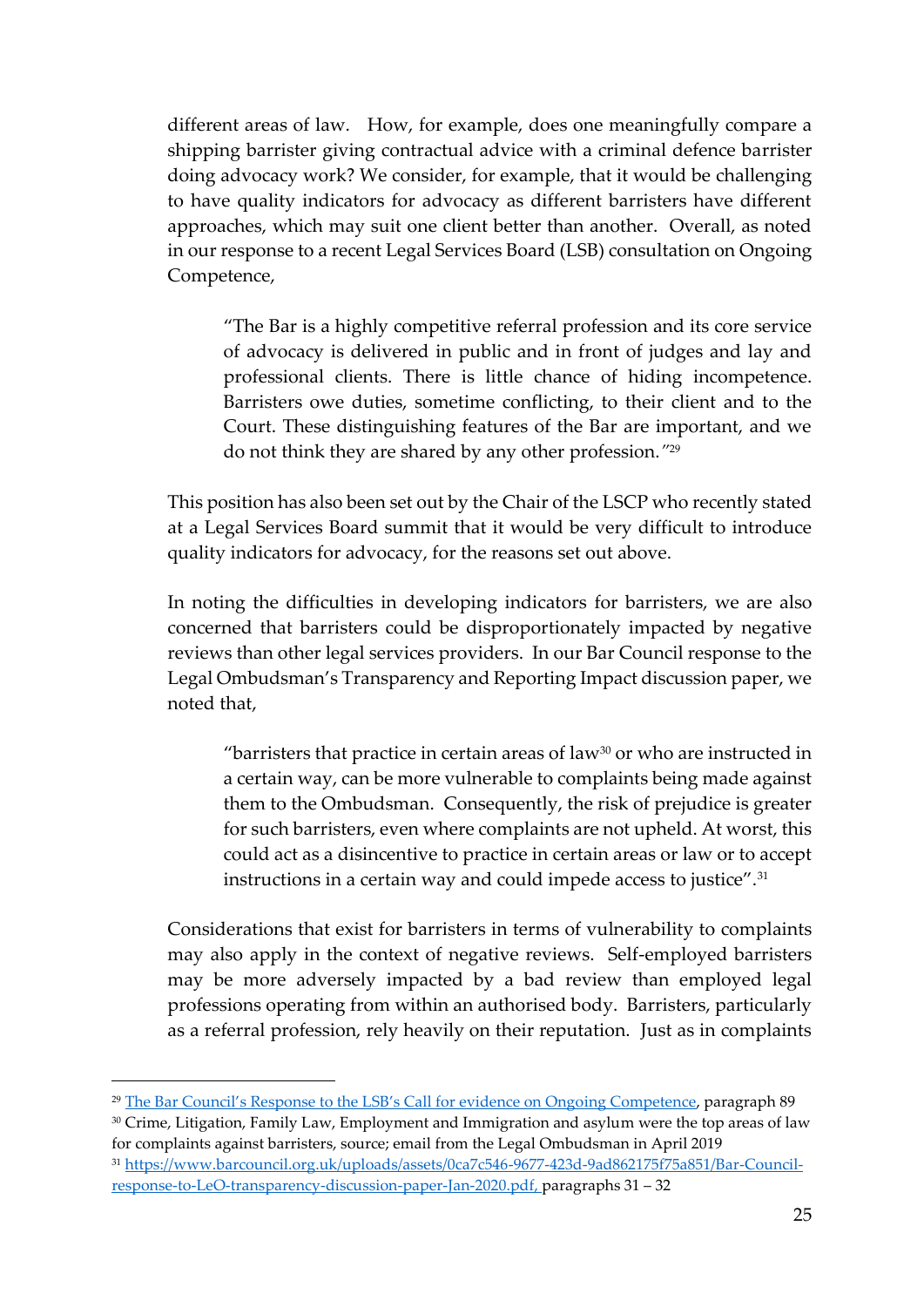different areas of law. How, for example, does one meaningfully compare a shipping barrister giving contractual advice with a criminal defence barrister doing advocacy work? We consider, for example, that it would be challenging to have quality indicators for advocacy as different barristers have different approaches, which may suit one client better than another. Overall, as noted in our response to a recent Legal Services Board (LSB) consultation on Ongoing Competence,

"The Bar is a highly competitive referral profession and its core service of advocacy is delivered in public and in front of judges and lay and professional clients. There is little chance of hiding incompetence. Barristers owe duties, sometime conflicting, to their client and to the Court. These distinguishing features of the Bar are important, and we do not think they are shared by any other profession.*"* 29

This position has also been set out by the Chair of the LSCP who recently stated at a Legal Services Board summit that it would be very difficult to introduce quality indicators for advocacy, for the reasons set out above.

In noting the difficulties in developing indicators for barristers, we are also concerned that barristers could be disproportionately impacted by negative reviews than other legal services providers. In our Bar Council response to the Legal Ombudsman's Transparency and Reporting Impact discussion paper, we noted that,

"barristers that practice in certain areas of law $30$  or who are instructed in a certain way, can be more vulnerable to complaints being made against them to the Ombudsman. Consequently, the risk of prejudice is greater for such barristers, even where complaints are not upheld. At worst, this could act as a disincentive to practice in certain areas or law or to accept instructions in a certain way and could impede access to justice". $^{31}$ 

Considerations that exist for barristers in terms of vulnerability to complaints may also apply in the context of negative reviews. Self-employed barristers may be more adversely impacted by a bad review than employed legal professions operating from within an authorised body. Barristers, particularly as a referral profession, rely heavily on their reputation. Just as in complaints

<sup>30</sup> Crime, Litigation, Family Law, Employment and Immigration and asylum were the top areas of law for complaints against barristers, source; email from the Legal Ombudsman in April 2019

<sup>29</sup> [The Bar Council's Response to the LSB's Call for evidence on Ongo](about:blank)ing Competence, paragraph 89

<sup>31</sup> [https://www.barcouncil.org.uk/uploads/assets/0ca7c546-9677-423d-9ad862175f75a851/Bar-Council](about:blank)[response-to-LeO-transparency-discussion-paper-Jan-2020.pdf,](about:blank) paragraphs 31 – 32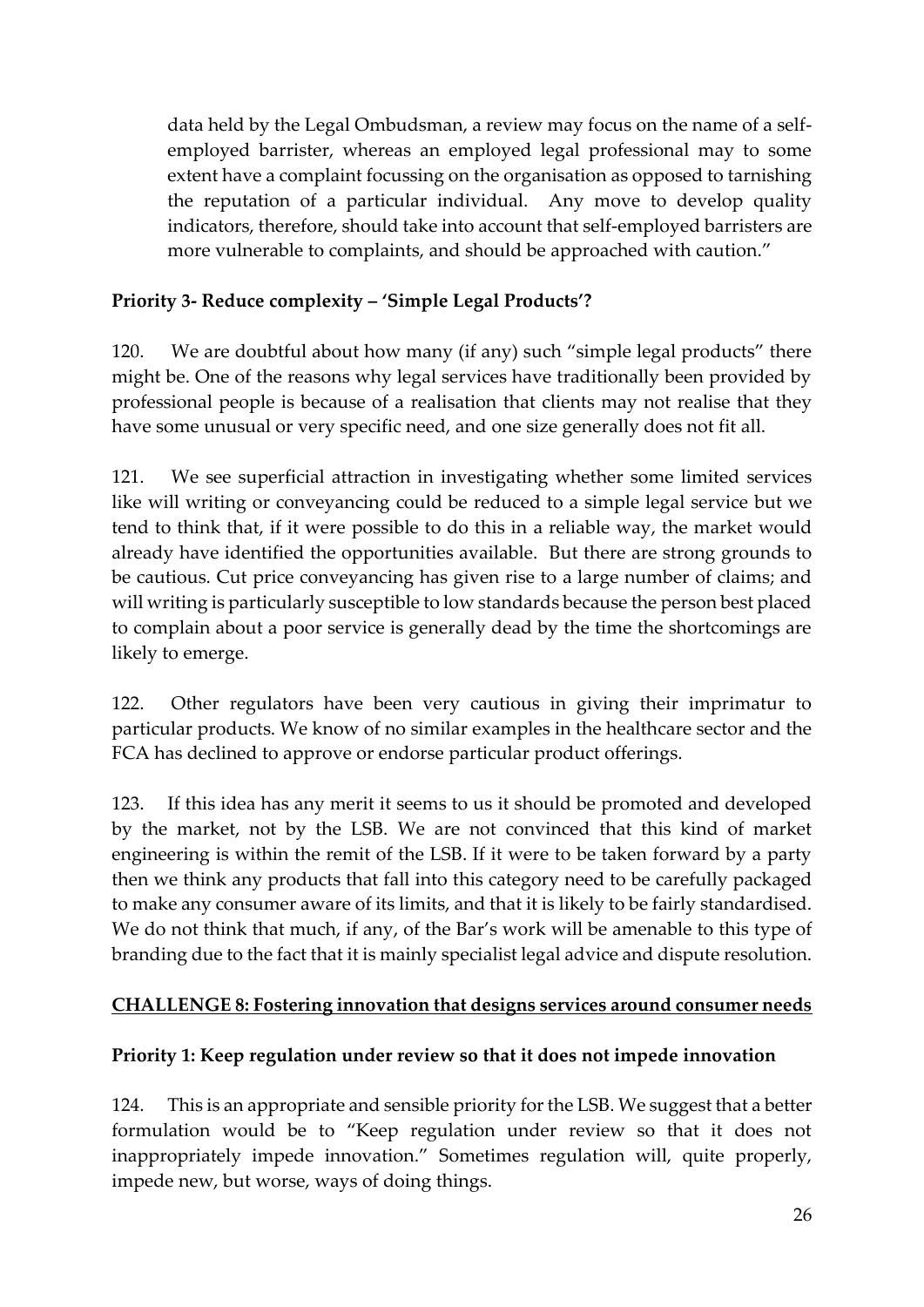data held by the Legal Ombudsman, a review may focus on the name of a selfemployed barrister, whereas an employed legal professional may to some extent have a complaint focussing on the organisation as opposed to tarnishing the reputation of a particular individual. Any move to develop quality indicators, therefore, should take into account that self-employed barristers are more vulnerable to complaints, and should be approached with caution."

## **Priority 3- Reduce complexity – 'Simple Legal Products'?**

120. We are doubtful about how many (if any) such "simple legal products" there might be. One of the reasons why legal services have traditionally been provided by professional people is because of a realisation that clients may not realise that they have some unusual or very specific need, and one size generally does not fit all.

121. We see superficial attraction in investigating whether some limited services like will writing or conveyancing could be reduced to a simple legal service but we tend to think that, if it were possible to do this in a reliable way, the market would already have identified the opportunities available. But there are strong grounds to be cautious. Cut price conveyancing has given rise to a large number of claims; and will writing is particularly susceptible to low standards because the person best placed to complain about a poor service is generally dead by the time the shortcomings are likely to emerge.

122. Other regulators have been very cautious in giving their imprimatur to particular products. We know of no similar examples in the healthcare sector and the FCA has declined to approve or endorse particular product offerings.

123. If this idea has any merit it seems to us it should be promoted and developed by the market, not by the LSB. We are not convinced that this kind of market engineering is within the remit of the LSB. If it were to be taken forward by a party then we think any products that fall into this category need to be carefully packaged to make any consumer aware of its limits, and that it is likely to be fairly standardised. We do not think that much, if any, of the Bar's work will be amenable to this type of branding due to the fact that it is mainly specialist legal advice and dispute resolution.

## **CHALLENGE 8: Fostering innovation that designs services around consumer needs**

## **Priority 1: Keep regulation under review so that it does not impede innovation**

124. This is an appropriate and sensible priority for the LSB. We suggest that a better formulation would be to "Keep regulation under review so that it does not inappropriately impede innovation." Sometimes regulation will, quite properly, impede new, but worse, ways of doing things.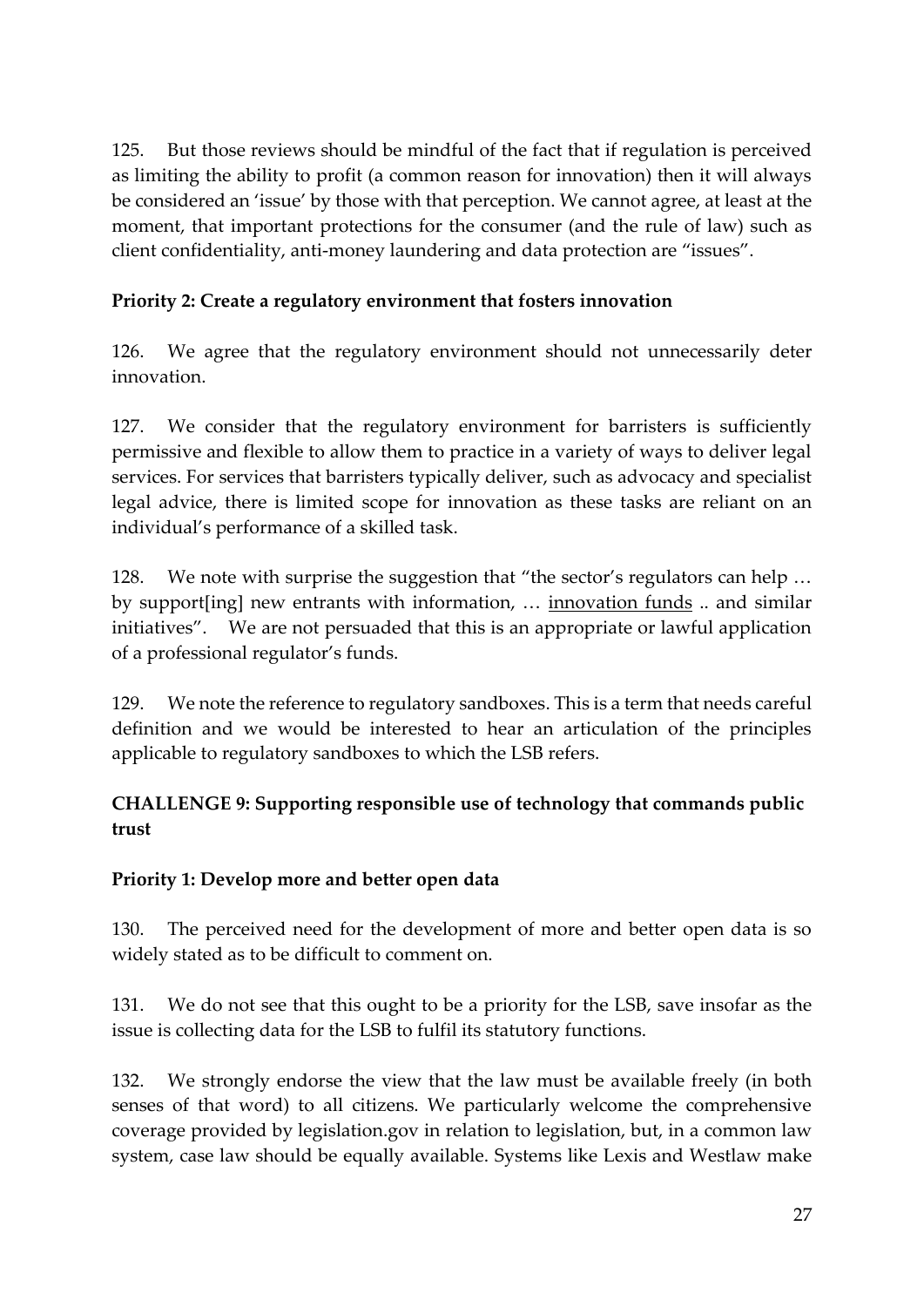125. But those reviews should be mindful of the fact that if regulation is perceived as limiting the ability to profit (a common reason for innovation) then it will always be considered an 'issue' by those with that perception. We cannot agree, at least at the moment, that important protections for the consumer (and the rule of law) such as client confidentiality, anti-money laundering and data protection are "issues".

# **Priority 2: Create a regulatory environment that fosters innovation**

126. We agree that the regulatory environment should not unnecessarily deter innovation.

127. We consider that the regulatory environment for barristers is sufficiently permissive and flexible to allow them to practice in a variety of ways to deliver legal services. For services that barristers typically deliver, such as advocacy and specialist legal advice, there is limited scope for innovation as these tasks are reliant on an individual's performance of a skilled task.

128. We note with surprise the suggestion that "the sector's regulators can help … by support[ing] new entrants with information, … innovation funds .. and similar initiatives". We are not persuaded that this is an appropriate or lawful application of a professional regulator's funds.

129. We note the reference to regulatory sandboxes. This is a term that needs careful definition and we would be interested to hear an articulation of the principles applicable to regulatory sandboxes to which the LSB refers.

## **CHALLENGE 9: Supporting responsible use of technology that commands public trust**

## **Priority 1: Develop more and better open data**

130. The perceived need for the development of more and better open data is so widely stated as to be difficult to comment on.

131. We do not see that this ought to be a priority for the LSB, save insofar as the issue is collecting data for the LSB to fulfil its statutory functions.

132. We strongly endorse the view that the law must be available freely (in both senses of that word) to all citizens. We particularly welcome the comprehensive coverage provided by legislation.gov in relation to legislation, but, in a common law system, case law should be equally available. Systems like Lexis and Westlaw make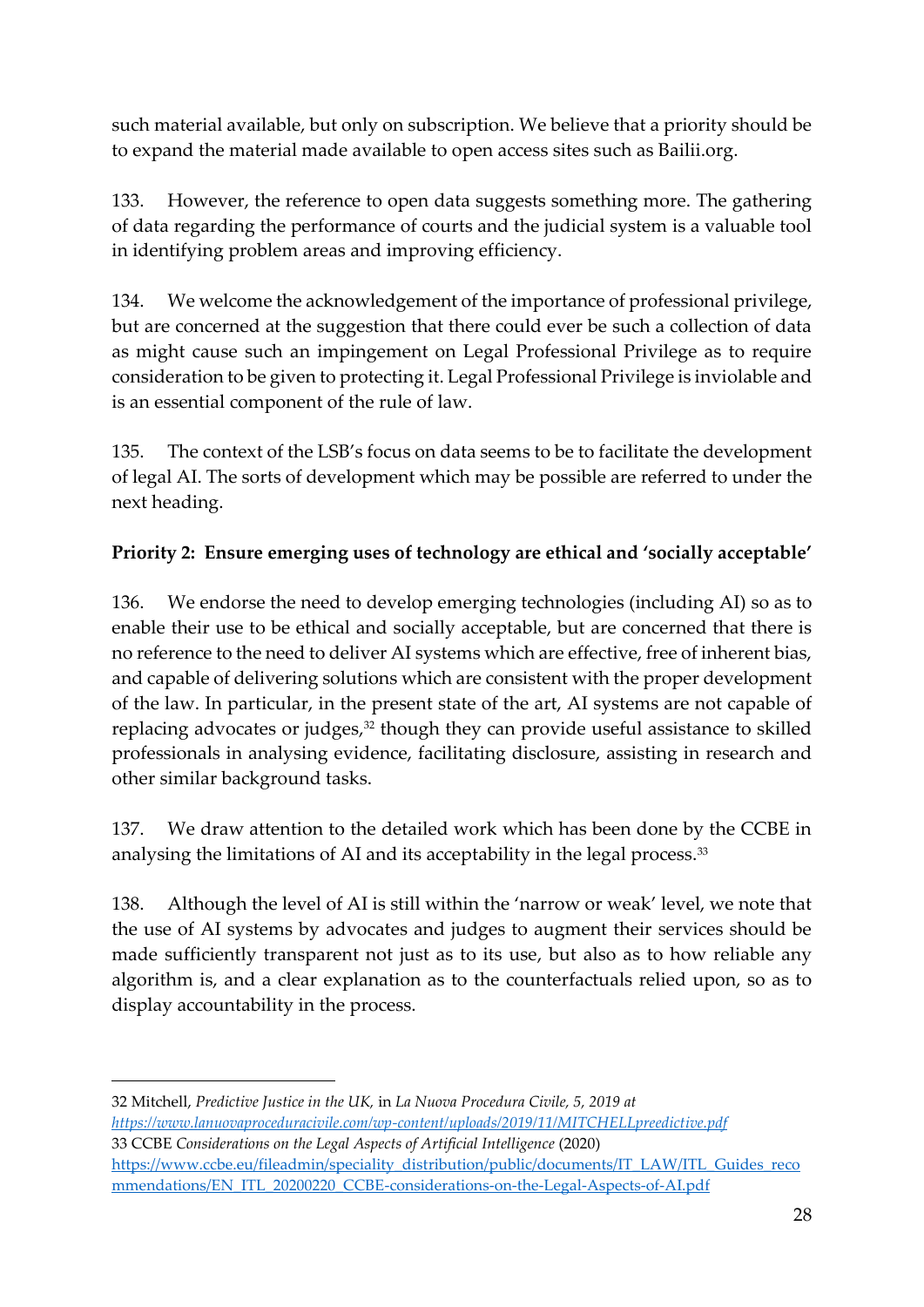such material available, but only on subscription. We believe that a priority should be to expand the material made available to open access sites such as Bailii.org.

133. However, the reference to open data suggests something more. The gathering of data regarding the performance of courts and the judicial system is a valuable tool in identifying problem areas and improving efficiency.

134. We welcome the acknowledgement of the importance of professional privilege, but are concerned at the suggestion that there could ever be such a collection of data as might cause such an impingement on Legal Professional Privilege as to require consideration to be given to protecting it. Legal Professional Privilege is inviolable and is an essential component of the rule of law.

135. The context of the LSB's focus on data seems to be to facilitate the development of legal AI. The sorts of development which may be possible are referred to under the next heading.

## **Priority 2: Ensure emerging uses of technology are ethical and 'socially acceptable'**

136. We endorse the need to develop emerging technologies (including AI) so as to enable their use to be ethical and socially acceptable, but are concerned that there is no reference to the need to deliver AI systems which are effective, free of inherent bias, and capable of delivering solutions which are consistent with the proper development of the law. In particular, in the present state of the art, AI systems are not capable of replacing advocates or judges, <sup>32</sup> though they can provide useful assistance to skilled professionals in analysing evidence, facilitating disclosure, assisting in research and other similar background tasks.

137. We draw attention to the detailed work which has been done by the CCBE in analysing the limitations of AI and its acceptability in the legal process. 33

138. Although the level of AI is still within the 'narrow or weak' level, we note that the use of AI systems by advocates and judges to augment their services should be made sufficiently transparent not just as to its use, but also as to how reliable any algorithm is, and a clear explanation as to the counterfactuals relied upon, so as to display accountability in the process.

32 Mitchell, *Predictive Justice in the UK,* in *La Nuova Procedura Civile, 5, 2019 at [https://www.lanuovaproceduracivile.com/wp-content/uploads/2019/11/MITCHELLpreedictive.pdf](about:blank)* 33 CCBE *Considerations on the Legal Aspects of Artificial Intelligence* (2020) [https://www.ccbe.eu/fileadmin/speciality\\_distribution/public/documents/IT\\_LAW/ITL\\_Guides\\_reco](about:blank)

mmendations/EN\_ITL\_20200220\_CCBE-considerations-on-the-Legal-Aspects-of-AI.pdf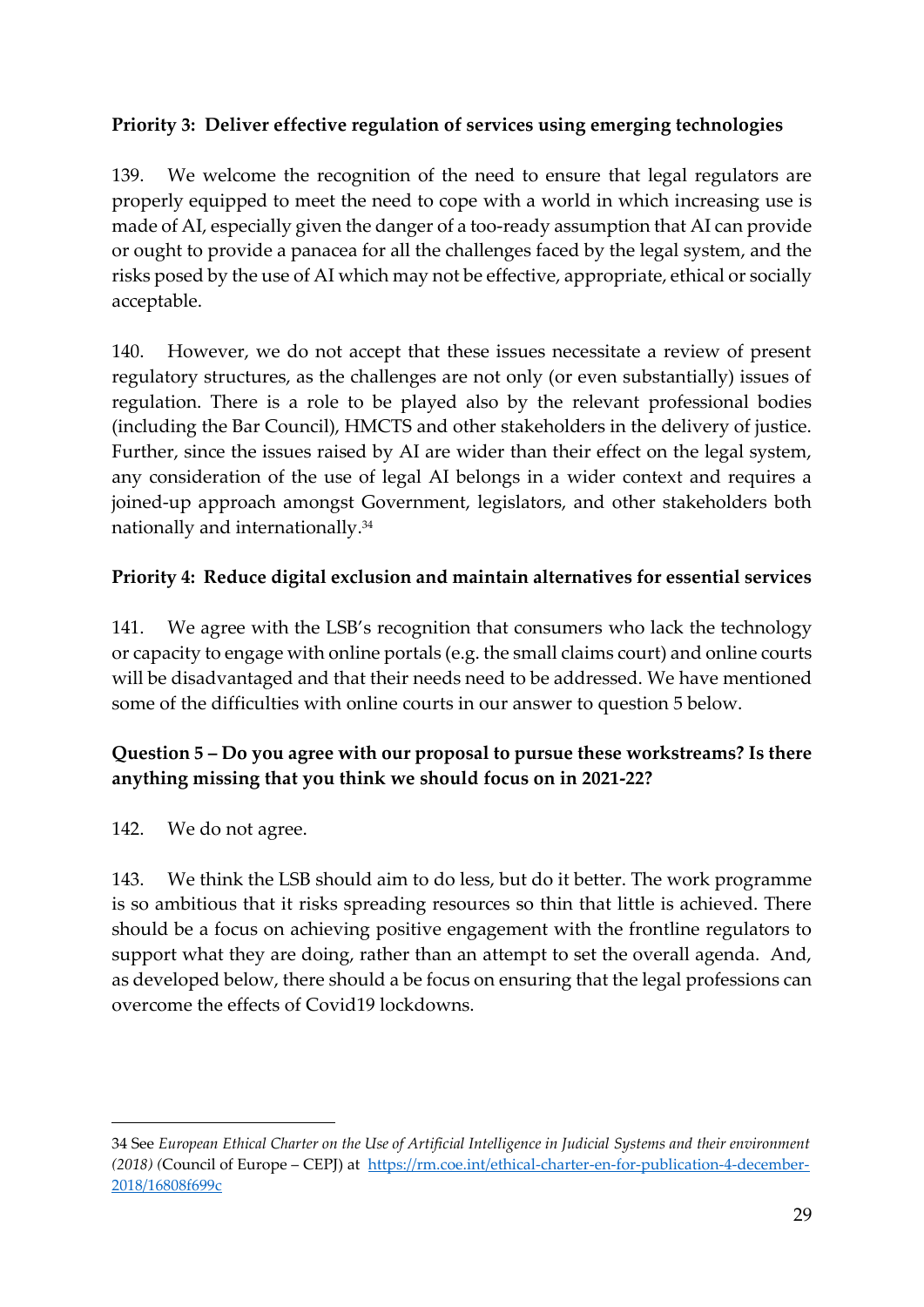## **Priority 3: Deliver effective regulation of services using emerging technologies**

139. We welcome the recognition of the need to ensure that legal regulators are properly equipped to meet the need to cope with a world in which increasing use is made of AI, especially given the danger of a too-ready assumption that AI can provide or ought to provide a panacea for all the challenges faced by the legal system, and the risks posed by the use of AI which may not be effective, appropriate, ethical or socially acceptable.

140. However, we do not accept that these issues necessitate a review of present regulatory structures, as the challenges are not only (or even substantially) issues of regulation. There is a role to be played also by the relevant professional bodies (including the Bar Council), HMCTS and other stakeholders in the delivery of justice. Further, since the issues raised by AI are wider than their effect on the legal system, any consideration of the use of legal AI belongs in a wider context and requires a joined-up approach amongst Government, legislators, and other stakeholders both nationally and internationally. 34

## **Priority 4: Reduce digital exclusion and maintain alternatives for essential services**

141. We agree with the LSB's recognition that consumers who lack the technology or capacity to engage with online portals (e.g. the small claims court) and online courts will be disadvantaged and that their needs need to be addressed. We have mentioned some of the difficulties with online courts in our answer to question 5 below.

## **Question 5 – Do you agree with our proposal to pursue these workstreams? Is there anything missing that you think we should focus on in 2021-22?**

142. We do not agree.

143. We think the LSB should aim to do less, but do it better. The work programme is so ambitious that it risks spreading resources so thin that little is achieved. There should be a focus on achieving positive engagement with the frontline regulators to support what they are doing, rather than an attempt to set the overall agenda. And, as developed below, there should a be focus on ensuring that the legal professions can overcome the effects of Covid19 lockdowns.

<sup>34</sup> See *European Ethical Charter on the Use of Artificial Intelligence in Judicial Systems and their environment (2018) (*Council of Europe – CEPJ) at [https://rm.coe.int/ethical-charter-en-for-publication-4-december-](about:blank)[2018/16808f699c](about:blank)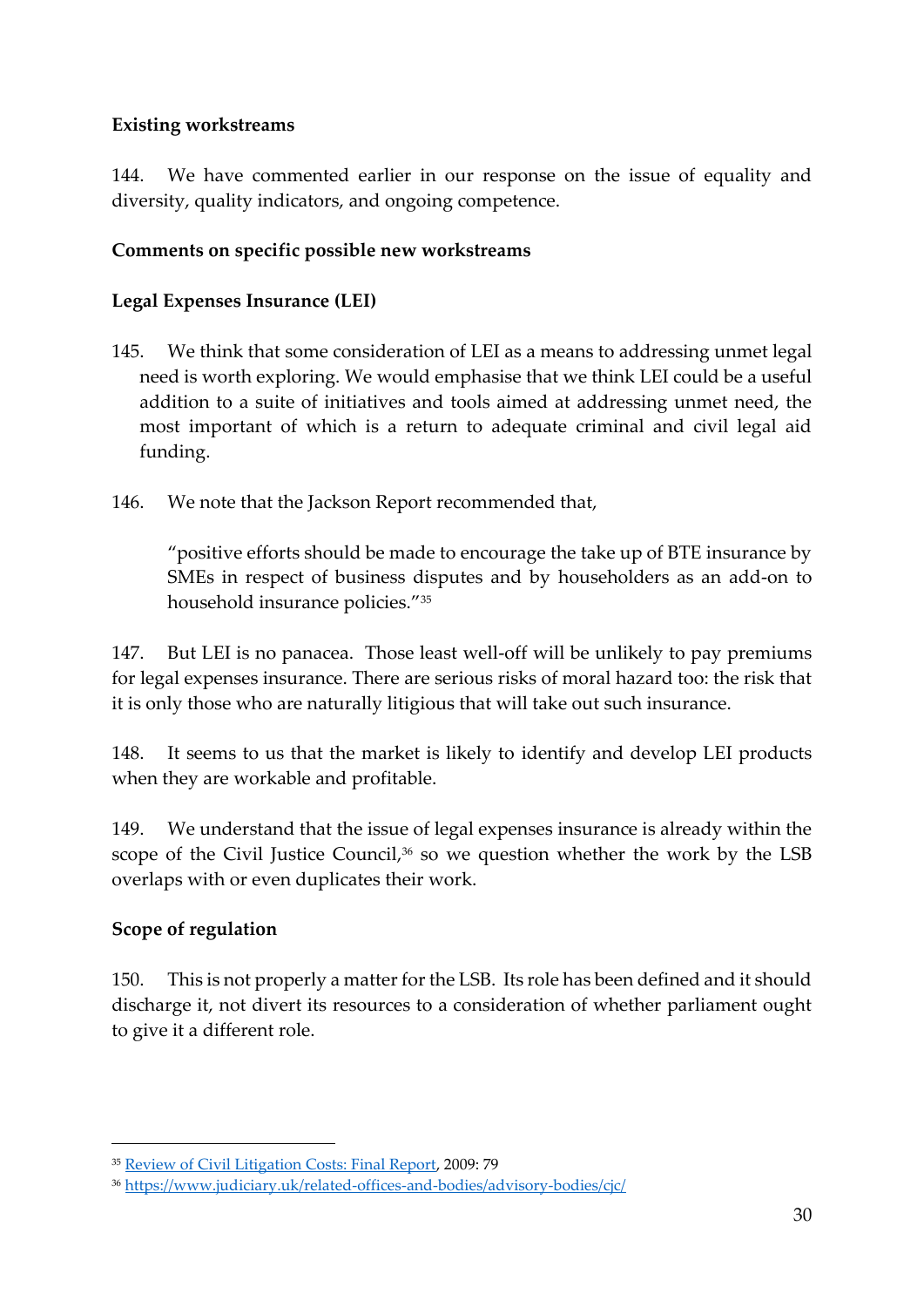## **Existing workstreams**

144. We have commented earlier in our response on the issue of equality and diversity, quality indicators, and ongoing competence.

### **Comments on specific possible new workstreams**

#### **Legal Expenses Insurance (LEI)**

- 145. We think that some consideration of LEI as a means to addressing unmet legal need is worth exploring. We would emphasise that we think LEI could be a useful addition to a suite of initiatives and tools aimed at addressing unmet need, the most important of which is a return to adequate criminal and civil legal aid funding.
- 146. We note that the Jackson Report recommended that,

"positive efforts should be made to encourage the take up of BTE insurance by SMEs in respect of business disputes and by householders as an add-on to household insurance policies."<sup>35</sup>

147. But LEI is no panacea. Those least well-off will be unlikely to pay premiums for legal expenses insurance. There are serious risks of moral hazard too: the risk that it is only those who are naturally litigious that will take out such insurance.

148. It seems to us that the market is likely to identify and develop LEI products when they are workable and profitable.

149. We understand that the issue of legal expenses insurance is already within the scope of the Civil Justice Council, <sup>36</sup> so we question whether the work by the LSB overlaps with or even duplicates their work.

#### **Scope of regulation**

150. This is not properly a matter for the LSB. Its role has been defined and it should discharge it, not divert its resources to a consideration of whether parliament ought to give it a different role.

<sup>35</sup> [Review of Civil Litigation Costs: Final Report,](about:blank) 2009: 79

<sup>36</sup> [https://www.judiciary.uk/related-offices-and-bodies/advisory-bodies/cjc/](about:blank)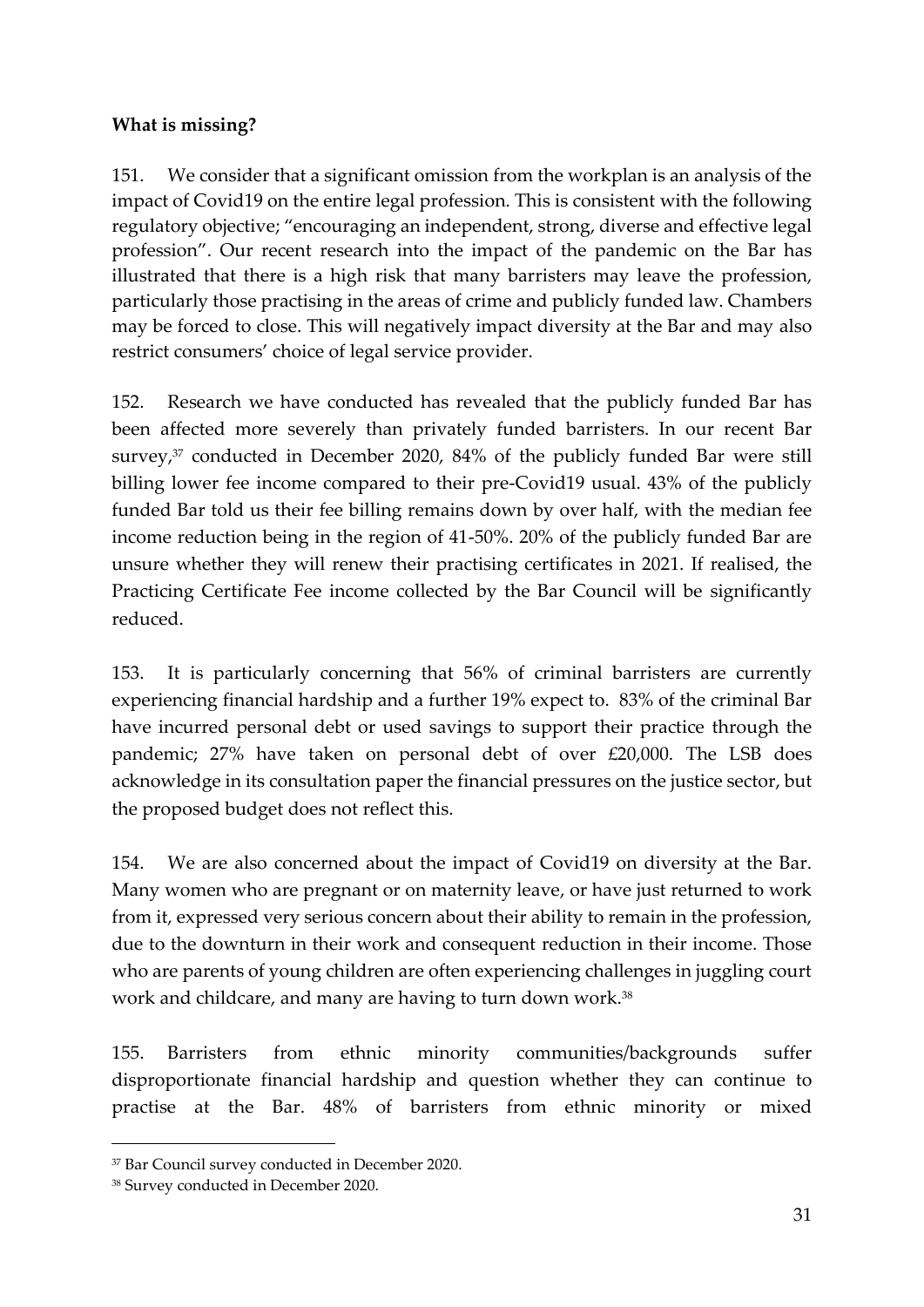### **What is missing?**

151. We consider that a significant omission from the workplan is an analysis of the impact of Covid19 on the entire legal profession. This is consistent with the following regulatory objective; "encouraging an independent, strong, diverse and effective legal profession". Our recent research into the impact of the pandemic on the Bar has illustrated that there is a high risk that many barristers may leave the profession, particularly those practising in the areas of crime and publicly funded law. Chambers may be forced to close. This will negatively impact diversity at the Bar and may also restrict consumers' choice of legal service provider.

152. Research we have conducted has revealed that the publicly funded Bar has been affected more severely than privately funded barristers. In our recent Bar survey, <sup>37</sup> conducted in December 2020, 84% of the publicly funded Bar were still billing lower fee income compared to their pre-Covid19 usual. 43% of the publicly funded Bar told us their fee billing remains down by over half, with the median fee income reduction being in the region of 41-50%. 20% of the publicly funded Bar are unsure whether they will renew their practising certificates in 2021. If realised, the Practicing Certificate Fee income collected by the Bar Council will be significantly reduced.

153. It is particularly concerning that 56% of criminal barristers are currently experiencing financial hardship and a further 19% expect to. 83% of the criminal Bar have incurred personal debt or used savings to support their practice through the pandemic; 27% have taken on personal debt of over £20,000. The LSB does acknowledge in its consultation paper the financial pressures on the justice sector, but the proposed budget does not reflect this.

154. We are also concerned about the impact of Covid19 on diversity at the Bar. Many women who are pregnant or on maternity leave, or have just returned to work from it, expressed very serious concern about their ability to remain in the profession, due to the downturn in their work and consequent reduction in their income. Those who are parents of young children are often experiencing challenges in juggling court work and childcare, and many are having to turn down work.<sup>38</sup>

155. Barristers from ethnic minority communities/backgrounds suffer disproportionate financial hardship and question whether they can continue to practise at the Bar. 48% of barristers from ethnic minority or mixed

<sup>37</sup> Bar Council survey conducted in December 2020.

<sup>38</sup> Survey conducted in December 2020.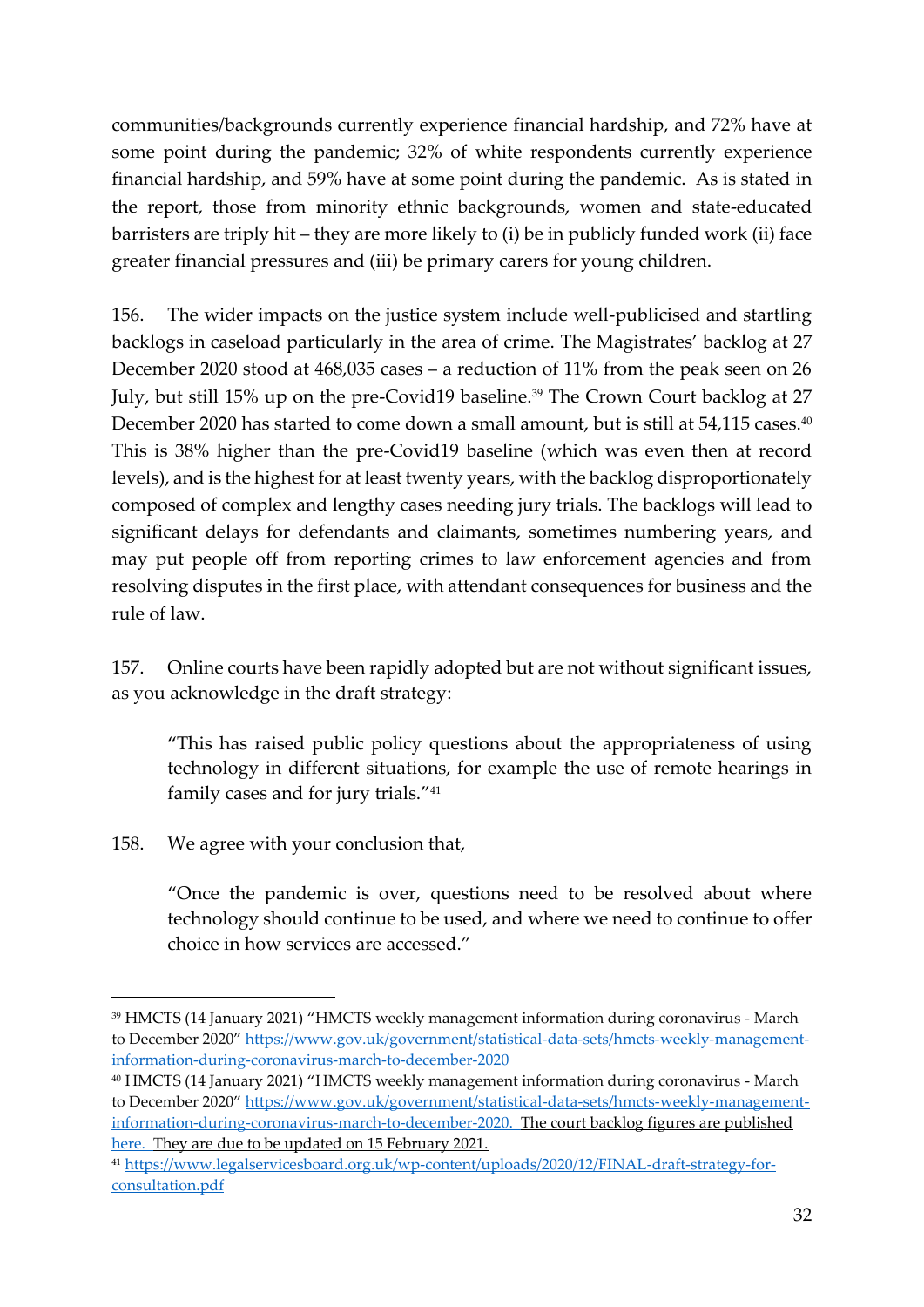communities/backgrounds currently experience financial hardship, and 72% have at some point during the pandemic; 32% of white respondents currently experience financial hardship, and 59% have at some point during the pandemic. As is stated in the report, those from minority ethnic backgrounds, women and state-educated barristers are triply hit – they are more likely to (i) be in publicly funded work (ii) face greater financial pressures and (iii) be primary carers for young children.

156. The wider impacts on the justice system include well-publicised and startling backlogs in caseload particularly in the area of crime. The Magistrates' backlog at 27 December 2020 stood at 468,035 cases – a reduction of 11% from the peak seen on 26 July, but still 15% up on the pre-Covid19 baseline.<sup>39</sup> The Crown Court backlog at 27 December 2020 has started to come down a small amount, but is still at 54,115 cases.<sup>40</sup> This is 38% higher than the pre-Covid19 baseline (which was even then at record levels), and is the highest for at least twenty years, with the backlog disproportionately composed of complex and lengthy cases needing jury trials. The backlogs will lead to significant delays for defendants and claimants, sometimes numbering years, and may put people off from reporting crimes to law enforcement agencies and from resolving disputes in the first place, with attendant consequences for business and the rule of law.

157. Online courts have been rapidly adopted but are not without significant issues, as you acknowledge in the draft strategy:

"This has raised public policy questions about the appropriateness of using technology in different situations, for example the use of remote hearings in family cases and for jury trials."<sup>41</sup>

158. We agree with your conclusion that,

"Once the pandemic is over, questions need to be resolved about where technology should continue to be used, and where we need to continue to offer choice in how services are accessed."

<sup>39</sup> HMCTS (14 January 2021) "HMCTS weekly management information during coronavirus - March to December 2020" [https://www.gov.uk/government/statistical-data-sets/hmcts-weekly-management](about:blank)[information-during-coronavirus-march-to-december-2020](about:blank)

<sup>40</sup> HMCTS (14 January 2021) "HMCTS weekly management information during coronavirus - March to December 2020" [https://www.gov.uk/government/statistical-data-sets/hmcts-weekly-management](about:blank)[information-during-coronavirus-march-to-december-2020.](about:blank) The court backlog figures are published [here.](https://www.gov.uk/government/collections/hmcts-weekly-management-information-during-coronavirus-outbreak) They are due to be updated on 15 February 2021.

<sup>41</sup> [https://www.legalservicesboard.org.uk/wp-content/uploads/2020/12/FINAL-draft-strategy-for](about:blank)[consultation.pdf](about:blank)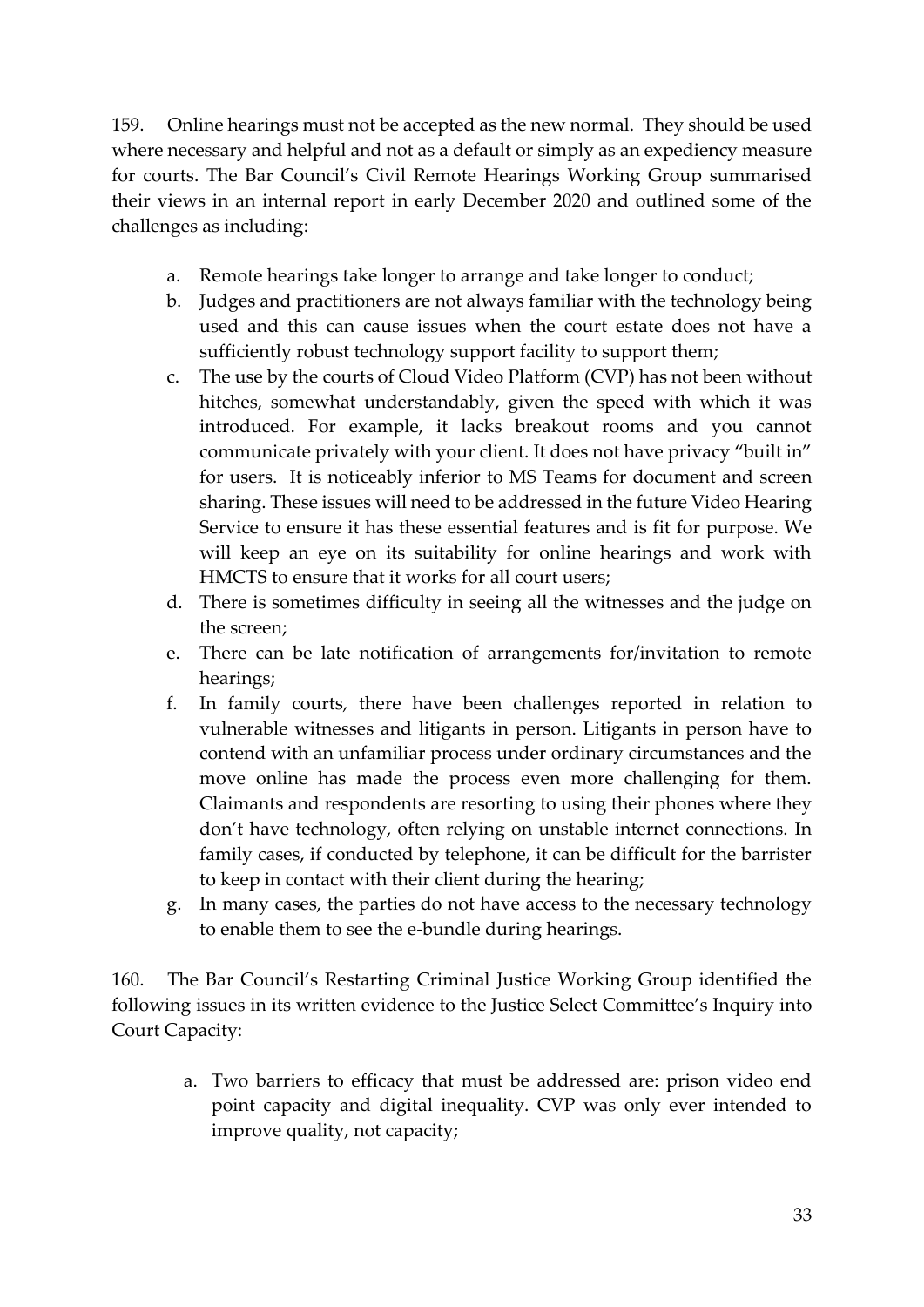159. Online hearings must not be accepted as the new normal. They should be used where necessary and helpful and not as a default or simply as an expediency measure for courts. The Bar Council's Civil Remote Hearings Working Group summarised their views in an internal report in early December 2020 and outlined some of the challenges as including:

- a. Remote hearings take longer to arrange and take longer to conduct;
- b. Judges and practitioners are not always familiar with the technology being used and this can cause issues when the court estate does not have a sufficiently robust technology support facility to support them;
- c. The use by the courts of Cloud Video Platform (CVP) has not been without hitches, somewhat understandably, given the speed with which it was introduced. For example, it lacks breakout rooms and you cannot communicate privately with your client. It does not have privacy "built in" for users. It is noticeably inferior to MS Teams for document and screen sharing. These issues will need to be addressed in the future Video Hearing Service to ensure it has these essential features and is fit for purpose. We will keep an eye on its suitability for online hearings and work with HMCTS to ensure that it works for all court users;
- d. There is sometimes difficulty in seeing all the witnesses and the judge on the screen;
- e. There can be late notification of arrangements for/invitation to remote hearings;
- f. In family courts, there have been challenges reported in relation to vulnerable witnesses and litigants in person. Litigants in person have to contend with an unfamiliar process under ordinary circumstances and the move online has made the process even more challenging for them. Claimants and respondents are resorting to using their phones where they don't have technology, often relying on unstable internet connections. In family cases, if conducted by telephone, it can be difficult for the barrister to keep in contact with their client during the hearing;
- g. In many cases, the parties do not have access to the necessary technology to enable them to see the e-bundle during hearings.

160. The Bar Council's Restarting Criminal Justice Working Group identified the following issues in its written evidence to the Justice Select Committee's Inquiry into Court Capacity:

> a. Two barriers to efficacy that must be addressed are: prison video end point capacity and digital inequality. CVP was only ever intended to improve quality, not capacity;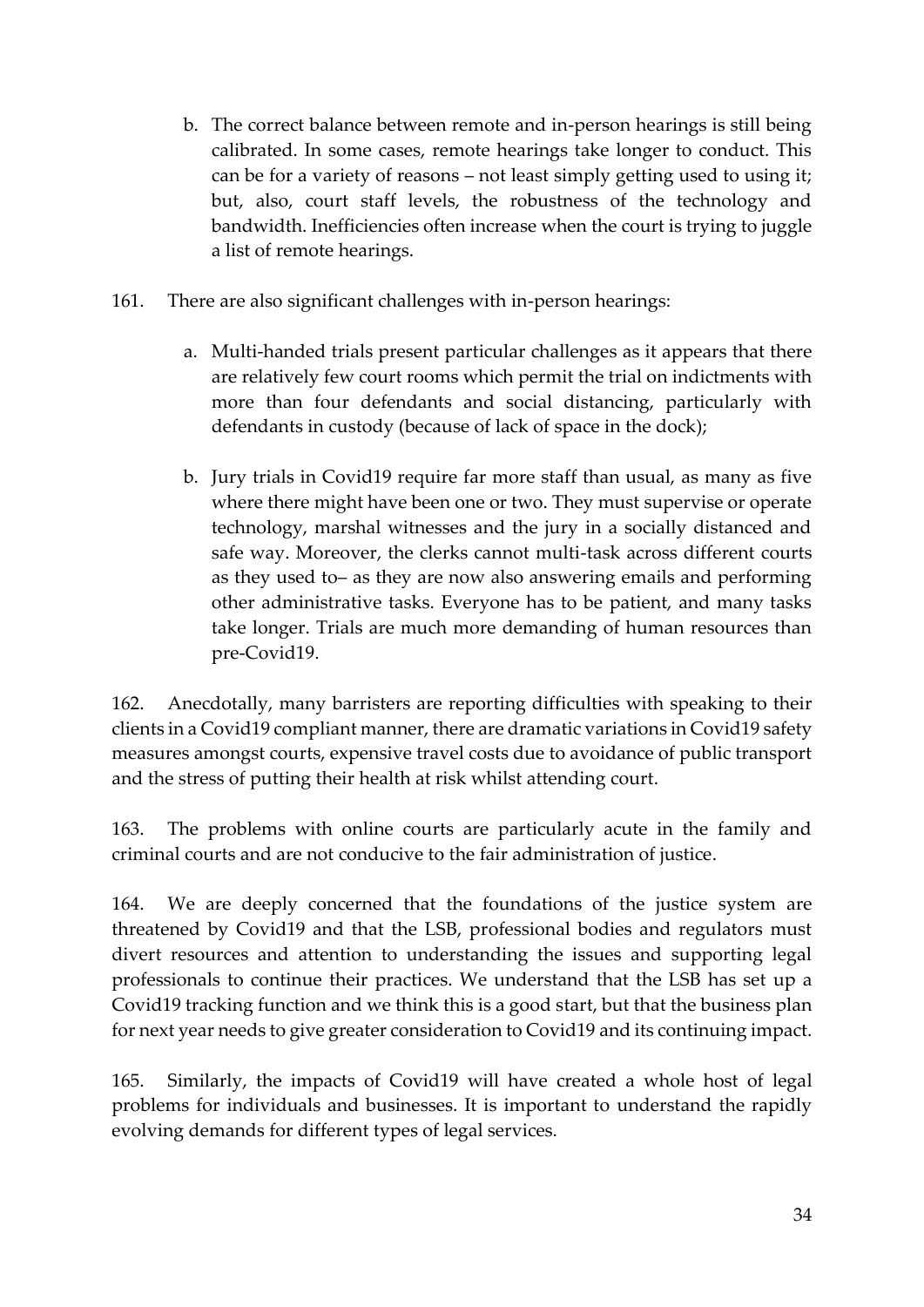- b. The correct balance between remote and in-person hearings is still being calibrated. In some cases, remote hearings take longer to conduct. This can be for a variety of reasons – not least simply getting used to using it; but, also, court staff levels, the robustness of the technology and bandwidth. Inefficiencies often increase when the court is trying to juggle a list of remote hearings.
- 161. There are also significant challenges with in-person hearings:
	- a. Multi-handed trials present particular challenges as it appears that there are relatively few court rooms which permit the trial on indictments with more than four defendants and social distancing, particularly with defendants in custody (because of lack of space in the dock);
	- b. Jury trials in Covid19 require far more staff than usual, as many as five where there might have been one or two. They must supervise or operate technology, marshal witnesses and the jury in a socially distanced and safe way. Moreover, the clerks cannot multi-task across different courts as they used to– as they are now also answering emails and performing other administrative tasks. Everyone has to be patient, and many tasks take longer. Trials are much more demanding of human resources than pre-Covid19.

162. Anecdotally, many barristers are reporting difficulties with speaking to their clients in a Covid19 compliant manner, there are dramatic variations in Covid19 safety measures amongst courts, expensive travel costs due to avoidance of public transport and the stress of putting their health at risk whilst attending court.

163. The problems with online courts are particularly acute in the family and criminal courts and are not conducive to the fair administration of justice.

164. We are deeply concerned that the foundations of the justice system are threatened by Covid19 and that the LSB, professional bodies and regulators must divert resources and attention to understanding the issues and supporting legal professionals to continue their practices. We understand that the LSB has set up a Covid19 tracking function and we think this is a good start, but that the business plan for next year needs to give greater consideration to Covid19 and its continuing impact.

165. Similarly, the impacts of Covid19 will have created a whole host of legal problems for individuals and businesses. It is important to understand the rapidly evolving demands for different types of legal services.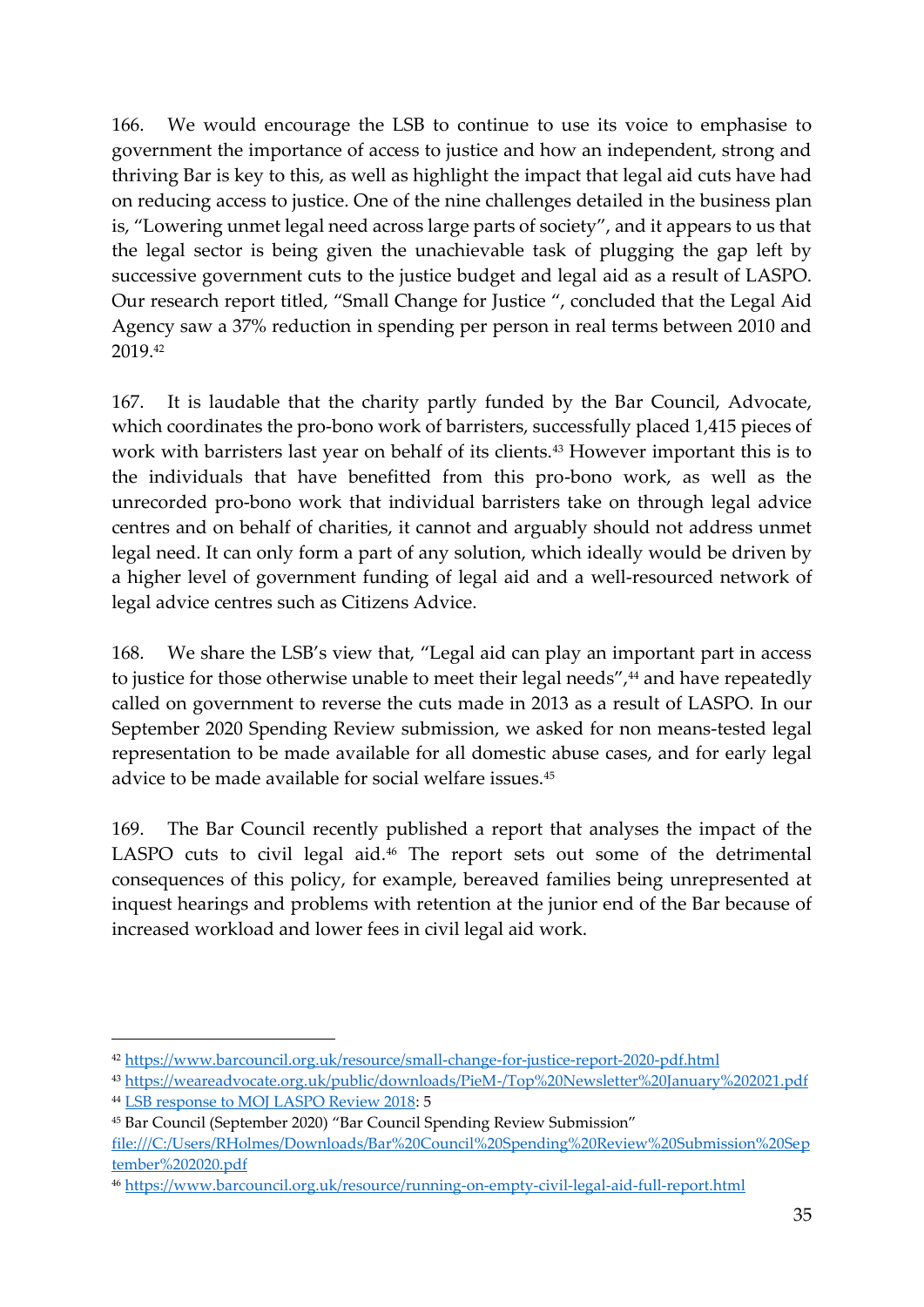166. We would encourage the LSB to continue to use its voice to emphasise to government the importance of access to justice and how an independent, strong and thriving Bar is key to this, as well as highlight the impact that legal aid cuts have had on reducing access to justice. One of the nine challenges detailed in the business plan is, "Lowering unmet legal need across large parts of society", and it appears to us that the legal sector is being given the unachievable task of plugging the gap left by successive government cuts to the justice budget and legal aid as a result of LASPO. Our research report titled, "Small Change for Justice ", concluded that the Legal Aid Agency saw a 37% reduction in spending per person in real terms between 2010 and 2019.<sup>42</sup>

167. It is laudable that the charity partly funded by the Bar Council, Advocate, which coordinates the pro-bono work of barristers, successfully placed 1,415 pieces of work with barristers last year on behalf of its clients.<sup>43</sup> However important this is to the individuals that have benefitted from this pro-bono work, as well as the unrecorded pro-bono work that individual barristers take on through legal advice centres and on behalf of charities, it cannot and arguably should not address unmet legal need. It can only form a part of any solution, which ideally would be driven by a higher level of government funding of legal aid and a well-resourced network of legal advice centres such as Citizens Advice.

168. We share the LSB's view that, "Legal aid can play an important part in access to justice for those otherwise unable to meet their legal needs",<sup>44</sup> and have repeatedly called on government to reverse the cuts made in 2013 as a result of LASPO. In our September 2020 Spending Review submission, we asked for non means-tested legal representation to be made available for all domestic abuse cases, and for early legal advice to be made available for social welfare issues.<sup>45</sup>

169. The Bar Council recently published a report that analyses the impact of the LASPO cuts to civil legal aid. <sup>46</sup> The report sets out some of the detrimental consequences of this policy, for example, bereaved families being unrepresented at inquest hearings and problems with retention at the junior end of the Bar because of increased workload and lower fees in civil legal aid work.

<sup>42</sup> [https://www.barcouncil.org.uk/resource/small-change-for-justice-report-2020-pdf.html](about:blank)

<sup>43</sup> [https://weareadvocate.org.uk/public/downloads/PieM-/Top%20Newsletter%20January%202021.pdf](about:blank)

<sup>44</sup> [LSB response to MOJ LASPO Review 2018:](about:blank) 5

<sup>45</sup> Bar Council (September 2020) "Bar Council Spending Review Submission"

[file:///C:/Users/RHolmes/Downloads/Bar%20Council%20Spending%20Review%20Submission%20Sep](about:blank) [tember%202020.pdf](about:blank) 

<sup>46</sup> [https://www.barcouncil.org.uk/resource/running-on-empty-civil-legal-aid-full-report.html](about:blank)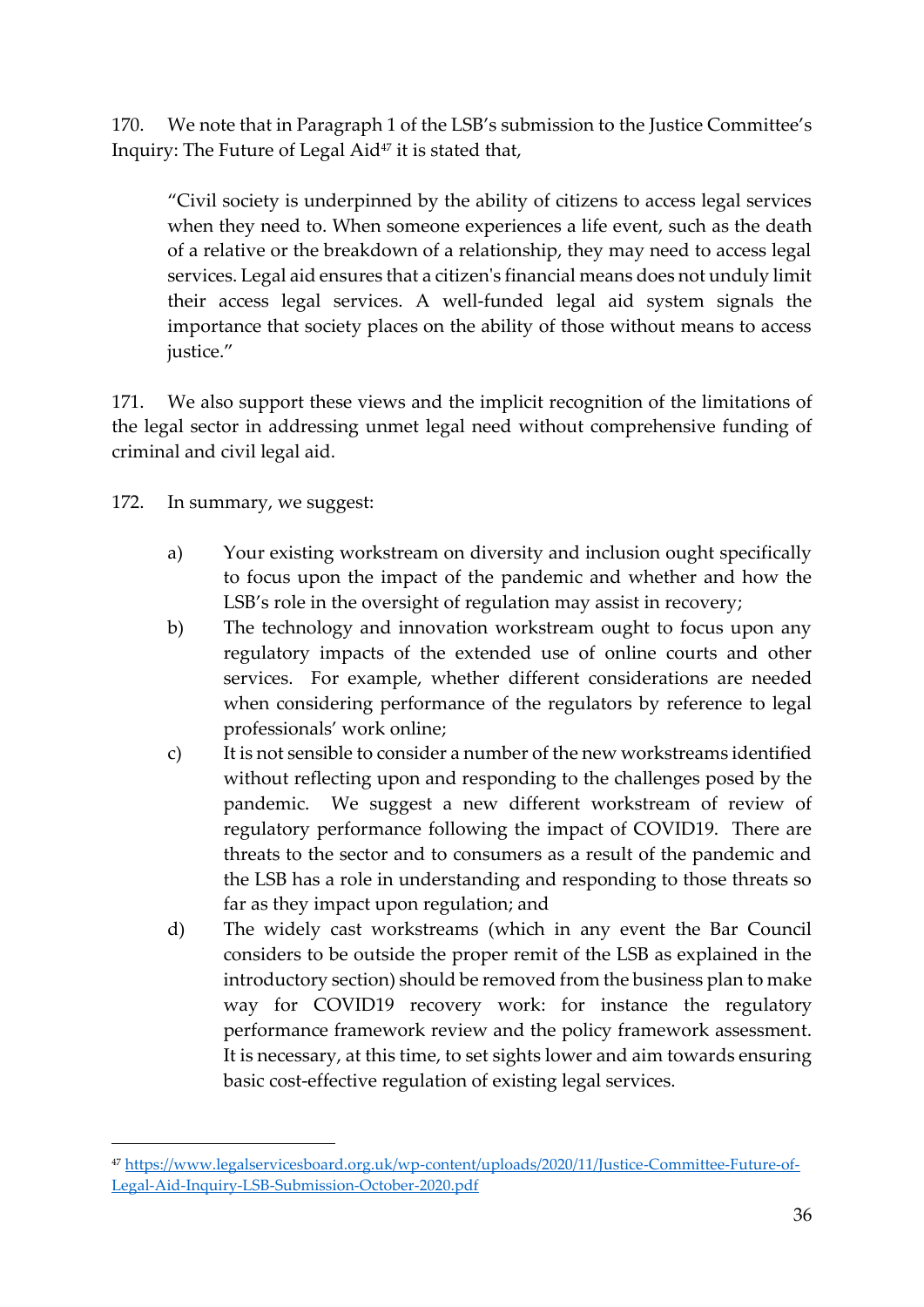170. We note that in Paragraph 1 of the LSB's submission to the Justice Committee's Inquiry: The Future of Legal Aid<sup>47</sup> it is stated that,

"Civil society is underpinned by the ability of citizens to access legal services when they need to. When someone experiences a life event, such as the death of a relative or the breakdown of a relationship, they may need to access legal services. Legal aid ensures that a citizen's financial means does not unduly limit their access legal services. A well-funded legal aid system signals the importance that society places on the ability of those without means to access justice."

171. We also support these views and the implicit recognition of the limitations of the legal sector in addressing unmet legal need without comprehensive funding of criminal and civil legal aid.

172. In summary, we suggest:

- a) Your existing workstream on diversity and inclusion ought specifically to focus upon the impact of the pandemic and whether and how the LSB's role in the oversight of regulation may assist in recovery;
- b) The technology and innovation workstream ought to focus upon any regulatory impacts of the extended use of online courts and other services. For example, whether different considerations are needed when considering performance of the regulators by reference to legal professionals' work online;
- c) It is not sensible to consider a number of the new workstreams identified without reflecting upon and responding to the challenges posed by the pandemic. We suggest a new different workstream of review of regulatory performance following the impact of COVID19. There are threats to the sector and to consumers as a result of the pandemic and the LSB has a role in understanding and responding to those threats so far as they impact upon regulation; and
- d) The widely cast workstreams (which in any event the Bar Council considers to be outside the proper remit of the LSB as explained in the introductory section) should be removed from the business plan to make way for COVID19 recovery work: for instance the regulatory performance framework review and the policy framework assessment. It is necessary, at this time, to set sights lower and aim towards ensuring basic cost-effective regulation of existing legal services.

<sup>47</sup> [https://www.legalservicesboard.org.uk/wp-content/uploads/2020/11/Justice-Committee-Future-of-](about:blank)[Legal-Aid-Inquiry-LSB-Submission-October-2020.pdf](about:blank)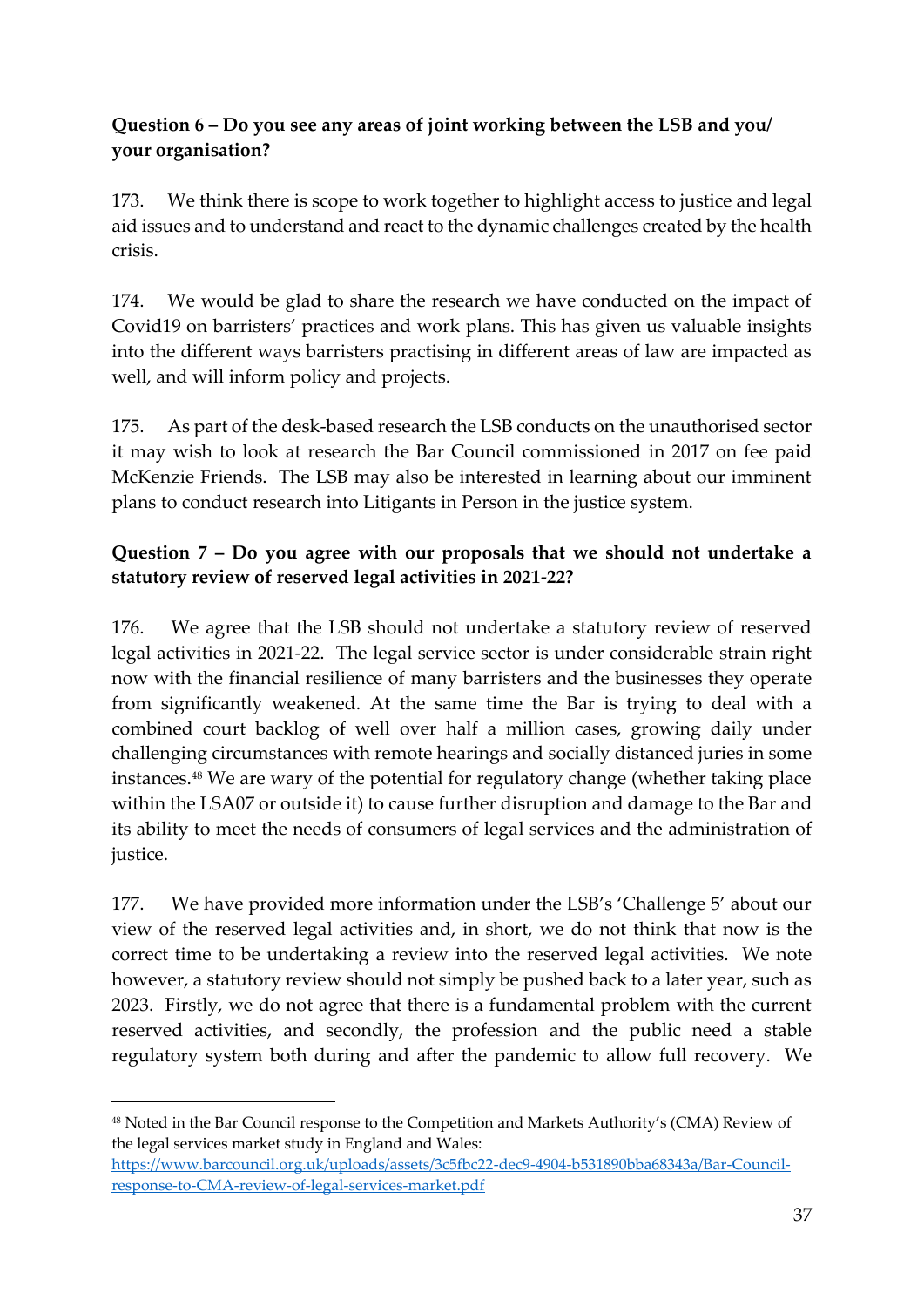## **Question 6 – Do you see any areas of joint working between the LSB and you/ your organisation?**

173. We think there is scope to work together to highlight access to justice and legal aid issues and to understand and react to the dynamic challenges created by the health crisis.

174. We would be glad to share the research we have conducted on the impact of Covid19 on barristers' practices and work plans. This has given us valuable insights into the different ways barristers practising in different areas of law are impacted as well, and will inform policy and projects.

175. As part of the desk-based research the LSB conducts on the unauthorised sector it may wish to look at research the Bar Council commissioned in 2017 on fee paid McKenzie Friends. The LSB may also be interested in learning about our imminent plans to conduct research into Litigants in Person in the justice system.

# **Question 7 – Do you agree with our proposals that we should not undertake a statutory review of reserved legal activities in 2021-22?**

176. We agree that the LSB should not undertake a statutory review of reserved legal activities in 2021-22. The legal service sector is under considerable strain right now with the financial resilience of many barristers and the businesses they operate from significantly weakened. At the same time the Bar is trying to deal with a combined court backlog of well over half a million cases, growing daily under challenging circumstances with remote hearings and socially distanced juries in some instances. <sup>48</sup> We are wary of the potential for regulatory change (whether taking place within the LSA07 or outside it) to cause further disruption and damage to the Bar and its ability to meet the needs of consumers of legal services and the administration of justice.

177. We have provided more information under the LSB's 'Challenge 5' about our view of the reserved legal activities and, in short, we do not think that now is the correct time to be undertaking a review into the reserved legal activities. We note however, a statutory review should not simply be pushed back to a later year, such as 2023. Firstly, we do not agree that there is a fundamental problem with the current reserved activities, and secondly, the profession and the public need a stable regulatory system both during and after the pandemic to allow full recovery. We

<sup>48</sup> Noted in the Bar Council response to the Competition and Markets Authority's (CMA) Review of the legal services market study in England and Wales:

[https://www.barcouncil.org.uk/uploads/assets/3c5fbc22-dec9-4904-b531890bba68343a/Bar-Council](about:blank)[response-to-CMA-review-of-legal-services-market.pdf](about:blank)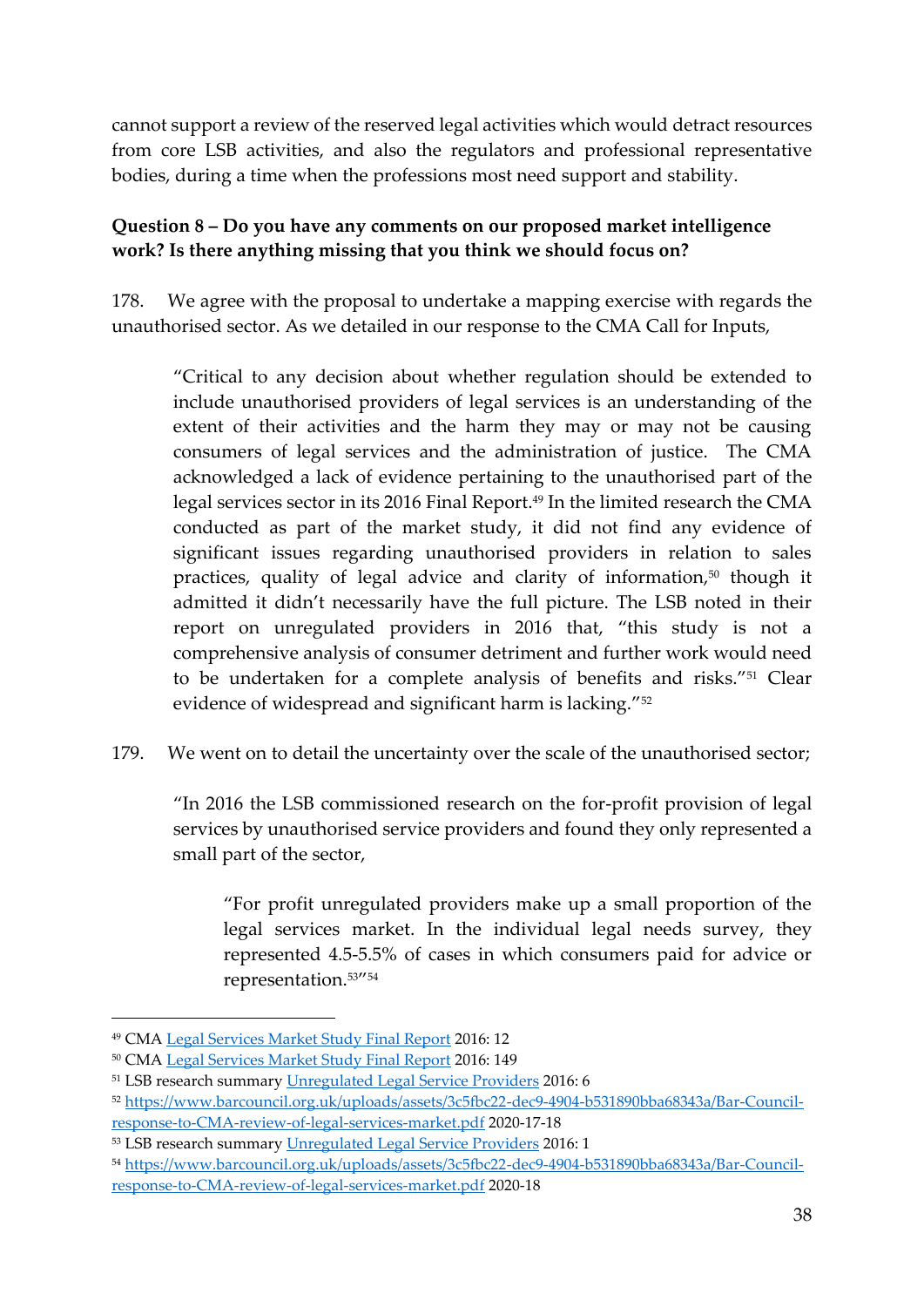cannot support a review of the reserved legal activities which would detract resources from core LSB activities, and also the regulators and professional representative bodies, during a time when the professions most need support and stability.

### **Question 8 – Do you have any comments on our proposed market intelligence work? Is there anything missing that you think we should focus on?**

178. We agree with the proposal to undertake a mapping exercise with regards the unauthorised sector. As we detailed in our response to the CMA Call for Inputs,

"Critical to any decision about whether regulation should be extended to include unauthorised providers of legal services is an understanding of the extent of their activities and the harm they may or may not be causing consumers of legal services and the administration of justice. The CMA acknowledged a lack of evidence pertaining to the unauthorised part of the legal services sector in its 2016 Final Report.<sup>49</sup> In the limited research the CMA conducted as part of the market study, it did not find any evidence of significant issues regarding unauthorised providers in relation to sales practices, quality of legal advice and clarity of information,<sup>50</sup> though it admitted it didn't necessarily have the full picture. The LSB noted in their report on unregulated providers in 2016 that, "this study is not a comprehensive analysis of consumer detriment and further work would need to be undertaken for a complete analysis of benefits and risks."<sup>51</sup> Clear evidence of widespread and significant harm is lacking."<sup>52</sup>

179. We went on to detail the uncertainty over the scale of the unauthorised sector;

"In 2016 the LSB commissioned research on the for-profit provision of legal services by unauthorised service providers and found they only represented a small part of the sector,

"For profit unregulated providers make up a small proportion of the legal services market. In the individual legal needs survey, they represented 4.5-5.5% of cases in which consumers paid for advice or representation.53" 54

<sup>49</sup> CMA [Legal Services Market Study Final Report](about:blank) 2016: 12

<sup>50</sup> CMA [Legal Services Market Study Final Report](about:blank) 2016: 149

<sup>51</sup> LSB research summary [Unregulated Legal Service Providers](about:blank) 2016: 6

<sup>52</sup> [https://www.barcouncil.org.uk/uploads/assets/3c5fbc22-dec9-4904-b531890bba68343a/Bar-Council](about:blank)[response-to-CMA-review-of-legal-services-market.pdf](about:blank) 2020-17-18

<sup>53</sup> LSB research summary [Unregulated Legal Service Providers](about:blank) 2016: 1

<sup>54</sup> [https://www.barcouncil.org.uk/uploads/assets/3c5fbc22-dec9-4904-b531890bba68343a/Bar-Council](about:blank)[response-to-CMA-review-of-legal-services-market.pdf](about:blank) 2020-18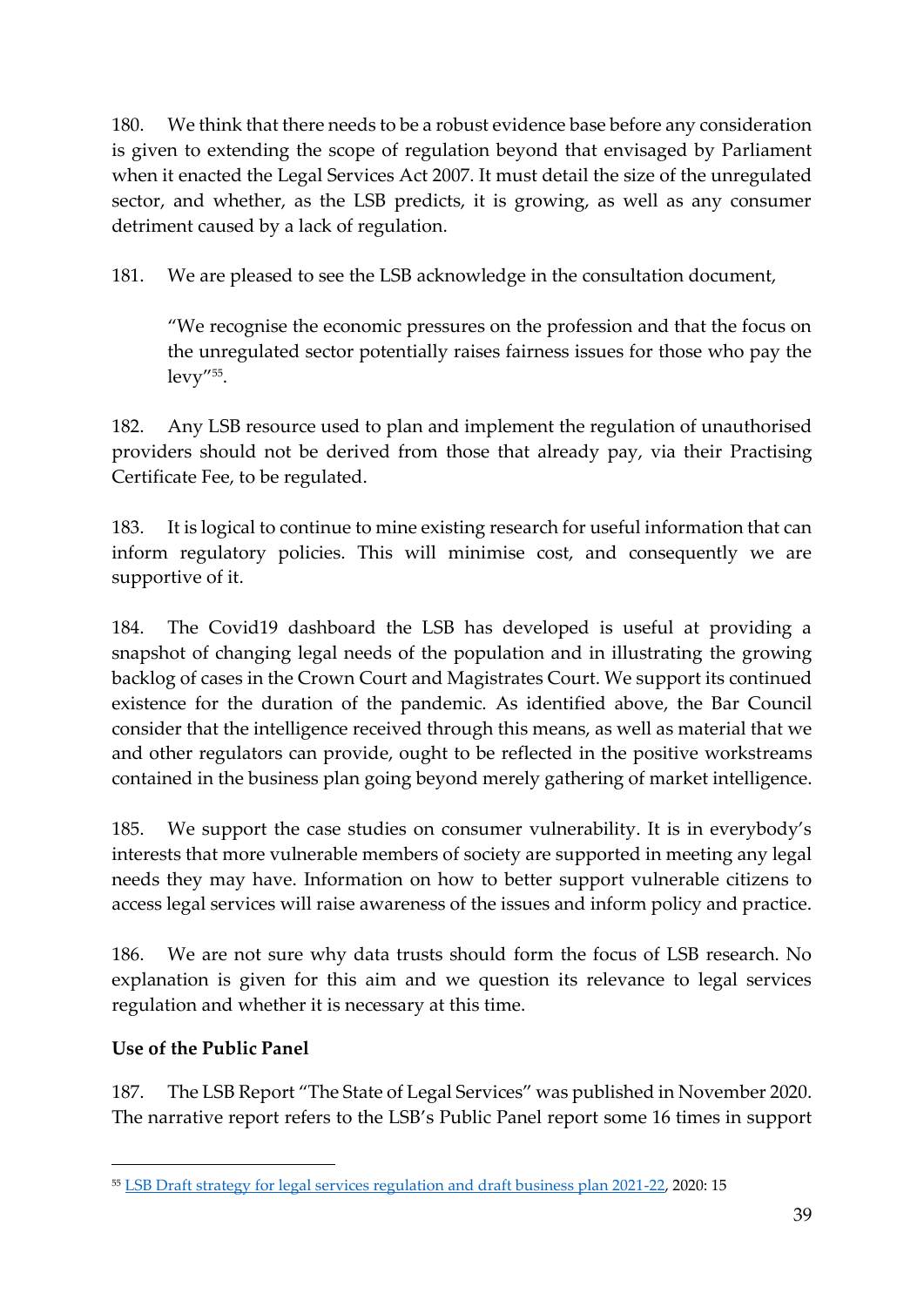180. We think that there needs to be a robust evidence base before any consideration is given to extending the scope of regulation beyond that envisaged by Parliament when it enacted the Legal Services Act 2007. It must detail the size of the unregulated sector, and whether, as the LSB predicts, it is growing, as well as any consumer detriment caused by a lack of regulation.

181. We are pleased to see the LSB acknowledge in the consultation document,

"We recognise the economic pressures on the profession and that the focus on the unregulated sector potentially raises fairness issues for those who pay the levy"<sup>55</sup> .

182. Any LSB resource used to plan and implement the regulation of unauthorised providers should not be derived from those that already pay, via their Practising Certificate Fee, to be regulated.

183. It is logical to continue to mine existing research for useful information that can inform regulatory policies. This will minimise cost, and consequently we are supportive of it.

184. The Covid19 dashboard the LSB has developed is useful at providing a snapshot of changing legal needs of the population and in illustrating the growing backlog of cases in the Crown Court and Magistrates Court. We support its continued existence for the duration of the pandemic. As identified above, the Bar Council consider that the intelligence received through this means, as well as material that we and other regulators can provide, ought to be reflected in the positive workstreams contained in the business plan going beyond merely gathering of market intelligence.

185. We support the case studies on consumer vulnerability. It is in everybody's interests that more vulnerable members of society are supported in meeting any legal needs they may have. Information on how to better support vulnerable citizens to access legal services will raise awareness of the issues and inform policy and practice.

186. We are not sure why data trusts should form the focus of LSB research. No explanation is given for this aim and we question its relevance to legal services regulation and whether it is necessary at this time.

# **Use of the Public Panel**

187. The LSB Report "The State of Legal Services" was published in November 2020. The narrative report refers to the LSB's Public Panel report some 16 times in support

<sup>55</sup> [LSB Draft strategy for legal services regulation and draft business plan 2021-22,](about:blank) 2020: 15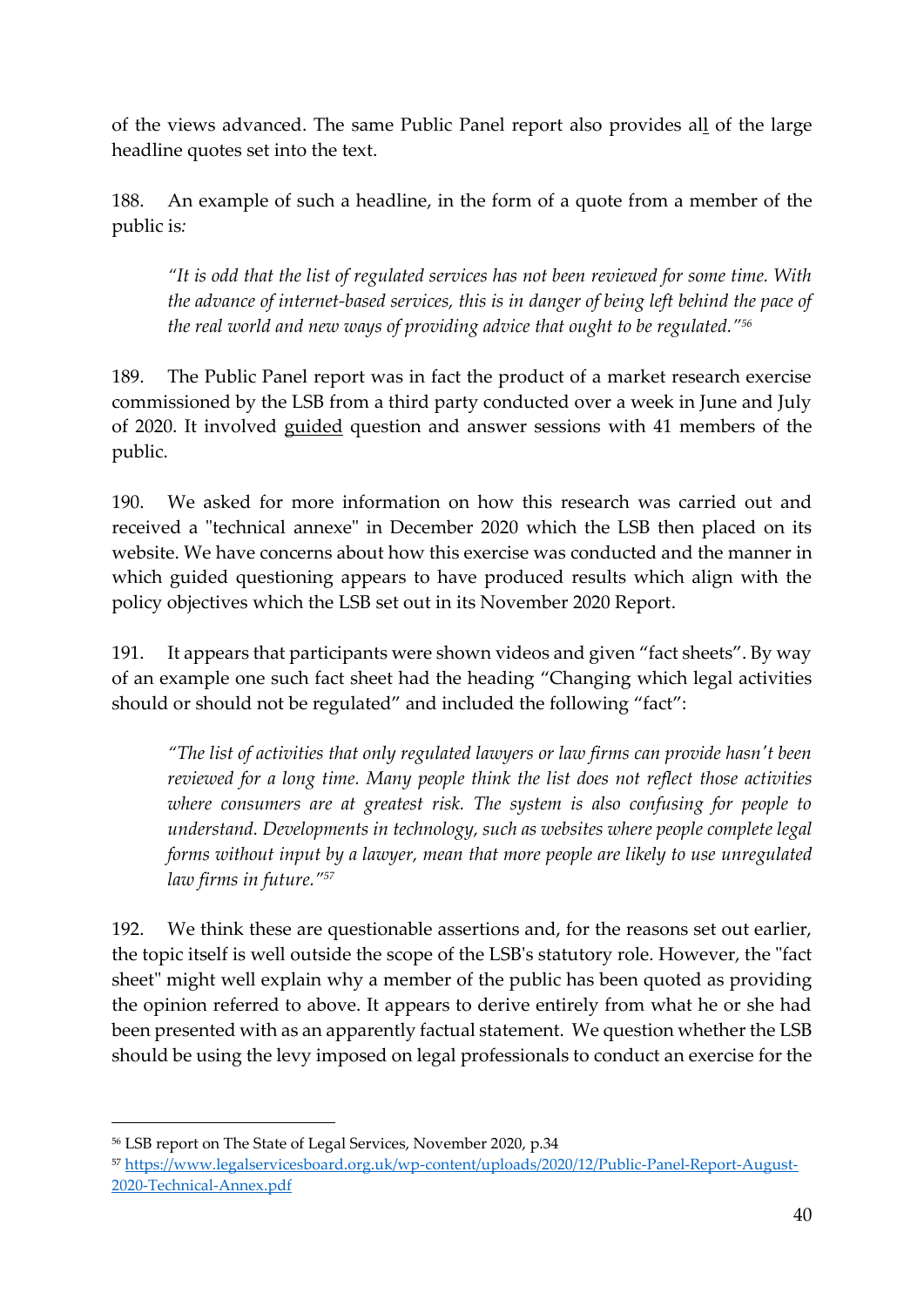of the views advanced. The same Public Panel report also provides all of the large headline quotes set into the text.

188. An example of such a headline, in the form of a quote from a member of the public is*:* 

*"It is odd that the list of regulated services has not been reviewed for some time. With the advance of internet-based services, this is in danger of being left behind the pace of the real world and new ways of providing advice that ought to be regulated."<sup>56</sup>*

189. The Public Panel report was in fact the product of a market research exercise commissioned by the LSB from a third party conducted over a week in June and July of 2020. It involved guided question and answer sessions with 41 members of the public.

190. We asked for more information on how this research was carried out and received a "technical annexe" in December 2020 which the LSB then placed on its website. We have concerns about how this exercise was conducted and the manner in which guided questioning appears to have produced results which align with the policy objectives which the LSB set out in its November 2020 Report.

191. It appears that participants were shown videos and given "fact sheets". By way of an example one such fact sheet had the heading "Changing which legal activities should or should not be regulated" and included the following "fact":

*"The list of activities that only regulated lawyers or law firms can provide hasn't been reviewed for a long time. Many people think the list does not reflect those activities where consumers are at greatest risk. The system is also confusing for people to understand. Developments in technology, such as websites where people complete legal forms without input by a lawyer, mean that more people are likely to use unregulated law firms in future."<sup>57</sup>*

192. We think these are questionable assertions and, for the reasons set out earlier, the topic itself is well outside the scope of the LSB's statutory role. However, the "fact sheet" might well explain why a member of the public has been quoted as providing the opinion referred to above. It appears to derive entirely from what he or she had been presented with as an apparently factual statement. We question whether the LSB should be using the levy imposed on legal professionals to conduct an exercise for the

<sup>56</sup> LSB report on The State of Legal Services, November 2020, p.34

<sup>57</sup> [https://www.legalservicesboard.org.uk/wp-content/uploads/2020/12/Public-Panel-Report-August-](https://www.legalservicesboard.org.uk/wp-content/uploads/2020/12/Public-Panel-Report-August-2020-Technical-Annex.pdf)[2020-Technical-Annex.pdf](https://www.legalservicesboard.org.uk/wp-content/uploads/2020/12/Public-Panel-Report-August-2020-Technical-Annex.pdf)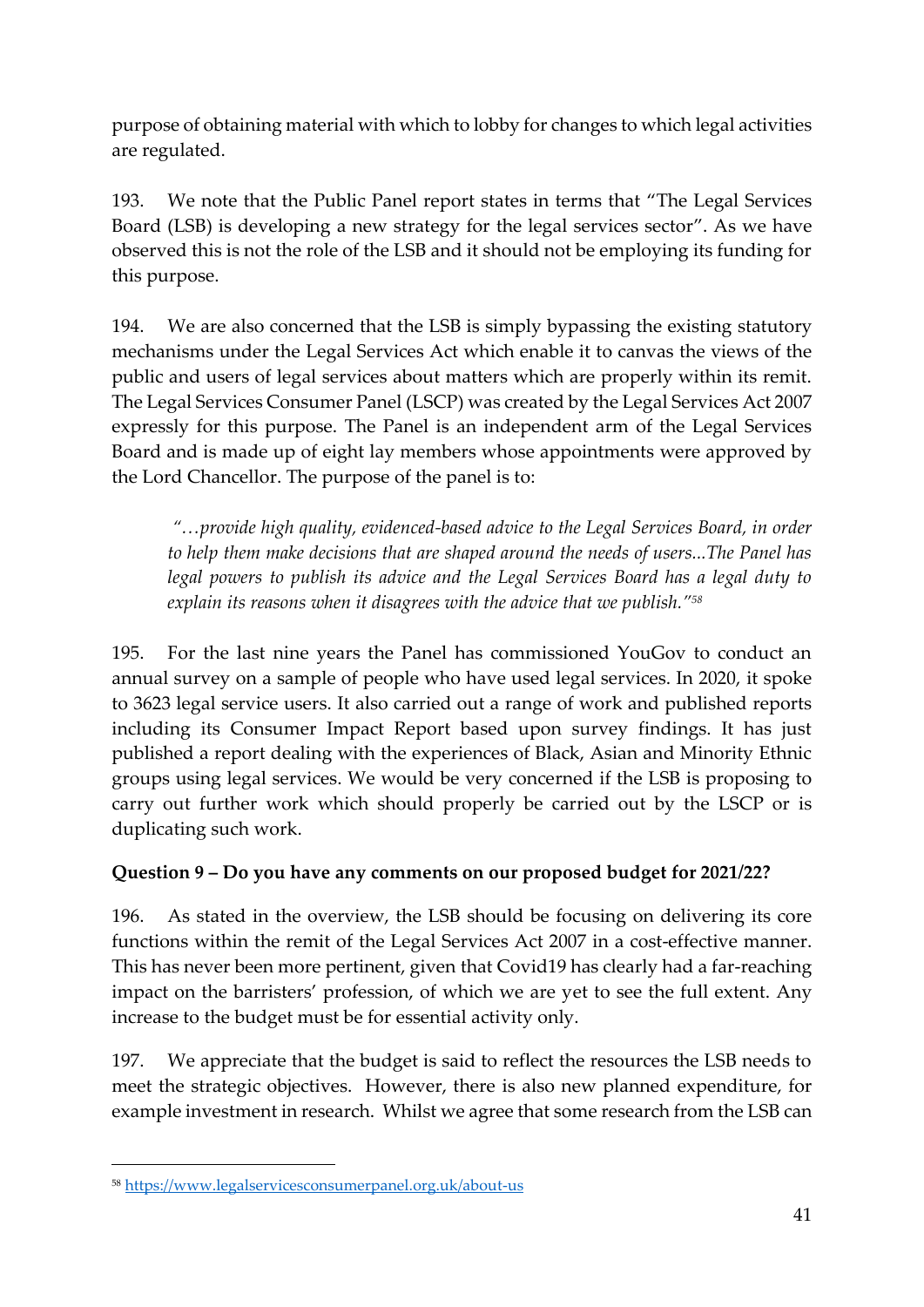purpose of obtaining material with which to lobby for changes to which legal activities are regulated.

193. We note that the Public Panel report states in terms that "The Legal Services Board (LSB) is developing a new strategy for the legal services sector". As we have observed this is not the role of the LSB and it should not be employing its funding for this purpose.

194. We are also concerned that the LSB is simply bypassing the existing statutory mechanisms under the Legal Services Act which enable it to canvas the views of the public and users of legal services about matters which are properly within its remit. The Legal Services Consumer Panel (LSCP) was created by the Legal Services Act 2007 expressly for this purpose. The Panel is an independent arm of the Legal Services Board and is made up of eight lay members whose appointments were approved by the Lord Chancellor. The purpose of the panel is to:

*"…provide high quality, evidenced-based advice to the Legal Services Board, in order to help them make decisions that are shaped around the needs of users...The Panel has legal powers to publish its advice and the Legal Services Board has a legal duty to explain its reasons when it disagrees with the advice that we publish."<sup>58</sup>*

195. For the last nine years the Panel has commissioned YouGov to conduct an annual survey on a sample of people who have used legal services. In 2020, it spoke to 3623 legal service users. It also carried out a range of work and published reports including its Consumer Impact Report based upon survey findings. It has just published a report dealing with the experiences of Black, Asian and Minority Ethnic groups using legal services. We would be very concerned if the LSB is proposing to carry out further work which should properly be carried out by the LSCP or is duplicating such work.

## **Question 9 – Do you have any comments on our proposed budget for 2021/22?**

196. As stated in the overview, the LSB should be focusing on delivering its core functions within the remit of the Legal Services Act 2007 in a cost-effective manner. This has never been more pertinent, given that Covid19 has clearly had a far-reaching impact on the barristers' profession, of which we are yet to see the full extent. Any increase to the budget must be for essential activity only.

197. We appreciate that the budget is said to reflect the resources the LSB needs to meet the strategic objectives. However, there is also new planned expenditure, for example investment in research. Whilst we agree that some research from the LSB can

<sup>58</sup> <https://www.legalservicesconsumerpanel.org.uk/about-us>